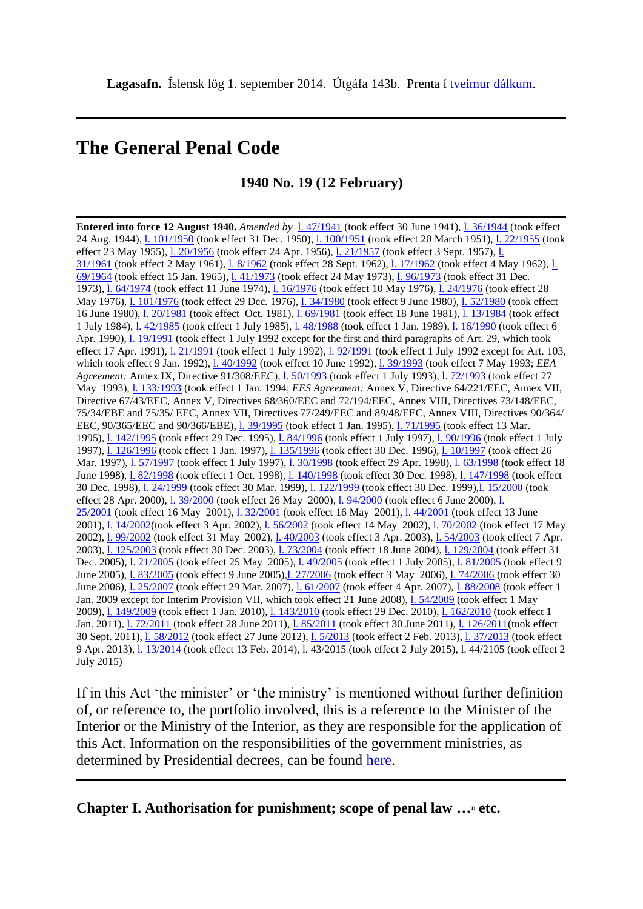## **The General Penal Code**

**1940 No. 19 (12 February)**

**Entered into force 12 August 1940.** *Amended by* [l. 47/1941](http://www.althingi.is/altext/stjtnr.html#1941047) (took effect 30 June 1941), [l. 36/1944](http://www.althingi.is/altext/stjtnr.html#1944036) (took effect 24 Aug. 1944), [l. 101/1950](http://www.althingi.is/altext/stjtnr.html#1950101) (took effect 31 Dec. 1950), [l. 100/1951](http://www.althingi.is/altext/stjtnr.html#1951100) (took effect 20 March 1951), [l. 22/1955](http://www.althingi.is/altext/stjtnr.html#1955022) (took effect 23 May 1955), [l. 20/1956](http://www.althingi.is/altext/stjtnr.html#1956020) (took effect 24 Apr. 1956), [l. 21/1957](http://www.althingi.is/altext/stjtnr.html#1957021) (took effect 3 Sept. 1957), [l.](http://www.althingi.is/altext/stjtnr.html#1961031)  [31/1961](http://www.althingi.is/altext/stjtnr.html#1961031) (took effect 2 May 1961), [l. 8/1962](http://www.althingi.is/altext/stjt/1962.008.html) (took effect 28 Sept. 1962), [l. 17/1962](http://www.althingi.is/altext/stjtnr.html#1962017) (took effect 4 May 1962), [l.](http://www.althingi.is/altext/stjtnr.html#1964069)  [69/1964](http://www.althingi.is/altext/stjtnr.html#1964069) (took effect 15 Jan. 1965), [l. 41/1973](http://www.althingi.is/altext/stjtnr.html#1973041) (took effect 24 May 1973), [l. 96/1973](http://www.althingi.is/altext/stjtnr.html#1973096) (took effect 31 Dec. 1973), [l. 64/1974](http://www.althingi.is/altext/stjtnr.html#1974064) (took effect 11 June 1974), [l. 16/1976](http://www.althingi.is/altext/stjtnr.html#1976016) (took effect 10 May 1976), [l. 24/1976](http://www.althingi.is/altext/stjtnr.html#1976024) (took effect 28 May 1976), [l. 101/1976](http://www.althingi.is/altext/stjtnr.html#1976101) (took effect 29 Dec. 1976), [l. 34/1980](http://www.althingi.is/altext/stjtnr.html#1980034) (took effect 9 June 1980), [l. 52/1980](http://www.althingi.is/altext/stjtnr.html#1980052) (took effect 16 June 1980), [l. 20/1981](http://www.althingi.is/altext/stjtnr.html#1981020) (took effect Oct. 1981), [l. 69/1981](http://www.althingi.is/altext/stjtnr.html#1981069) (took effect 18 June 1981), [l. 13/1984](http://www.althingi.is/altext/stjt/1984.013.html) (took effect 1 July 1984), [l. 42/1985](http://www.althingi.is/altext/stjtnr.html#1985042) (took effect 1 July 1985), [l. 48/1988](http://www.althingi.is/altext/stjt/1988.048.html) (took effect 1 Jan. 1989), [l. 16/1990](http://www.althingi.is/altext/stjt/1990.016.html) (took effect 6 Apr. 1990), [l. 19/1991](http://www.althingi.is/altext/stjt/1991.019.html) (took effect 1 July 1992 except for the first and third paragraphs of Art. 29, which took effect 17 Apr. 1991), [l. 21/1991](http://www.althingi.is/altext/stjt/1991.021.html) (took effect 1 July 1992), [l. 92/1991](http://www.althingi.is/altext/stjt/1991.092.html) (took effect 1 July 1992 except for Art. 103, which took effect 9 Jan. 1992), [l. 40/1992](http://www.althingi.is/altext/stjt/1992.040.html) (took effect 10 June 1992), [l. 39/1993](http://www.althingi.is/altext/stjt/1993.039.html) (took effect 7 May 1993; *EEA*  Agreement: Annex IX, Directive 91/308/EEC), **1. 50/1993** (took effect 1 July 1993), **1. 72/1993** (took effect 27 May 1993), [l. 133/1993](http://www.althingi.is/altext/stjt/1993.133.html) (took effect 1 Jan. 1994; *EES Agreement:* Annex V, Directive 64/221/EEC, Annex VII, Directive 67/43/EEC, Annex V, Directives 68/360/EEC and 72/194/EEC, Annex VIII, Directives 73/148/EEC, 75/34/EBE and 75/35/ EEC, Annex VII, Directives 77/249/EEC and 89/48/EEC, Annex VIII, Directives 90/364/ EEC, 90/365/EEC and 90/366/EBE), [l. 39/1995](http://www.althingi.is/altext/stjt/1995.039.html) (took effect 1 Jan. 1995), [l. 71/1995](http://www.althingi.is/altext/stjt/1995.071.html) (took effect 13 Mar. 1995), 1. 142/1995 (took effect 29 Dec. 1995), 1. 84/1996 (took effect 1 July 1997), 1. 90/1996 (took effect 1 July 1997), *l.* 126/1996 (took effect 1 Jan. 1997), *l.* 135/1996 (took effect 30 Dec. 1996), *l.* 10/1997 (took effect 26 Mar. 1997), 1. 57/1997 (took effect 1 July 1997), 1. 30/1998 (took effect 29 Apr. 1998), 1. 63/1998 (took effect 18 June 1998), [l. 82/1998](http://www.althingi.is/altext/stjt/1998.082.html) (took effect 1 Oct. 1998), [l. 140/1998](http://www.althingi.is/altext/stjt/1998.140.html) (took effect 30 Dec. 1998), [l. 147/1998](http://www.althingi.is/altext/stjt/1998.147.html) (took effect 30 Dec. 1998), [l. 24/1999](http://www.althingi.is/altext/stjt/1999.024.html) (took effect 30 Mar. 1999), [l. 122/1999](http://www.althingi.is/altext/stjt/1999.122.html) (took effect 30 Dec. 1999[\),l. 15/2000](http://www.althingi.is/altext/stjt/2000.015.html) (took effect 28 Apr. 2000), <u>[l. 39/2000](http://www.althingi.is/altext/stjt/2000.039.html)</u> (took effect 26 May 2000), [l. 94/2000](http://www.althingi.is/altext/stjt/2000.094.html) (took effect 6 June 2000), l. [25/2001](http://www.althingi.is/altext/stjt/2001.025.html) (took effect 16 May 2001), [l. 32/2001](http://www.althingi.is/altext/stjt/2001.032.html) (took effect 16 May 2001), [l. 44/2001](http://www.althingi.is/altext/stjt/2001.044.html) (took effect 13 June 2001), [l. 14/2002\(](http://www.althingi.is/altext/stjt/2002.014.html)took effect 3 Apr. 2002), [l. 56/2002](http://www.althingi.is/altext/stjt/2002.056.html) (took effect 14 May 2002), [l. 70/2002](http://www.althingi.is/altext/stjt/2002.070.html) (took effect 17 May 2002), [l. 99/2002](http://www.althingi.is/altext/stjt/2002.099.html) (took effect 31 May 2002), [l. 40/2003](http://www.althingi.is/altext/stjt/2003.040.html) (took effect 3 Apr. 2003), [l. 54/2003](http://www.althingi.is/altext/stjt/2003.054.html) (took effect 7 Apr. 2003), [l. 125/2003](http://www.althingi.is/altext/stjt/2003.125.html) (took effect 30 Dec. 2003), [l. 73/2004](http://www.althingi.is/altext/stjt/2004.073.html) (took effect 18 June 2004), [l. 129/2004](http://www.althingi.is/altext/stjt/2004.129.html) (took effect 31 Dec. 2005), 1. 21/2005 (took effect 25 May 2005), 1. 49/2005 (took effect 1 July 2005), 1. 81/2005 (took effect 9 June 2005), [l. 83/2005](http://www.althingi.is/altext/stjt/2005.083.html) (took effect 9 June 2005)[,l. 27/2006](http://www.althingi.is/altext/stjt/2006.027.html) (took effect 3 May 2006), [l. 74/2006](http://www.althingi.is/altext/stjt/2006.074.html) (took effect 30 June 2006), [l. 25/2007](http://www.althingi.is/altext/stjt/2007.025.html) (took effect 29 Mar. 2007), [l. 61/2007](http://www.althingi.is/altext/stjt/2007.061.html) (took effect 4 Apr. 2007), [l. 88/2008](http://www.althingi.is/altext/stjt/2008.088.html) (took effect 1 Jan. 2009 except for Interim Provision VII, which took effect 21 June 2008), [l. 54/2009](http://www.althingi.is/altext/stjt/2009.054.html) (took effect 1 May 2009), [l. 149/2009](http://www.althingi.is/altext/stjt/2009.149.html) (took effect 1 Jan. 2010), [l. 143/2010](http://www.althingi.is/altext/stjt/2010.143.html) (took effect 29 Dec. 2010), [l. 162/2010](http://www.althingi.is/altext/stjt/2010.162.html) (took effect 1 Jan. 2011), [l. 72/2011](http://www.althingi.is/altext/stjt/2011.072.html) (took effect 28 June 2011), [l. 85/2011](http://www.althingi.is/altext/stjt/2011.085.html) (took effect 30 June 2011), [l. 126/2011\(](http://www.althingi.is/altext/stjt/2011.126.html)took effect 30 Sept. 2011), 1. 58/2012 (took effect 27 June 2012), 1. 5/2013 (took effect 2 Feb. 2013), 1. 37/2013 (took effect 9 Apr. 2013), [l. 13/2014](http://www.althingi.is/altext/stjt/2014.013.html) (took effect 13 Feb. 2014), l. 43/2015 (took effect 2 July 2015), l. 44/2105 (took effect 2 July 2015)

If in this Act 'the minister' or 'the ministry' is mentioned without further definition of, or reference to, the portfolio involved, this is a reference to the Minister of the Interior or the Ministry of the Interior, as they are responsible for the application of this Act. Information on the responsibilities of the government ministries, as determined by Presidential decrees, can be found [here.](http://www.althingi.is/lagas/nuna/2013071.html)

**Chapter I. Authorisation for punishment; scope of penal law …1) etc.**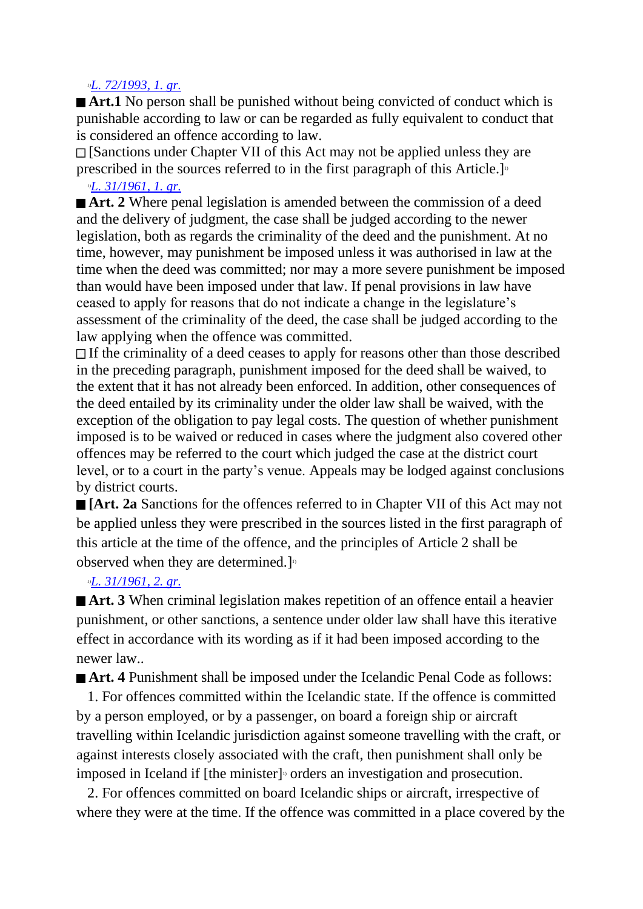#### *1)[L. 72/1993, 1. gr.](http://www.althingi.is/altext/stjt/1993.072.html)*

■ **Art.1** No person shall be punished without being convicted of conduct which is punishable according to law or can be regarded as fully equivalent to conduct that is considered an offence according to law.

[Sanctions under Chapter VII of this Act may not be applied unless they are prescribed in the sources referred to in the first paragraph of this Article.

## *1)[L. 31/1961, 1. gr.](http://www.althingi.is/altext/stjtnr.html#1961031?g1)*

**■ Art. 2** Where penal legislation is amended between the commission of a deed and the delivery of judgment, the case shall be judged according to the newer legislation, both as regards the criminality of the deed and the punishment. At no time, however, may punishment be imposed unless it was authorised in law at the time when the deed was committed; nor may a more severe punishment be imposed than would have been imposed under that law. If penal provisions in law have ceased to apply for reasons that do not indicate a change in the legislature's assessment of the criminality of the deed, the case shall be judged according to the law applying when the offence was committed.

If the criminality of a deed ceases to apply for reasons other than those described in the preceding paragraph, punishment imposed for the deed shall be waived, to the extent that it has not already been enforced. In addition, other consequences of the deed entailed by its criminality under the older law shall be waived, with the exception of the obligation to pay legal costs. The question of whether punishment imposed is to be waived or reduced in cases where the judgment also covered other offences may be referred to the court which judged the case at the district court level, or to a court in the party's venue. Appeals may be lodged against conclusions by district courts.

**[Art. 2a** Sanctions for the offences referred to in Chapter VII of this Act may not be applied unless they were prescribed in the sources listed in the first paragraph of this article at the time of the offence, and the principles of Article 2 shall be observed when they are determined.]<sup>11</sup>

## *1)[L. 31/1961, 2. gr.](http://www.althingi.is/altext/stjtnr.html#1961031?g2)*

■ **Art. 3** When criminal legislation makes repetition of an offence entail a heavier punishment, or other sanctions, a sentence under older law shall have this iterative effect in accordance with its wording as if it had been imposed according to the newer law..

■ **Art.** 4 Punishment shall be imposed under the Icelandic Penal Code as follows:

 1. For offences committed within the Icelandic state. If the offence is committed by a person employed, or by a passenger, on board a foreign ship or aircraft travelling within Icelandic jurisdiction against someone travelling with the craft, or against interests closely associated with the craft, then punishment shall only be imposed in Iceland if [the minister]<sup>1</sup> orders an investigation and prosecution.

 2. For offences committed on board Icelandic ships or aircraft, irrespective of where they were at the time. If the offence was committed in a place covered by the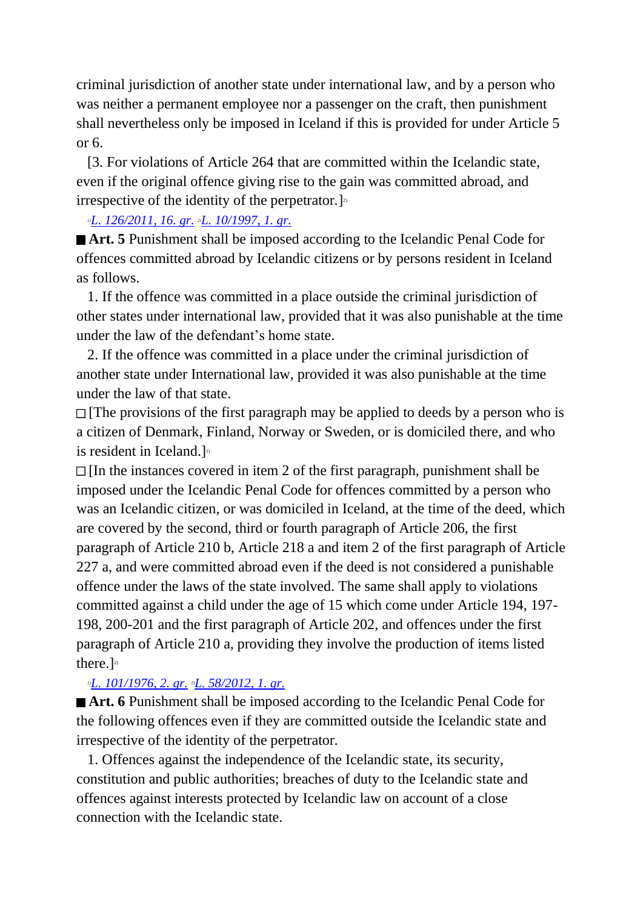criminal jurisdiction of another state under international law, and by a person who was neither a permanent employee nor a passenger on the craft, then punishment shall nevertheless only be imposed in Iceland if this is provided for under Article 5  $or 6.$ 

 [3. For violations of Article 264 that are committed within the Icelandic state, even if the original offence giving rise to the gain was committed abroad, and irrespective of the identity of the perpetrator.]<sup>2</sup>

#### *1)[L. 126/2011, 16. gr.](http://www.althingi.is/altext/stjt/2011.126.html) 2)[L. 10/1997, 1. gr.](http://www.althingi.is/altext/stjt/1997.010.html)*

■ **Art. 5** Punishment shall be imposed according to the Icelandic Penal Code for offences committed abroad by Icelandic citizens or by persons resident in Iceland as follows.

 1. If the offence was committed in a place outside the criminal jurisdiction of other states under international law, provided that it was also punishable at the time under the law of the defendant's home state.

 2. If the offence was committed in a place under the criminal jurisdiction of another state under International law, provided it was also punishable at the time under the law of that state.

 $\Box$  [The provisions of the first paragraph may be applied to deeds by a person who is a citizen of Denmark, Finland, Norway or Sweden, or is domiciled there, and who is resident in Iceland. $\mathbf{I}^{\text{b}}$ 

 $\Box$  [In the instances covered in item 2 of the first paragraph, punishment shall be imposed under the Icelandic Penal Code for offences committed by a person who was an Icelandic citizen, or was domiciled in Iceland, at the time of the deed, which are covered by the second, third or fourth paragraph of Article 206, the first paragraph of Article 210 b, Article 218 a and item 2 of the first paragraph of Article 227 a, and were committed abroad even if the deed is not considered a punishable offence under the laws of the state involved. The same shall apply to violations committed against a child under the age of 15 which come under Article 194, 197- 198, 200-201 and the first paragraph of Article 202, and offences under the first paragraph of Article 210 a, providing they involve the production of items listed there.] 2)

## *1)[L. 101/1976, 2. gr.](http://www.althingi.is/altext/stjtnr.html#1976101?g2) 2)[L. 58/2012, 1. gr.](http://www.althingi.is/altext/stjt/2012.058.html)*

■ **Art. 6** Punishment shall be imposed according to the Icelandic Penal Code for the following offences even if they are committed outside the Icelandic state and irrespective of the identity of the perpetrator.

 1. Offences against the independence of the Icelandic state, its security, constitution and public authorities; breaches of duty to the Icelandic state and offences against interests protected by Icelandic law on account of a close connection with the Icelandic state.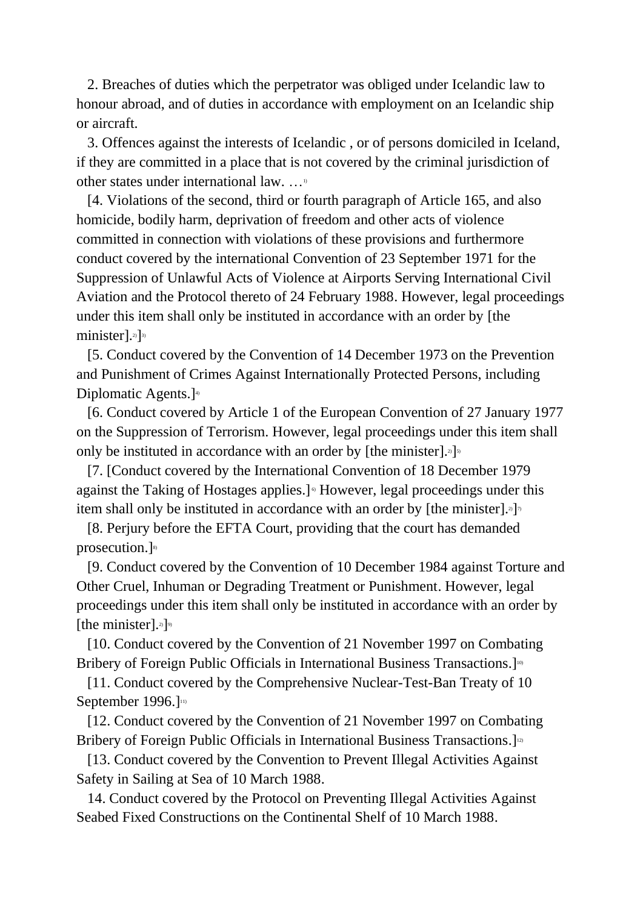2. Breaches of duties which the perpetrator was obliged under Icelandic law to honour abroad, and of duties in accordance with employment on an Icelandic ship or aircraft.

 3. Offences against the interests of Icelandic , or of persons domiciled in Iceland, if they are committed in a place that is not covered by the criminal jurisdiction of other states under international law. …1)

 [4. Violations of the second, third or fourth paragraph of Article 165, and also homicide, bodily harm, deprivation of freedom and other acts of violence committed in connection with violations of these provisions and furthermore conduct covered by the international Convention of 23 September 1971 for the Suppression of Unlawful Acts of Violence at Airports Serving International Civil Aviation and the Protocol thereto of 24 February 1988. However, legal proceedings under this item shall only be instituted in accordance with an order by [the minister].<sup>2</sup>]<sup>3)</sup>

 [5. Conduct covered by the Convention of 14 December 1973 on the Prevention and Punishment of Crimes Against Internationally Protected Persons, including Diplomatic Agents.]<sup>41</sup>

 [6. Conduct covered by Article 1 of the European Convention of 27 January 1977 on the Suppression of Terrorism. However, legal proceedings under this item shall only be instituted in accordance with an order by [the minister].<sup>2</sup>]<sup>5</sup>

 [7. [Conduct covered by the International Convention of 18 December 1979 against the Taking of Hostages applies.] 6) However, legal proceedings under this item shall only be instituted in accordance with an order by [the minister].<sup>3</sup>]<sup>7</sup>

 [8. Perjury before the EFTA Court, providing that the court has demanded prosecution.]<sup>8)</sup>

 [9. Conduct covered by the Convention of 10 December 1984 against Torture and Other Cruel, Inhuman or Degrading Treatment or Punishment. However, legal proceedings under this item shall only be instituted in accordance with an order by [the minister].<sup>2)</sup>]<sup>9)</sup>

 [10. Conduct covered by the Convention of 21 November 1997 on Combating Bribery of Foreign Public Officials in International Business Transactions.<sup>100</sup>

 [11. Conduct covered by the Comprehensive Nuclear-Test-Ban Treaty of 10 September 1996.] $11$ 

 [12. Conduct covered by the Convention of 21 November 1997 on Combating Bribery of Foreign Public Officials in International Business Transactions.<sup>123</sup>

[13. Conduct covered by the Convention to Prevent Illegal Activities Against Safety in Sailing at Sea of 10 March 1988.

 14. Conduct covered by the Protocol on Preventing Illegal Activities Against Seabed Fixed Constructions on the Continental Shelf of 10 March 1988.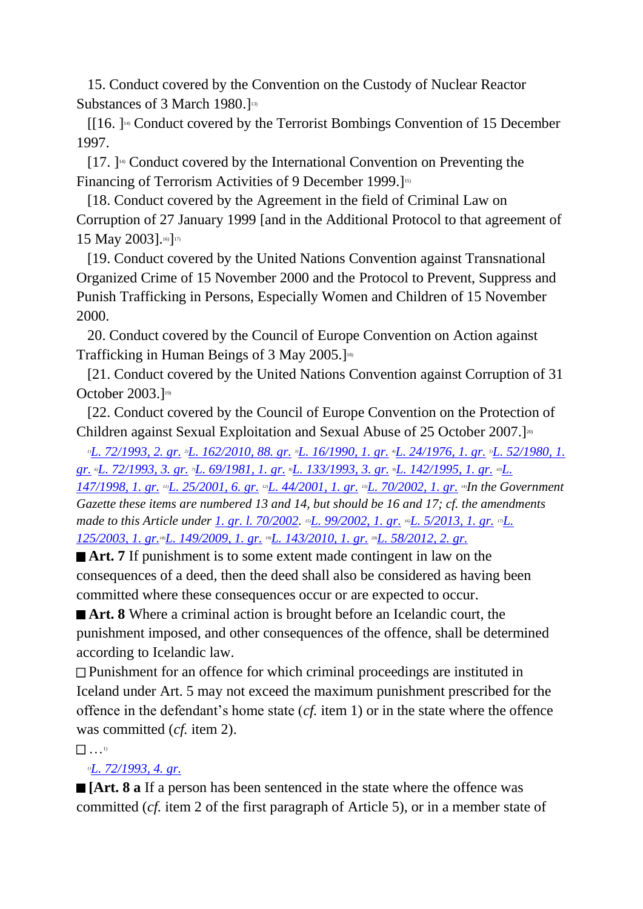15. Conduct covered by the Convention on the Custody of Nuclear Reactor Substances of 3 March 1980.]<sup>13)</sup>

 $[[16.]\n$ <sup>14)</sup> Conduct covered by the Terrorist Bombings Convention of 15 December 1997.

 [17. ] 14) Conduct covered by the International Convention on Preventing the Financing of Terrorism Activities of 9 December 1999.]<sup>15)</sup>

 [18. Conduct covered by the Agreement in the field of Criminal Law on Corruption of 27 January 1999 [and in the Additional Protocol to that agreement of 15 May 2003].<sup>16</sup>]<sup>17)</sup>

 [19. Conduct covered by the United Nations Convention against Transnational Organized Crime of 15 November 2000 and the Protocol to Prevent, Suppress and Punish Trafficking in Persons, Especially Women and Children of 15 November 2000.

 20. Conduct covered by the Council of Europe Convention on Action against Trafficking in Human Beings of 3 May 2005.] 18)

 [21. Conduct covered by the United Nations Convention against Corruption of 31 October 2003.]<sup>19)</sup>

 [22. Conduct covered by the Council of Europe Convention on the Protection of Children against Sexual Exploitation and Sexual Abuse of 25 October 2007.<sup>[20]</sup>

*1)[L. 72/1993, 2. gr.](http://www.althingi.is/altext/stjt/1993.072.html) 2)[L. 162/2010, 88. gr.](http://www.althingi.is/altext/stjt/2010.162.html) 3)[L. 16/1990, 1. gr.](http://www.althingi.is/altext/stjt/1990.016.html) 4)[L. 24/1976, 1. gr.](http://www.althingi.is/altext/stjtnr.html#1976024?g1) 5)[L. 52/1980, 1.](http://www.althingi.is/altext/stjtnr.html#1980052?g1)  [gr.](http://www.althingi.is/altext/stjtnr.html#1980052?g1) 6)[L. 72/1993, 3. gr.](http://www.althingi.is/altext/stjt/1993.072.html) 7)[L. 69/1981, 1. gr.](http://www.althingi.is/altext/stjtnr.html#1981069?g1) 8)[L. 133/1993, 3. gr.](http://www.althingi.is/altext/stjt/1993.133.html) 9)[L. 142/1995, 1. gr.](http://www.althingi.is/altext/stjt/1995.142.html) 10)[L.](http://www.althingi.is/altext/stjt/1998.147.html)  [147/1998, 1. gr.](http://www.althingi.is/altext/stjt/1998.147.html) 11)[L. 25/2001, 6. gr.](http://www.althingi.is/altext/stjt/2001.025.html#G6) 12)[L. 44/2001, 1. gr.](http://www.althingi.is/altext/stjt/2001.044.html) 13)[L. 70/2002, 1. gr.](http://www.althingi.is/altext/stjt/2002.070.html) 14)In the Government Gazette these items are numbered 13 and 14, but should be 16 and 17; cf. the amendments made to this Article under* 1. gr. *l.* 70/2002. <sup>15</sup>*L.* 99/2002, 1. gr. <sup>16</sup>*[L. 5/2013, 1. gr.](http://www.althingi.is/altext/stjt/2013.005.html)* <sup>15</sup>*L. [125/2003, 1. gr.](http://www.althingi.is/altext/stjt/2003.125.html)18)[L. 149/2009, 1. gr.](http://www.althingi.is/altext/stjt/2009.149.html) 19)[L. 143/2010, 1. gr.](http://www.althingi.is/altext/stjt/2010.143.html) 20)[L. 58/2012, 2. gr.](http://www.althingi.is/altext/stjt/2012.058.html)*

■ **Art.** 7 If punishment is to some extent made contingent in law on the consequences of a deed, then the deed shall also be considered as having been committed where these consequences occur or are expected to occur.

■ **Art. 8** Where a criminal action is brought before an Icelandic court, the punishment imposed, and other consequences of the offence, shall be determined according to Icelandic law.

Punishment for an offence for which criminal proceedings are instituted in Iceland under Art. 5 may not exceed the maximum punishment prescribed for the offence in the defendant's home state (*cf.* item 1) or in the state where the offence was committed (*cf.* item 2).

 $\begin{pmatrix} 1 \\ 1 \end{pmatrix}$  .  $\begin{pmatrix} 1 \\ 1 \end{pmatrix}$ 

## *1)[L. 72/1993, 4. gr.](http://www.althingi.is/altext/stjt/1993.072.html)*

**[Art. 8 a** If a person has been sentenced in the state where the offence was committed (*cf.* item 2 of the first paragraph of Article 5), or in a member state of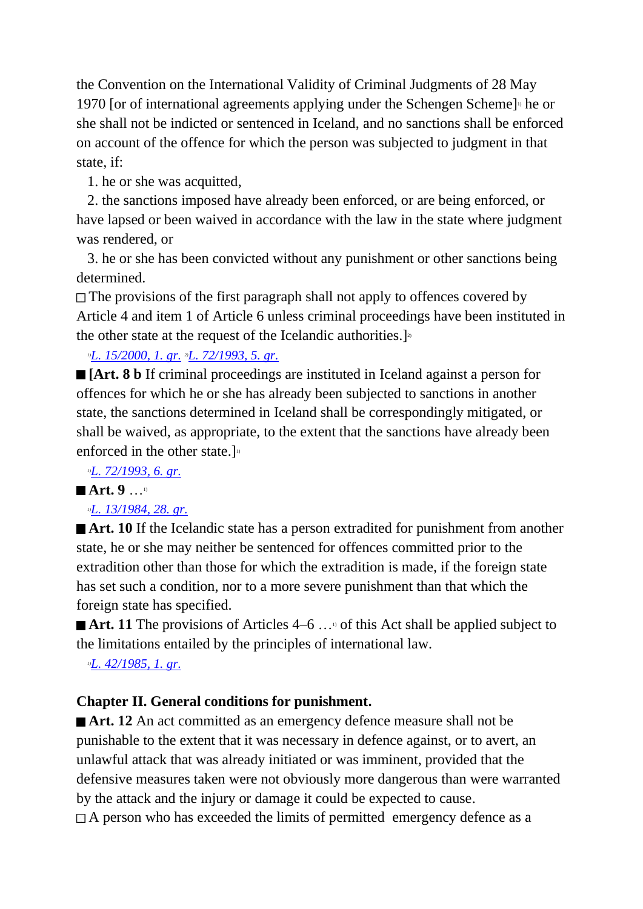the Convention on the International Validity of Criminal Judgments of 28 May 1970 [or of international agreements applying under the Schengen Scheme]<sup>1</sup> he or she shall not be indicted or sentenced in Iceland, and no sanctions shall be enforced on account of the offence for which the person was subjected to judgment in that state, if:

1. he or she was acquitted,

 2. the sanctions imposed have already been enforced, or are being enforced, or have lapsed or been waived in accordance with the law in the state where judgment was rendered, or

 3. he or she has been convicted without any punishment or other sanctions being determined.

 $\Box$  The provisions of the first paragraph shall not apply to offences covered by Article 4 and item 1 of Article 6 unless criminal proceedings have been instituted in the other state at the request of the Icelandic authorities.<sup>]2)</sup>

*1)[L. 15/2000, 1. gr.](http://www.althingi.is/altext/stjt/2000.015.html) 2)[L. 72/1993, 5. gr.](http://www.althingi.is/altext/stjt/1993.072.html)*

**[Art. 8 b** If criminal proceedings are instituted in Iceland against a person for offences for which he or she has already been subjected to sanctions in another state, the sanctions determined in Iceland shall be correspondingly mitigated, or shall be waived, as appropriate, to the extent that the sanctions have already been enforced in the other state. $\mathbf{I}^{\text{D}}$ 

*1)[L. 72/1993, 6. gr.](http://www.althingi.is/altext/stjt/1993.072.html)*

## ■ **Art.** 9 …<sup>1)</sup>

## *1)[L. 13/1984, 28. gr.](http://www.althingi.is/altext/stjt/1984.013.html#G28)*

**Art. 10** If the Icelandic state has a person extradited for punishment from another state, he or she may neither be sentenced for offences committed prior to the extradition other than those for which the extradition is made, if the foreign state has set such a condition, nor to a more severe punishment than that which the foreign state has specified.

■ **Art. 11** The provisions of Articles 4–6 …<sup>10</sup> of this Act shall be applied subject to the limitations entailed by the principles of international law.

*1)[L. 42/1985, 1. gr.](http://www.althingi.is/altext/stjtnr.html#1985042?g1)*

## **Chapter II. General conditions for punishment.**

■ **Art. 12** An act committed as an emergency defence measure shall not be punishable to the extent that it was necessary in defence against, or to avert, an unlawful attack that was already initiated or was imminent, provided that the defensive measures taken were not obviously more dangerous than were warranted by the attack and the injury or damage it could be expected to cause.  $\Box$  A person who has exceeded the limits of permitted emergency defence as a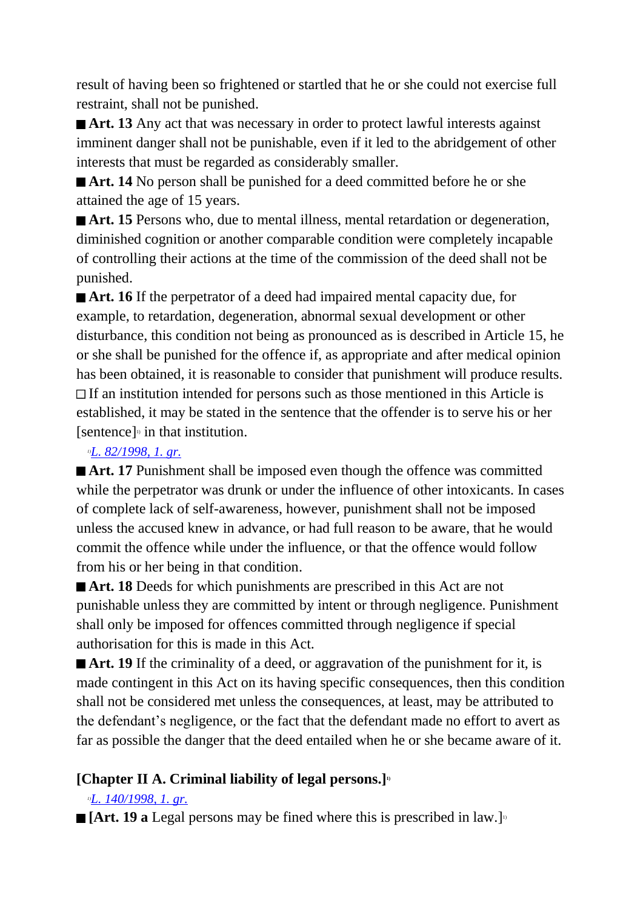result of having been so frightened or startled that he or she could not exercise full restraint, shall not be punished.

■ **Art. 13** Any act that was necessary in order to protect lawful interests against imminent danger shall not be punishable, even if it led to the abridgement of other interests that must be regarded as considerably smaller.

**Art. 14** No person shall be punished for a deed committed before he or she attained the age of 15 years.

■ **Art. 15** Persons who, due to mental illness, mental retardation or degeneration, diminished cognition or another comparable condition were completely incapable of controlling their actions at the time of the commission of the deed shall not be punished.

■ **Art. 16** If the perpetrator of a deed had impaired mental capacity due, for example, to retardation, degeneration, abnormal sexual development or other disturbance, this condition not being as pronounced as is described in Article 15, he or she shall be punished for the offence if, as appropriate and after medical opinion has been obtained, it is reasonable to consider that punishment will produce results.  $\Box$  If an institution intended for persons such as those mentioned in this Article is established, it may be stated in the sentence that the offender is to serve his or her [sentence] 1) in that institution.

#### *1)[L. 82/1998, 1. gr.](http://www.althingi.is/altext/stjt/1998.082.html)*

■ **Art. 17** Punishment shall be imposed even though the offence was committed while the perpetrator was drunk or under the influence of other intoxicants. In cases of complete lack of self-awareness, however, punishment shall not be imposed unless the accused knew in advance, or had full reason to be aware, that he would commit the offence while under the influence, or that the offence would follow from his or her being in that condition.

■ **Art. 18** Deeds for which punishments are prescribed in this Act are not punishable unless they are committed by intent or through negligence. Punishment shall only be imposed for offences committed through negligence if special authorisation for this is made in this Act.

■ **Art. 19** If the criminality of a deed, or aggravation of the punishment for it, is made contingent in this Act on its having specific consequences, then this condition shall not be considered met unless the consequences, at least, may be attributed to the defendant's negligence, or the fact that the defendant made no effort to avert as far as possible the danger that the deed entailed when he or she became aware of it.

## **[Chapter II A. Criminal liability of legal persons.]1)**

## *1)[L. 140/1998, 1. gr.](http://www.althingi.is/altext/stjt/1998.140.html)*

[Art. 19 a Legal persons may be fined where this is prescribed in law.]<sup>1</sup>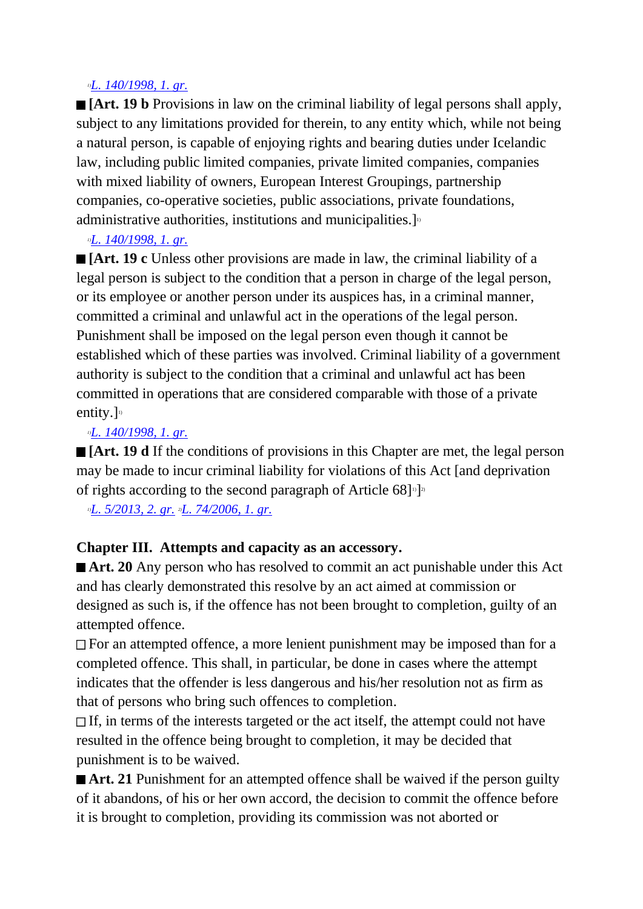#### *1)[L. 140/1998, 1. gr.](http://www.althingi.is/altext/stjt/1998.140.html)*

**[Art. 19 b** Provisions in law on the criminal liability of legal persons shall apply, subject to any limitations provided for therein, to any entity which, while not being a natural person, is capable of enjoying rights and bearing duties under Icelandic law, including public limited companies, private limited companies, companies with mixed liability of owners, European Interest Groupings, partnership companies, co-operative societies, public associations, private foundations, administrative authorities, institutions and municipalities.]<sup>1</sup>

## *1)[L. 140/1998, 1. gr.](http://www.althingi.is/altext/stjt/1998.140.html)*

**[Art. 19 c** Unless other provisions are made in law, the criminal liability of a legal person is subject to the condition that a person in charge of the legal person, or its employee or another person under its auspices has, in a criminal manner, committed a criminal and unlawful act in the operations of the legal person. Punishment shall be imposed on the legal person even though it cannot be established which of these parties was involved. Criminal liability of a government authority is subject to the condition that a criminal and unlawful act has been committed in operations that are considered comparable with those of a private entity.] $\mathbb{I}^{\mathbb{I}}$ 

#### *1)[L. 140/1998, 1. gr.](http://www.althingi.is/altext/stjt/1998.140.html)*

**[Art. 19 d** If the conditions of provisions in this Chapter are met, the legal person may be made to incur criminal liability for violations of this Act [and deprivation of rights according to the second paragraph of Article 68]<sup>1</sup>]<sup>2</sup>

*1)[L. 5/2013, 2. gr.](http://www.althingi.is/altext/stjt/2013.005.html) 2)[L. 74/2006, 1. gr.](http://www.althingi.is/altext/stjt/2006.074.html)*

## **Chapter III. Attempts and capacity as an accessory.**

■ **Art. 20** Any person who has resolved to commit an act punishable under this Act and has clearly demonstrated this resolve by an act aimed at commission or designed as such is, if the offence has not been brought to completion, guilty of an attempted offence.

 $\Box$  For an attempted offence, a more lenient punishment may be imposed than for a completed offence. This shall, in particular, be done in cases where the attempt indicates that the offender is less dangerous and his/her resolution not as firm as that of persons who bring such offences to completion.

If, in terms of the interests targeted or the act itself, the attempt could not have resulted in the offence being brought to completion, it may be decided that punishment is to be waived.

■ **Art. 21** Punishment for an attempted offence shall be waived if the person guilty of it abandons, of his or her own accord, the decision to commit the offence before it is brought to completion, providing its commission was not aborted or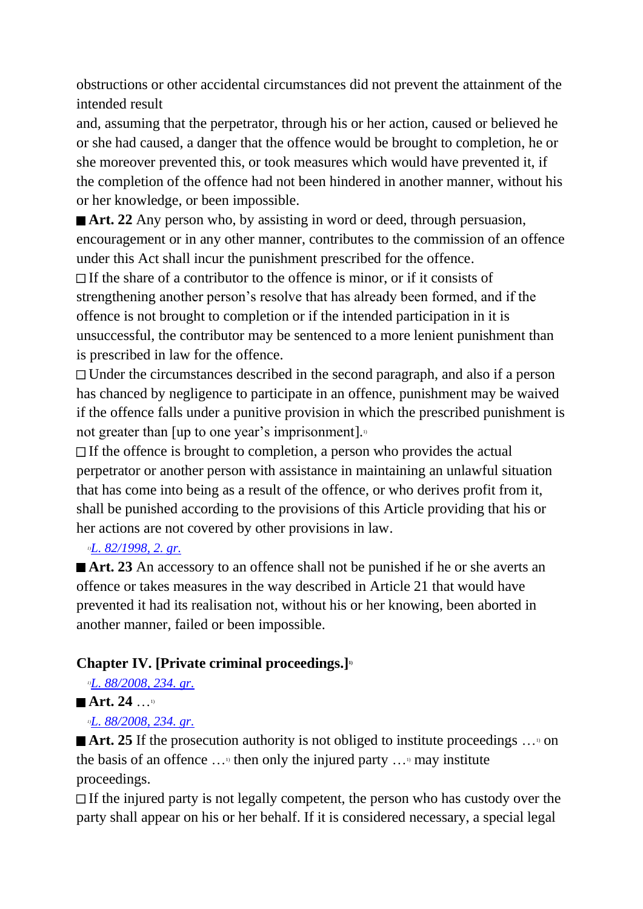obstructions or other accidental circumstances did not prevent the attainment of the intended result

and, assuming that the perpetrator, through his or her action, caused or believed he or she had caused, a danger that the offence would be brought to completion, he or she moreover prevented this, or took measures which would have prevented it, if the completion of the offence had not been hindered in another manner, without his or her knowledge, or been impossible.

■ **Art. 22** Any person who, by assisting in word or deed, through persuasion, encouragement or in any other manner, contributes to the commission of an offence under this Act shall incur the punishment prescribed for the offence.

 $\Box$  If the share of a contributor to the offence is minor, or if it consists of strengthening another person's resolve that has already been formed, and if the offence is not brought to completion or if the intended participation in it is unsuccessful, the contributor may be sentenced to a more lenient punishment than is prescribed in law for the offence.

Under the circumstances described in the second paragraph, and also if a person has chanced by negligence to participate in an offence, punishment may be waived if the offence falls under a punitive provision in which the prescribed punishment is not greater than  $\lceil$ up to one year's imprisonment $\lceil$ .

 $\Box$  If the offence is brought to completion, a person who provides the actual perpetrator or another person with assistance in maintaining an unlawful situation that has come into being as a result of the offence, or who derives profit from it, shall be punished according to the provisions of this Article providing that his or her actions are not covered by other provisions in law.

## *1)[L. 82/1998, 2. gr.](http://www.althingi.is/altext/stjt/1998.082.html)*

■ **Art. 23** An accessory to an offence shall not be punished if he or she averts an offence or takes measures in the way described in Article 21 that would have prevented it had its realisation not, without his or her knowing, been aborted in another manner, failed or been impossible.

## **Chapter IV. [Private criminal proceedings.]1)**

*1)[L. 88/2008, 234. gr.](http://www.althingi.is/altext/stjt/2008.088.html#G234)*

## ■ Art. 24 …<sup>1)</sup>

*1)[L. 88/2008, 234. gr.](http://www.althingi.is/altext/stjt/2008.088.html#G234)*

■ **Art. 25** If the prosecution authority is not obliged to institute proceedings …<sup>10</sup> on the basis of an offence  $\dots$ <sup>1</sup> then only the injured party  $\dots$ <sup>1</sup> may institute proceedings.

 $\Box$  If the injured party is not legally competent, the person who has custody over the party shall appear on his or her behalf. If it is considered necessary, a special legal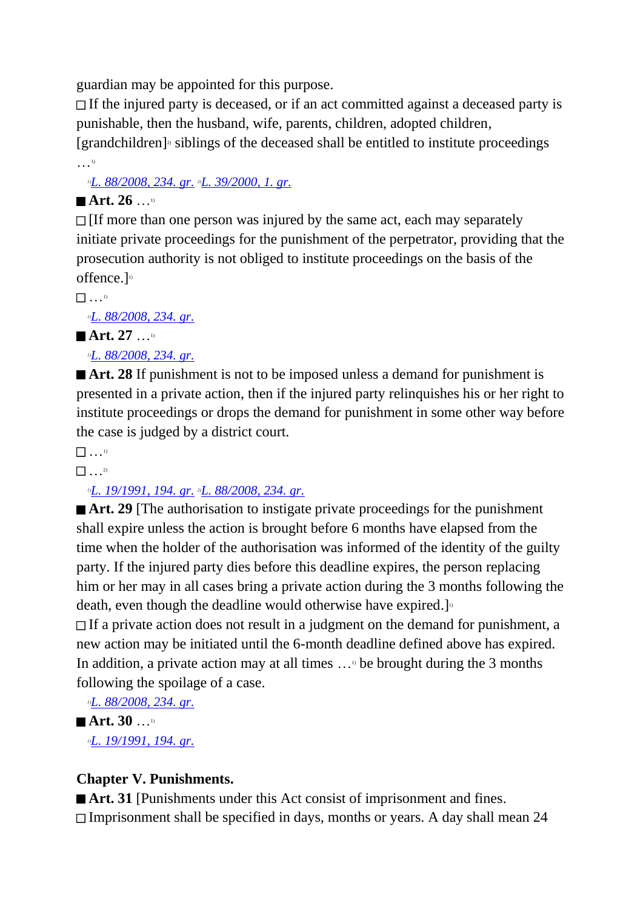guardian may be appointed for this purpose.

If the injured party is deceased, or if an act committed against a deceased party is punishable, then the husband, wife, parents, children, adopted children,

[grandchildren] 2) siblings of the deceased shall be entitled to institute proceedings …1)

*1)[L. 88/2008, 234. gr.](http://www.althingi.is/altext/stjt/2008.088.html#G234) 2)[L. 39/2000, 1. gr.](http://www.althingi.is/altext/stjt/2000.039.html)*

## **Art. 26** …1)

 $\Box$  [If more than one person was injured by the same act, each may separately initiate private proceedings for the punishment of the perpetrator, providing that the prosecution authority is not obliged to institute proceedings on the basis of the offence.]<sup>1)</sup>

…1)

*1)[L. 88/2008, 234. gr.](http://www.althingi.is/altext/stjt/2008.088.html#G234)*

■ Art. 27

*1)[L. 88/2008, 234. gr.](http://www.althingi.is/altext/stjt/2008.088.html#G234)*

■ **Art. 28** If punishment is not to be imposed unless a demand for punishment is presented in a private action, then if the injured party relinquishes his or her right to institute proceedings or drops the demand for punishment in some other way before the case is judged by a district court.

 $\qquad \qquad$  1)

 $\frac{1}{2}$  . . . 2)

*1)[L. 19/1991, 194. gr.](http://www.althingi.is/altext/stjt/1991.019.html) 2)[L. 88/2008, 234. gr.](http://www.althingi.is/altext/stjt/2008.088.html#G234)*

■ **Art. 29** [The authorisation to instigate private proceedings for the punishment shall expire unless the action is brought before 6 months have elapsed from the time when the holder of the authorisation was informed of the identity of the guilty party. If the injured party dies before this deadline expires, the person replacing him or her may in all cases bring a private action during the 3 months following the death, even though the deadline would otherwise have expired.]<sup>11</sup>

If a private action does not result in a judgment on the demand for punishment, a new action may be initiated until the 6-month deadline defined above has expired. In addition, a private action may at all times  $\ldots$ <sup>b</sup> be brought during the 3 months following the spoilage of a case.

*1)[L. 88/2008, 234. gr.](http://www.althingi.is/altext/stjt/2008.088.html#G234)* ■ **Art.** 30 …<sup>1)</sup>

*1)[L. 19/1991, 194. gr.](http://www.althingi.is/altext/stjt/1991.019.html)*

## **Chapter V. Punishments.**

■ **Art. 31** [Punishments under this Act consist of imprisonment and fines. Imprisonment shall be specified in days, months or years. A day shall mean 24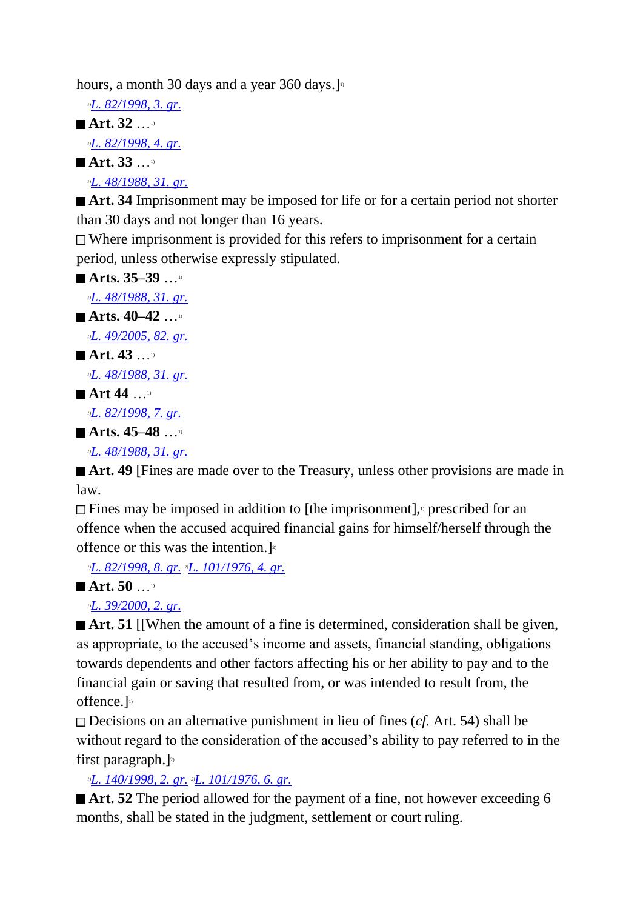hours, a month 30 days and a year 360 days. $]$ <sup>11</sup>

*1)[L. 82/1998, 3. gr.](http://www.althingi.is/altext/stjt/1998.082.html)* **Art. 32** …1) *1)[L. 82/1998, 4. gr.](http://www.althingi.is/altext/stjt/1998.082.html)* ■ Art. 33 … *1)[L. 48/1988, 31. gr.](http://www.althingi.is/altext/stjt/1988.048.html)*

■ **Art. 34** Imprisonment may be imposed for life or for a certain period not shorter than 30 days and not longer than 16 years.

 $\Box$  Where imprisonment is provided for this refers to imprisonment for a certain period, unless otherwise expressly stipulated.

```
Arts. 35–39 …<sup>1)</sup>
  1)L. 48/1988, 31. gr.
Arts. 40–42 …<sup>1)</sup>
  1)L. 49/2005, 82. gr.
<sup>1)</sup>
  1)L. 48/1988, 31. gr.
■ Art 44 …<sup>1)</sup>
  1)L. 82/1998, 7. gr.
■ Arts. 45–48
  1)L. 48/1988, 31. gr.
```
■ **Art. 49** [Fines are made over to the Treasury, unless other provisions are made in law.

 $\Box$  Fines may be imposed in addition to [the imprisonment],<sup>11</sup> prescribed for an offence when the accused acquired financial gains for himself/herself through the offence or this was the intention.]<sup>21</sup>

*1)[L. 82/1998, 8. gr.](http://www.althingi.is/altext/stjt/1998.082.html) 2)[L. 101/1976, 4. gr.](http://www.althingi.is/altext/stjtnr.html#1976101?g4)*

 $\blacksquare$  Art. 50 …<sup>1)</sup>

*1)[L. 39/2000, 2. gr.](http://www.althingi.is/altext/stjt/2000.039.html)*

■ **Art. 51** [[When the amount of a fine is determined, consideration shall be given, as appropriate, to the accused's income and assets, financial standing, obligations towards dependents and other factors affecting his or her ability to pay and to the financial gain or saving that resulted from, or was intended to result from, the offence.]<sup>1)</sup>

Decisions on an alternative punishment in lieu of fines (*cf.* Art. 54) shall be without regard to the consideration of the accused's ability to pay referred to in the first paragraph.] $20$ 

*1)[L. 140/1998, 2. gr.](http://www.althingi.is/altext/stjt/1998.140.html) 2)[L. 101/1976, 6. gr.](http://www.althingi.is/altext/stjtnr.html#1976101?g6)*

■ **Art. 52** The period allowed for the payment of a fine, not however exceeding 6 months, shall be stated in the judgment, settlement or court ruling.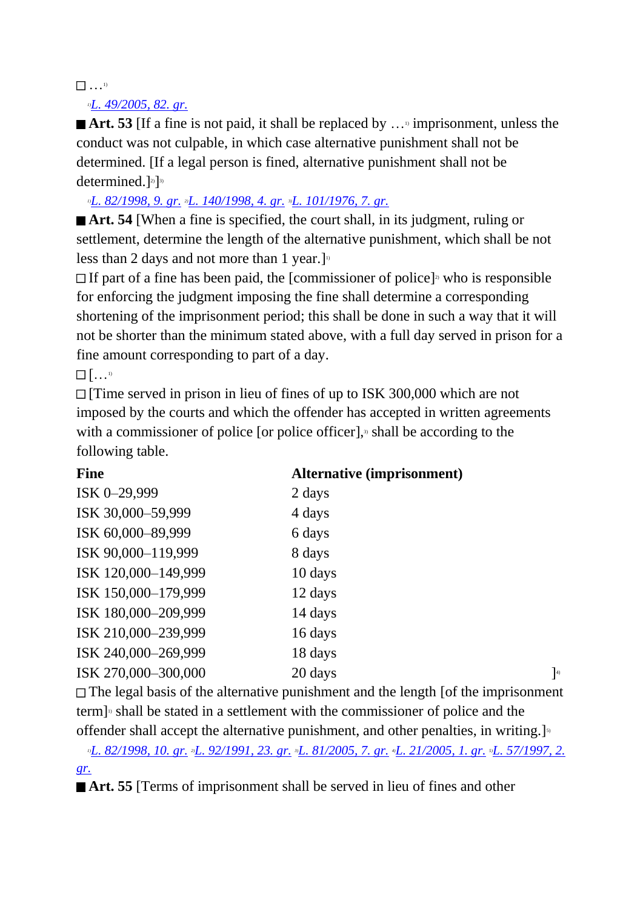## $\begin{array}{ccc} & & & 1 \end{array}$

## *1)[L. 49/2005, 82. gr.](http://www.althingi.is/altext/stjt/2005.049.html#G82)*

■ **Art. 53** [If a fine is not paid, it shall be replaced by …<sup>1</sup> imprisonment, unless the conduct was not culpable, in which case alternative punishment shall not be determined. [If a legal person is fined, alternative punishment shall not be determined.]<sup>2)</sup>]<sup>3)</sup>

*1)[L. 82/1998, 9. gr.](http://www.althingi.is/altext/stjt/1998.082.html) 2)[L. 140/1998, 4. gr.](http://www.althingi.is/altext/stjt/1998.140.html) 3)[L. 101/1976, 7. gr.](http://www.althingi.is/altext/stjtnr.html#1976101?g7)*

**Art. 54** [When a fine is specified, the court shall, in its judgment, ruling or settlement, determine the length of the alternative punishment, which shall be not less than 2 days and not more than 1 year.]<sup>10</sup>

If part of a fine has been paid, the [commissioner of police]<sup> $\alpha$ </sup> who is responsible for enforcing the judgment imposing the fine shall determine a corresponding shortening of the imprisonment period; this shall be done in such a way that it will not be shorter than the minimum stated above, with a full day served in prison for a fine amount corresponding to part of a day.

 $\begin{bmatrix} 1 & 1 \\ 1 & 1 \end{bmatrix}$ 

[Time served in prison in lieu of fines of up to ISK 300,000 which are not imposed by the courts and which the offender has accepted in written agreements with a commissioner of police [or police officer],<sup> $\alpha$ </sup> shall be according to the following table.

| <b>Fine</b>         | <b>Alternative (imprisonment)</b> |               |
|---------------------|-----------------------------------|---------------|
| ISK 0-29,999        | 2 days                            |               |
| ISK 30,000-59,999   | 4 days                            |               |
| ISK 60,000-89,999   | 6 days                            |               |
| ISK 90,000-119,999  | 8 days                            |               |
| ISK 120,000-149,999 | 10 days                           |               |
| ISK 150,000-179,999 | 12 days                           |               |
| ISK 180,000-209,999 | 14 days                           |               |
| ISK 210,000-239,999 | 16 days                           |               |
| ISK 240,000-269,999 | 18 days                           |               |
| ISK 270,000-300,000 | 20 days                           | $\Big]^{(4)}$ |
|                     |                                   |               |

 $\Box$  The legal basis of the alternative punishment and the length [of the imprisonment term] 1) shall be stated in a settlement with the commissioner of police and the offender shall accept the alternative punishment, and other penalties, in writing.]<sup>5</sup>

*1)[L. 82/1998, 10. gr.](http://www.althingi.is/altext/stjt/1998.082.html) 2)[L. 92/1991, 23. gr.](http://www.althingi.is/altext/stjt/1991.092.html) 3)[L. 81/2005, 7. gr.](http://www.althingi.is/altext/stjt/2005.081.html) 4)[L. 21/2005, 1. gr.](http://www.althingi.is/altext/stjt/2005.021.html) 5)[L. 57/1997, 2.](http://www.althingi.is/altext/stjt/1997.057.html)  [gr.](http://www.althingi.is/altext/stjt/1997.057.html)*

**Art. 55** [Terms of imprisonment shall be served in lieu of fines and other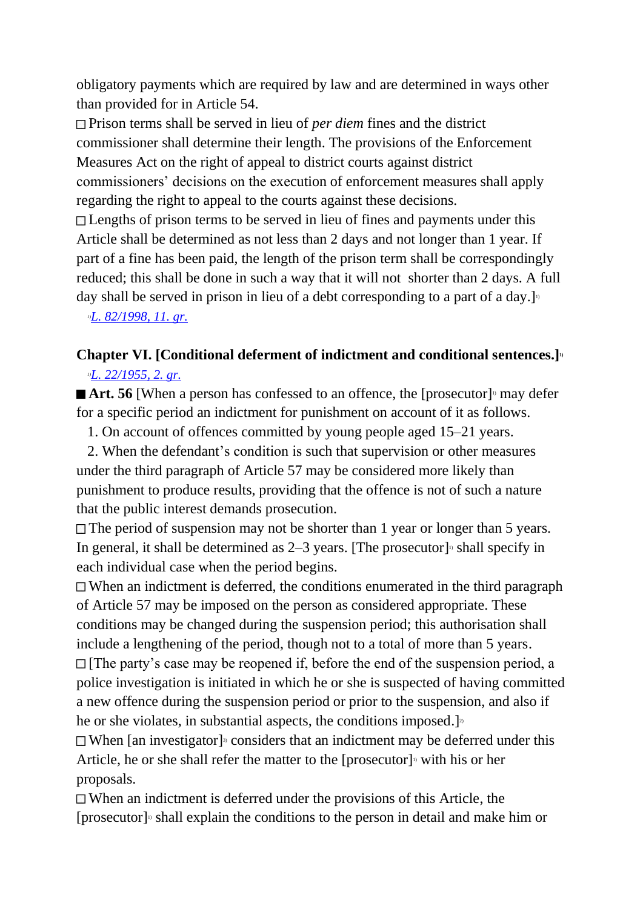obligatory payments which are required by law and are determined in ways other than provided for in Article 54.

Prison terms shall be served in lieu of *per diem* fines and the district commissioner shall determine their length. The provisions of the Enforcement Measures Act on the right of appeal to district courts against district commissioners' decisions on the execution of enforcement measures shall apply regarding the right to appeal to the courts against these decisions.

□ Lengths of prison terms to be served in lieu of fines and payments under this Article shall be determined as not less than 2 days and not longer than 1 year. If part of a fine has been paid, the length of the prison term shall be correspondingly reduced; this shall be done in such a way that it will not shorter than 2 days. A full day shall be served in prison in lieu of a debt corresponding to a part of a day.

*1)[L. 82/1998, 11. gr.](http://www.althingi.is/altext/stjt/1998.082.html)*

## **Chapter VI. [Conditional deferment of indictment and conditional sentences.]1)** *1)[L. 22/1955, 2. gr.](http://www.althingi.is/altext/stjtnr.html#1955022?g2)*

Art. 56 [When a person has confessed to an offence, the [prosecutor]<sup>5</sup> may defer for a specific period an indictment for punishment on account of it as follows.

1. On account of offences committed by young people aged 15–21 years.

 2. When the defendant's condition is such that supervision or other measures under the third paragraph of Article 57 may be considered more likely than punishment to produce results, providing that the offence is not of such a nature that the public interest demands prosecution.

 $\Box$  The period of suspension may not be shorter than 1 year or longer than 5 years. In general, it shall be determined as  $2-3$  years. [The prosecutor]<sup>1</sup> shall specify in each individual case when the period begins.

When an indictment is deferred, the conditions enumerated in the third paragraph of Article 57 may be imposed on the person as considered appropriate. These conditions may be changed during the suspension period; this authorisation shall include a lengthening of the period, though not to a total of more than 5 years.  $\Box$  [The party's case may be reopened if, before the end of the suspension period, a police investigation is initiated in which he or she is suspected of having committed a new offence during the suspension period or prior to the suspension, and also if he or she violates, in substantial aspects, the conditions imposed.]<sup>2</sup>

When [an investigator]<sup>3</sup> considers that an indictment may be deferred under this Article, he or she shall refer the matter to the [prosecutor]<sup> $\alpha$ </sup> with his or her proposals.

When an indictment is deferred under the provisions of this Article, the [prosecutor] 1) shall explain the conditions to the person in detail and make him or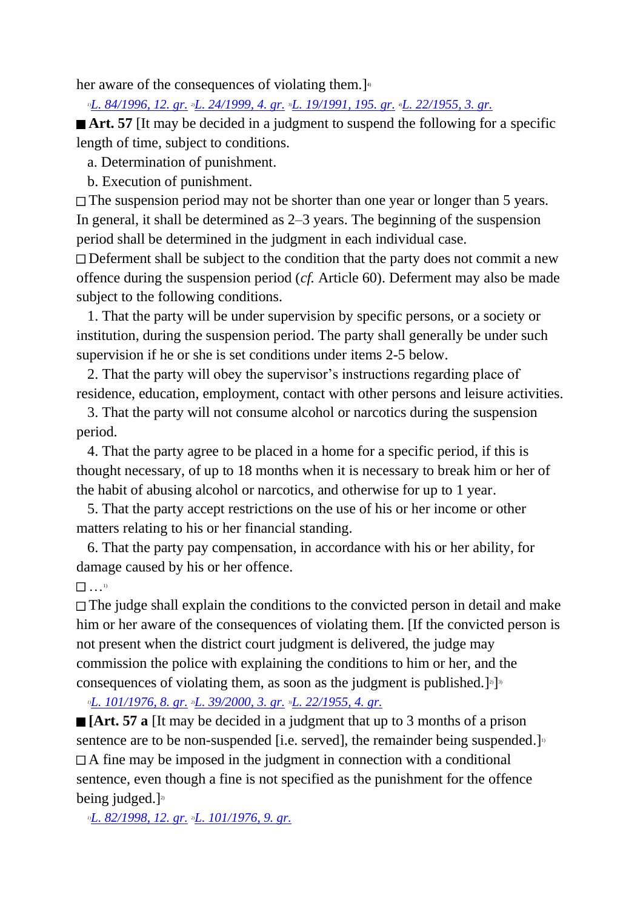her aware of the consequences of violating them.]<sup>4</sup>

*1)[L. 84/1996, 12. gr.](http://www.althingi.is/altext/stjt/1996.084.html) 2)[L. 24/1999, 4. gr.](http://www.althingi.is/altext/stjt/1999.024.html) 3)[L. 19/1991, 195. gr.](http://www.althingi.is/altext/stjt/1991.019.html) 4)[L. 22/1955, 3. gr.](http://www.althingi.is/altext/stjtnr.html#1955022?g3)*

■ **Art.** 57 IIt may be decided in a judgment to suspend the following for a specific length of time, subject to conditions.

a. Determination of punishment.

b. Execution of punishment.

The suspension period may not be shorter than one year or longer than 5 years. In general, it shall be determined as 2–3 years. The beginning of the suspension period shall be determined in the judgment in each individual case.

Deferment shall be subject to the condition that the party does not commit a new offence during the suspension period (*cf.* Article 60). Deferment may also be made subject to the following conditions.

 1. That the party will be under supervision by specific persons, or a society or institution, during the suspension period. The party shall generally be under such supervision if he or she is set conditions under items 2-5 below.

 2. That the party will obey the supervisor's instructions regarding place of residence, education, employment, contact with other persons and leisure activities.

 3. That the party will not consume alcohol or narcotics during the suspension period.

 4. That the party agree to be placed in a home for a specific period, if this is thought necessary, of up to 18 months when it is necessary to break him or her of the habit of abusing alcohol or narcotics, and otherwise for up to 1 year.

 5. That the party accept restrictions on the use of his or her income or other matters relating to his or her financial standing.

 6. That the party pay compensation, in accordance with his or her ability, for damage caused by his or her offence.

## $\mathbb{R}$  ...<sup>1)</sup>

The judge shall explain the conditions to the convicted person in detail and make him or her aware of the consequences of violating them. [If the convicted person is not present when the district court judgment is delivered, the judge may commission the police with explaining the conditions to him or her, and the consequences of violating them, as soon as the judgment is published.  $]$ <sup>3</sup>]<sup>3</sup>

*1)[L. 101/1976, 8. gr.](http://www.althingi.is/altext/stjtnr.html#1976101?g8) 2)[L. 39/2000, 3. gr.](http://www.althingi.is/altext/stjt/2000.039.html) 3)[L. 22/1955, 4. gr.](http://www.althingi.is/altext/stjtnr.html#1955022?g4)*

**[Art. 57 a** IIt may be decided in a judgment that up to 3 months of a prison sentence are to be non-suspended [i.e. served], the remainder being suspended.]<sup>1)</sup>  $\Box$  A fine may be imposed in the judgment in connection with a conditional sentence, even though a fine is not specified as the punishment for the offence being judged.] $2$ 

*1)[L. 82/1998, 12. gr.](http://www.althingi.is/altext/stjt/1998.082.html) 2)[L. 101/1976, 9. gr.](http://www.althingi.is/altext/stjtnr.html#1976101?g9)*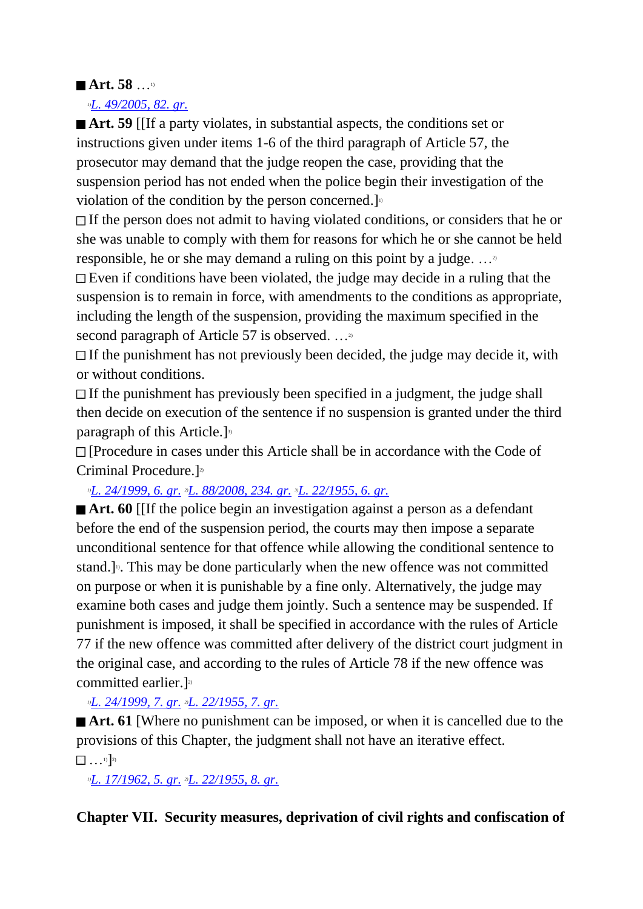## **Art. 58** …1)

*1)[L. 49/2005, 82. gr.](http://www.althingi.is/altext/stjt/2005.049.html#G82)*

**Art. 59** [If a party violates, in substantial aspects, the conditions set or instructions given under items 1-6 of the third paragraph of Article 57, the prosecutor may demand that the judge reopen the case, providing that the suspension period has not ended when the police begin their investigation of the violation of the condition by the person concerned.]<sup>10</sup>

If the person does not admit to having violated conditions, or considers that he or she was unable to comply with them for reasons for which he or she cannot be held responsible, he or she may demand a ruling on this point by a judge. …2)

 $\Box$  Even if conditions have been violated, the judge may decide in a ruling that the suspension is to remain in force, with amendments to the conditions as appropriate, including the length of the suspension, providing the maximum specified in the second paragraph of Article 57 is observed. ...<sup>2)</sup>

 $\Box$  If the punishment has not previously been decided, the judge may decide it, with or without conditions.

 $\Box$  If the punishment has previously been specified in a judgment, the judge shall then decide on execution of the sentence if no suspension is granted under the third paragraph of this Article.]<sup>33</sup>

[Procedure in cases under this Article shall be in accordance with the Code of Criminal Procedure.]<sup>21</sup>

*1)[L. 24/1999, 6. gr.](http://www.althingi.is/altext/stjt/1999.024.html) 2)[L. 88/2008, 234. gr.](http://www.althingi.is/altext/stjt/2008.088.html#G234) 3)[L. 22/1955, 6. gr.](http://www.althingi.is/altext/stjtnr.html#1955022?g6)*

**Art. 60** [If the police begin an investigation against a person as a defendant before the end of the suspension period, the courts may then impose a separate unconditional sentence for that offence while allowing the conditional sentence to stand.]<sup> $\beta$ </sup>. This may be done particularly when the new offence was not committed on purpose or when it is punishable by a fine only. Alternatively, the judge may examine both cases and judge them jointly. Such a sentence may be suspended. If punishment is imposed, it shall be specified in accordance with the rules of Article 77 if the new offence was committed after delivery of the district court judgment in the original case, and according to the rules of Article 78 if the new offence was committed earlier.] 2)

*1)[L. 24/1999, 7. gr.](http://www.althingi.is/altext/stjt/1999.024.html) 2)[L. 22/1955, 7. gr.](http://www.althingi.is/altext/stjtnr.html#1955022?g7)*

■ **Art. 61** [Where no punishment can be imposed, or when it is cancelled due to the provisions of this Chapter, the judgment shall not have an iterative effect.  $\ldots$ <sup>1)</sup>]<sup>2)</sup>

*1)[L. 17/1962, 5. gr.](http://www.althingi.is/altext/stjtnr.html#1962017?g5) 2)[L. 22/1955, 8. gr.](http://www.althingi.is/altext/stjtnr.html#1955022?g8)*

**Chapter VII. Security measures, deprivation of civil rights and confiscation of**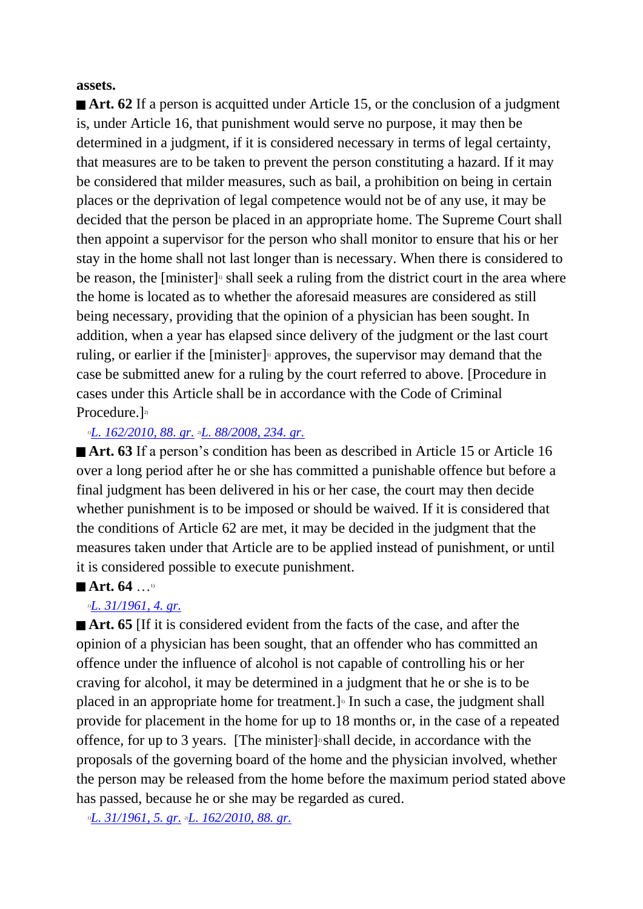#### **assets.**

■ **Art. 62** If a person is acquitted under Article 15, or the conclusion of a judgment is, under Article 16, that punishment would serve no purpose, it may then be determined in a judgment, if it is considered necessary in terms of legal certainty, that measures are to be taken to prevent the person constituting a hazard. If it may be considered that milder measures, such as bail, a prohibition on being in certain places or the deprivation of legal competence would not be of any use, it may be decided that the person be placed in an appropriate home. The Supreme Court shall then appoint a supervisor for the person who shall monitor to ensure that his or her stay in the home shall not last longer than is necessary. When there is considered to be reason, the [minister]<sup>1</sup> shall seek a ruling from the district court in the area where the home is located as to whether the aforesaid measures are considered as still being necessary, providing that the opinion of a physician has been sought. In addition, when a year has elapsed since delivery of the judgment or the last court ruling, or earlier if the [minister]<sup>1</sup> approves, the supervisor may demand that the case be submitted anew for a ruling by the court referred to above. [Procedure in cases under this Article shall be in accordance with the Code of Criminal Procedure.<sup>]2)</sup>

#### *1)[L. 162/2010, 88. gr.](http://www.althingi.is/altext/stjt/2010.162.html) 2)[L. 88/2008, 234. gr.](http://www.althingi.is/altext/stjt/2008.088.html#G234)*

■ **Art. 63** If a person's condition has been as described in Article 15 or Article 16 over a long period after he or she has committed a punishable offence but before a final judgment has been delivered in his or her case, the court may then decide whether punishment is to be imposed or should be waived. If it is considered that the conditions of Article 62 are met, it may be decided in the judgment that the measures taken under that Article are to be applied instead of punishment, or until it is considered possible to execute punishment.

#### ■ Art. 64 …<sup>1)</sup>

#### *1)[L. 31/1961, 4. gr.](http://www.althingi.is/altext/stjtnr.html#1961031?g4)*

**Art. 65** [If it is considered evident from the facts of the case, and after the opinion of a physician has been sought, that an offender who has committed an offence under the influence of alcohol is not capable of controlling his or her craving for alcohol, it may be determined in a judgment that he or she is to be placed in an appropriate home for treatment.]<sup>1</sup> In such a case, the judgment shall provide for placement in the home for up to 18 months or, in the case of a repeated offence, for up to 3 years. [The minister]<sup>3</sup> shall decide, in accordance with the proposals of the governing board of the home and the physician involved, whether the person may be released from the home before the maximum period stated above has passed, because he or she may be regarded as cured.

*1)[L. 31/1961, 5. gr.](http://www.althingi.is/altext/stjtnr.html#1961031?g5) 2)[L. 162/2010, 88. gr.](http://www.althingi.is/altext/stjt/2010.162.html)*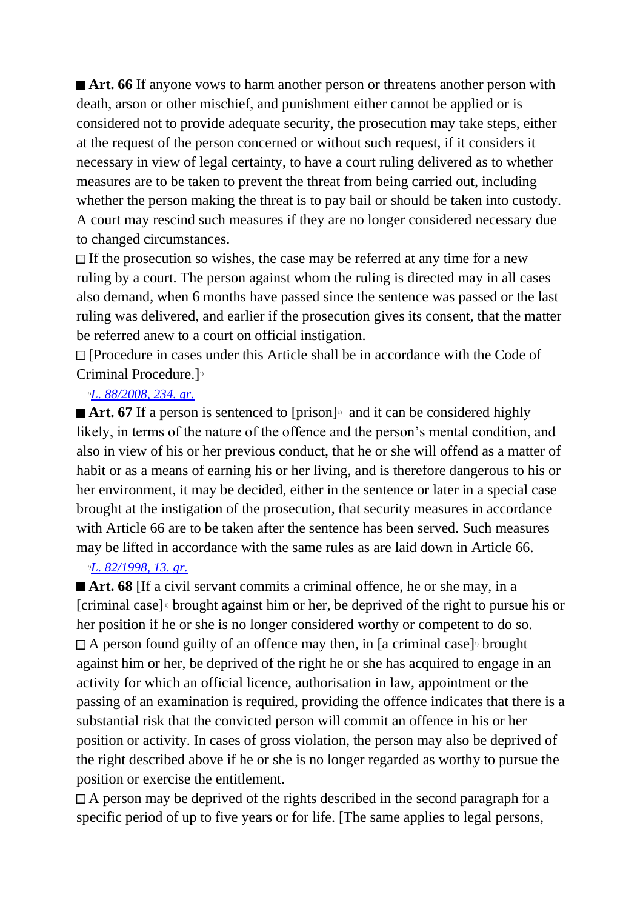**Art. 66** If anyone vows to harm another person or threatens another person with death, arson or other mischief, and punishment either cannot be applied or is considered not to provide adequate security, the prosecution may take steps, either at the request of the person concerned or without such request, if it considers it necessary in view of legal certainty, to have a court ruling delivered as to whether measures are to be taken to prevent the threat from being carried out, including whether the person making the threat is to pay bail or should be taken into custody. A court may rescind such measures if they are no longer considered necessary due to changed circumstances.

If the prosecution so wishes, the case may be referred at any time for a new ruling by a court. The person against whom the ruling is directed may in all cases also demand, when 6 months have passed since the sentence was passed or the last ruling was delivered, and earlier if the prosecution gives its consent, that the matter be referred anew to a court on official instigation.

[Procedure in cases under this Article shall be in accordance with the Code of Criminal Procedure.]<sup>11</sup>

#### *1)[L. 88/2008, 234. gr.](http://www.althingi.is/altext/stjt/2008.088.html#G234)*

**■ Art. 67** If a person is sentenced to [prison]<sup>11</sup> and it can be considered highly likely, in terms of the nature of the offence and the person's mental condition, and also in view of his or her previous conduct, that he or she will offend as a matter of habit or as a means of earning his or her living, and is therefore dangerous to his or her environment, it may be decided, either in the sentence or later in a special case brought at the instigation of the prosecution, that security measures in accordance with Article 66 are to be taken after the sentence has been served. Such measures may be lifted in accordance with the same rules as are laid down in Article 66.

#### *1)[L. 82/1998, 13. gr.](http://www.althingi.is/altext/stjt/1998.082.html)*

**Art. 68** If a civil servant commits a criminal offence, he or she may, in a [criminal case] 1) brought against him or her, be deprived of the right to pursue his or her position if he or she is no longer considered worthy or competent to do so.  $\Box$  A person found guilty of an offence may then, in [a criminal case]<sup>1</sup> brought against him or her, be deprived of the right he or she has acquired to engage in an activity for which an official licence, authorisation in law, appointment or the passing of an examination is required, providing the offence indicates that there is a substantial risk that the convicted person will commit an offence in his or her position or activity. In cases of gross violation, the person may also be deprived of the right described above if he or she is no longer regarded as worthy to pursue the position or exercise the entitlement.

 $A$  person may be deprived of the rights described in the second paragraph for a specific period of up to five years or for life. [The same applies to legal persons,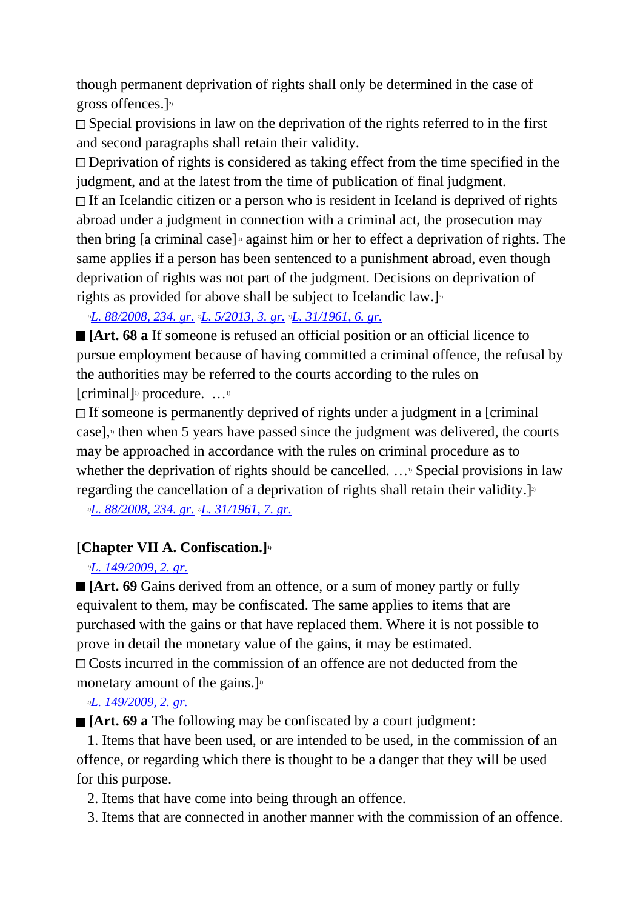though permanent deprivation of rights shall only be determined in the case of gross offences.] 2)

 $\Box$  Special provisions in law on the deprivation of the rights referred to in the first and second paragraphs shall retain their validity.

Deprivation of rights is considered as taking effect from the time specified in the judgment, and at the latest from the time of publication of final judgment.

If an Icelandic citizen or a person who is resident in Iceland is deprived of rights abroad under a judgment in connection with a criminal act, the prosecution may then bring [a criminal case]  $\alpha$  against him or her to effect a deprivation of rights. The same applies if a person has been sentenced to a punishment abroad, even though deprivation of rights was not part of the judgment. Decisions on deprivation of rights as provided for above shall be subject to Icelandic law.]<sup>3)</sup>

*1)[L. 88/2008, 234. gr.](http://www.althingi.is/altext/stjt/2008.088.html#G234) 2)[L. 5/2013, 3.](http://www.althingi.is/altext/stjt/2013.005.html) gr. 3)[L. 31/1961, 6. gr.](http://www.althingi.is/altext/stjtnr.html#1961031?g6)*

**[Art. 68 a** If someone is refused an official position or an official licence to pursue employment because of having committed a criminal offence, the refusal by the authorities may be referred to the courts according to the rules on [criminal]<sup>11</sup> procedure.  $\dots$ <sup>11</sup>

If someone is permanently deprived of rights under a judgment in a [criminal case], $\theta$  then when 5 years have passed since the judgment was delivered, the courts may be approached in accordance with the rules on criminal procedure as to whether the deprivation of rights should be cancelled.  $\ldots$ <sup>9</sup> Special provisions in law regarding the cancellation of a deprivation of rights shall retain their validity.]<sup>21</sup>

*1)[L. 88/2008, 234. gr.](http://www.althingi.is/altext/stjt/2008.088.html#G234) 2)[L. 31/1961, 7. gr.](http://www.althingi.is/altext/stjtnr.html#1961031?g7)*

## **[Chapter VII A. Confiscation.]1)**

## *1)[L. 149/2009, 2. gr.](http://www.althingi.is/altext/stjt/2009.149.html)*

**[Art. 69** Gains derived from an offence, or a sum of money partly or fully equivalent to them, may be confiscated. The same applies to items that are purchased with the gains or that have replaced them. Where it is not possible to prove in detail the monetary value of the gains, it may be estimated. Costs incurred in the commission of an offence are not deducted from the monetary amount of the gains.] $\frac{1}{10}$ 

## *1)[L. 149/2009, 2. gr.](http://www.althingi.is/altext/stjt/2009.149.html)*

**[Art. 69 a** The following may be confiscated by a court judgment:

 1. Items that have been used, or are intended to be used, in the commission of an offence, or regarding which there is thought to be a danger that they will be used for this purpose.

- 2. Items that have come into being through an offence.
- 3. Items that are connected in another manner with the commission of an offence.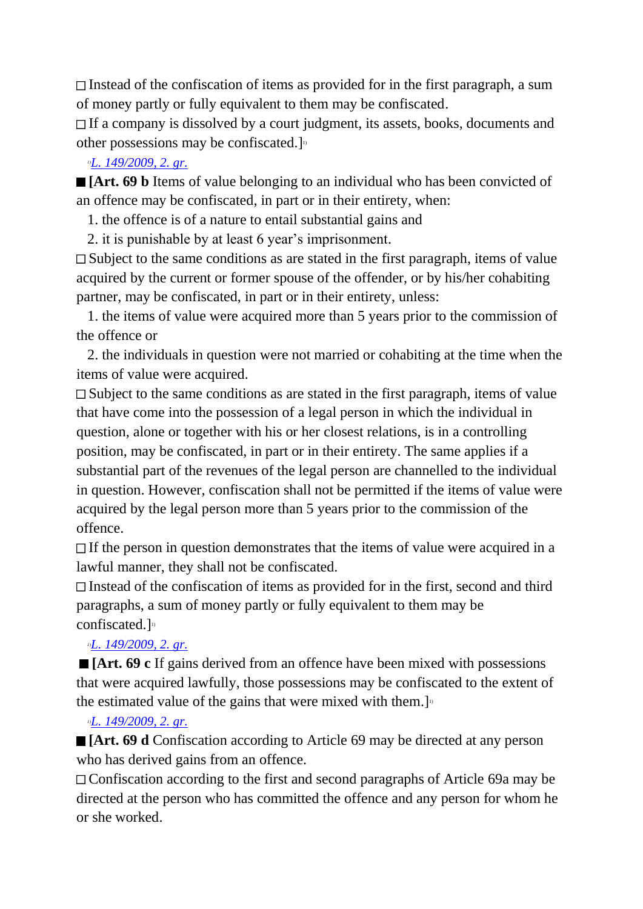$\Box$  Instead of the confiscation of items as provided for in the first paragraph, a sum of money partly or fully equivalent to them may be confiscated.

 $\Box$  If a company is dissolved by a court judgment, its assets, books, documents and other possessions may be confiscated.]<sup>10</sup>

## *1)[L. 149/2009, 2. gr.](http://www.althingi.is/altext/stjt/2009.149.html)*

**[Art. 69 b** Items of value belonging to an individual who has been convicted of an offence may be confiscated, in part or in their entirety, when:

- 1. the offence is of a nature to entail substantial gains and
- 2. it is punishable by at least 6 year's imprisonment.

Subject to the same conditions as are stated in the first paragraph, items of value acquired by the current or former spouse of the offender, or by his/her cohabiting partner, may be confiscated, in part or in their entirety, unless:

 1. the items of value were acquired more than 5 years prior to the commission of the offence or

 2. the individuals in question were not married or cohabiting at the time when the items of value were acquired.

Subject to the same conditions as are stated in the first paragraph, items of value that have come into the possession of a legal person in which the individual in question, alone or together with his or her closest relations, is in a controlling position, may be confiscated, in part or in their entirety. The same applies if a substantial part of the revenues of the legal person are channelled to the individual in question. However, confiscation shall not be permitted if the items of value were acquired by the legal person more than 5 years prior to the commission of the offence.

 $\Box$  If the person in question demonstrates that the items of value were acquired in a lawful manner, they shall not be confiscated.

Instead of the confiscation of items as provided for in the first, second and third paragraphs, a sum of money partly or fully equivalent to them may be confiscated.] 1)

## *1)[L. 149/2009, 2. gr.](http://www.althingi.is/altext/stjt/2009.149.html)*

**[Art. 69 c** If gains derived from an offence have been mixed with possessions that were acquired lawfully, those possessions may be confiscated to the extent of the estimated value of the gains that were mixed with them. $\mathbf{I}^{\text{D}}$ 

## *1)[L. 149/2009, 2. gr.](http://www.althingi.is/altext/stjt/2009.149.html)*

**[Art. 69 d** Confiscation according to Article 69 may be directed at any person who has derived gains from an offence.

Confiscation according to the first and second paragraphs of Article 69a may be directed at the person who has committed the offence and any person for whom he or she worked.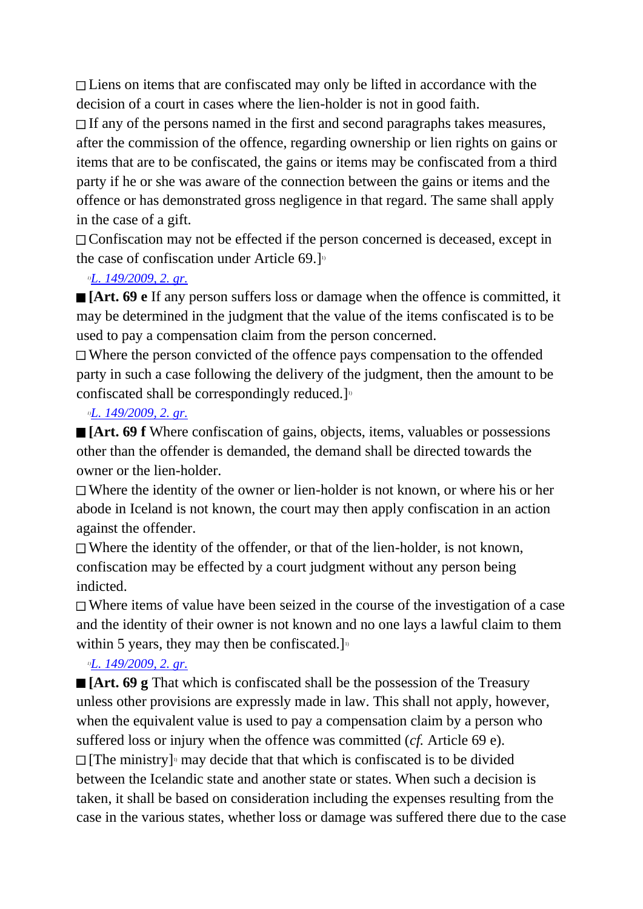Liens on items that are confiscated may only be lifted in accordance with the decision of a court in cases where the lien-holder is not in good faith.

 $\Box$  If any of the persons named in the first and second paragraphs takes measures, after the commission of the offence, regarding ownership or lien rights on gains or items that are to be confiscated, the gains or items may be confiscated from a third party if he or she was aware of the connection between the gains or items and the offence or has demonstrated gross negligence in that regard. The same shall apply in the case of a gift.

Confiscation may not be effected if the person concerned is deceased, except in the case of confiscation under Article 69.]<sup>11</sup>

### *1)[L. 149/2009, 2. gr.](http://www.althingi.is/altext/stjt/2009.149.html)*

**[Art. 69 e** If any person suffers loss or damage when the offence is committed, it may be determined in the judgment that the value of the items confiscated is to be used to pay a compensation claim from the person concerned.

Where the person convicted of the offence pays compensation to the offended party in such a case following the delivery of the judgment, then the amount to be confiscated shall be correspondingly reduced.]<sup>10</sup>

#### *1)[L. 149/2009, 2. gr.](http://www.althingi.is/altext/stjt/2009.149.html)*

**[Art. 69 f** Where confiscation of gains, objects, items, valuables or possessions other than the offender is demanded, the demand shall be directed towards the owner or the lien-holder.

Where the identity of the owner or lien-holder is not known, or where his or her abode in Iceland is not known, the court may then apply confiscation in an action against the offender.

 $\Box$  Where the identity of the offender, or that of the lien-holder, is not known, confiscation may be effected by a court judgment without any person being indicted.

Where items of value have been seized in the course of the investigation of a case and the identity of their owner is not known and no one lays a lawful claim to them within 5 years, they may then be confiscated.]<sup>10</sup>

## *1)[L. 149/2009, 2. gr.](http://www.althingi.is/altext/stjt/2009.149.html)*

**[Art. 69 g** That which is confiscated shall be the possession of the Treasury unless other provisions are expressly made in law. This shall not apply, however, when the equivalent value is used to pay a compensation claim by a person who suffered loss or injury when the offence was committed (*cf.* Article 69 e). [The ministry] 1) may decide that that which is confiscated is to be divided between the Icelandic state and another state or states. When such a decision is taken, it shall be based on consideration including the expenses resulting from the case in the various states, whether loss or damage was suffered there due to the case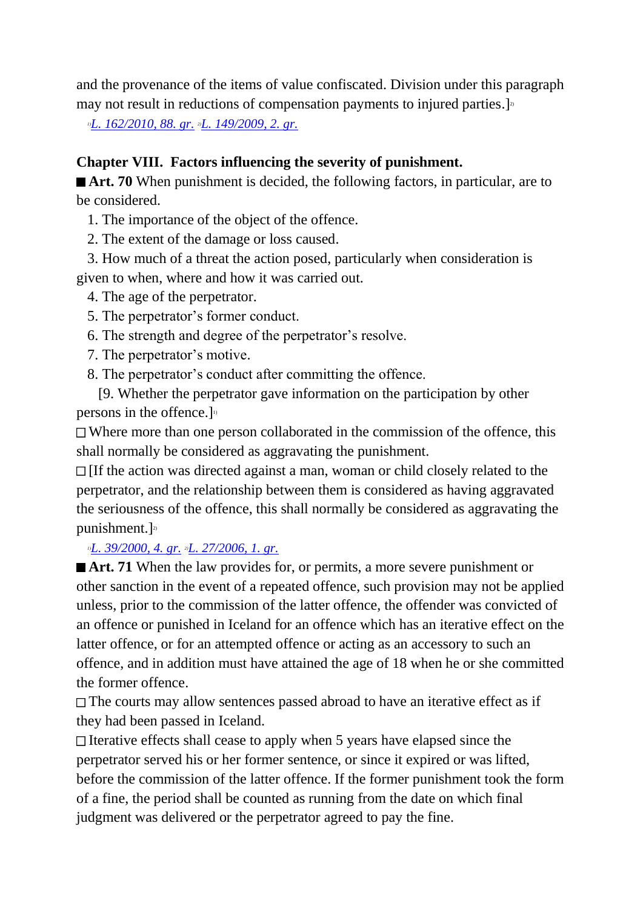and the provenance of the items of value confiscated. Division under this paragraph may not result in reductions of compensation payments to injured parties.]<sup>2</sup>

*1)[L. 162/2010, 88. gr.](http://www.althingi.is/altext/stjt/2010.162.html) 2)[L. 149/2009, 2. gr.](http://www.althingi.is/altext/stjt/2009.149.html)*

#### **Chapter VIII. Factors influencing the severity of punishment.**

■ **Art. 70** When punishment is decided, the following factors, in particular, are to be considered.

- 1. The importance of the object of the offence.
- 2. The extent of the damage or loss caused.
- 3. How much of a threat the action posed, particularly when consideration is given to when, where and how it was carried out.
	- 4. The age of the perpetrator.
	- 5. The perpetrator's former conduct.
	- 6. The strength and degree of the perpetrator's resolve.
	- 7. The perpetrator's motive.
	- 8. The perpetrator's conduct after committing the offence.
- [9. Whether the perpetrator gave information on the participation by other persons in the offence.] 1)

Where more than one person collaborated in the commission of the offence, this shall normally be considered as aggravating the punishment.

[If the action was directed against a man, woman or child closely related to the perpetrator, and the relationship between them is considered as having aggravated the seriousness of the offence, this shall normally be considered as aggravating the punishment.] 2)

#### *1)[L. 39/2000, 4. gr.](http://www.althingi.is/altext/stjt/2000.039.html) 2)[L. 27/2006, 1. gr.](http://www.althingi.is/altext/stjt/2006.027.html)*

**Art. 71** When the law provides for, or permits, a more severe punishment or other sanction in the event of a repeated offence, such provision may not be applied unless, prior to the commission of the latter offence, the offender was convicted of an offence or punished in Iceland for an offence which has an iterative effect on the latter offence, or for an attempted offence or acting as an accessory to such an offence, and in addition must have attained the age of 18 when he or she committed the former offence.

The courts may allow sentences passed abroad to have an iterative effect as if they had been passed in Iceland.

 $\Box$  Iterative effects shall cease to apply when 5 years have elapsed since the perpetrator served his or her former sentence, or since it expired or was lifted, before the commission of the latter offence. If the former punishment took the form of a fine, the period shall be counted as running from the date on which final judgment was delivered or the perpetrator agreed to pay the fine.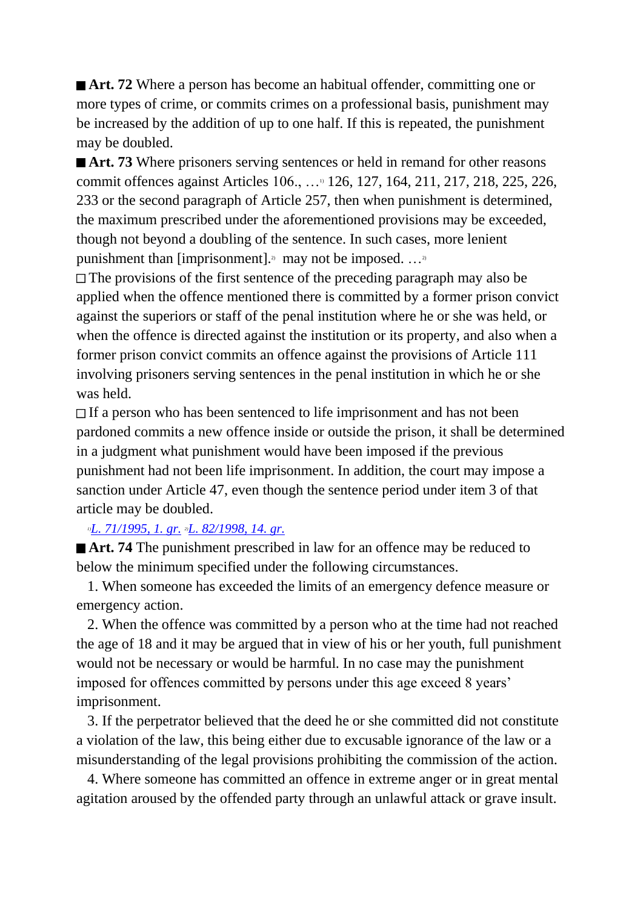■ **Art. 72** Where a person has become an habitual offender, committing one or more types of crime, or commits crimes on a professional basis, punishment may be increased by the addition of up to one half. If this is repeated, the punishment may be doubled.

■ **Art. 73** Where prisoners serving sentences or held in remand for other reasons commit offences against Articles 106., …1) 126, 127, 164, 211, 217, 218, 225, 226, 233 or the second paragraph of Article 257, then when punishment is determined, the maximum prescribed under the aforementioned provisions may be exceeded, though not beyond a doubling of the sentence. In such cases, more lenient punishment than [imprisonment].<sup>2)</sup> may not be imposed.  $\dots$ <sup>2</sup>

 $\Box$  The provisions of the first sentence of the preceding paragraph may also be applied when the offence mentioned there is committed by a former prison convict against the superiors or staff of the penal institution where he or she was held, or when the offence is directed against the institution or its property, and also when a former prison convict commits an offence against the provisions of Article 111 involving prisoners serving sentences in the penal institution in which he or she was held.

If a person who has been sentenced to life imprisonment and has not been pardoned commits a new offence inside or outside the prison, it shall be determined in a judgment what punishment would have been imposed if the previous punishment had not been life imprisonment. In addition, the court may impose a sanction under Article 47, even though the sentence period under item 3 of that article may be doubled.

#### *1)[L. 71/1995, 1. gr.](http://www.althingi.is/altext/stjt/1995.071.html) 2)[L. 82/1998, 14. gr.](http://www.althingi.is/altext/stjt/1998.082.html)*

**Art. 74** The punishment prescribed in law for an offence may be reduced to below the minimum specified under the following circumstances.

 1. When someone has exceeded the limits of an emergency defence measure or emergency action.

 2. When the offence was committed by a person who at the time had not reached the age of 18 and it may be argued that in view of his or her youth, full punishment would not be necessary or would be harmful. In no case may the punishment imposed for offences committed by persons under this age exceed 8 years' imprisonment.

 3. If the perpetrator believed that the deed he or she committed did not constitute a violation of the law, this being either due to excusable ignorance of the law or a misunderstanding of the legal provisions prohibiting the commission of the action.

 4. Where someone has committed an offence in extreme anger or in great mental agitation aroused by the offended party through an unlawful attack or grave insult.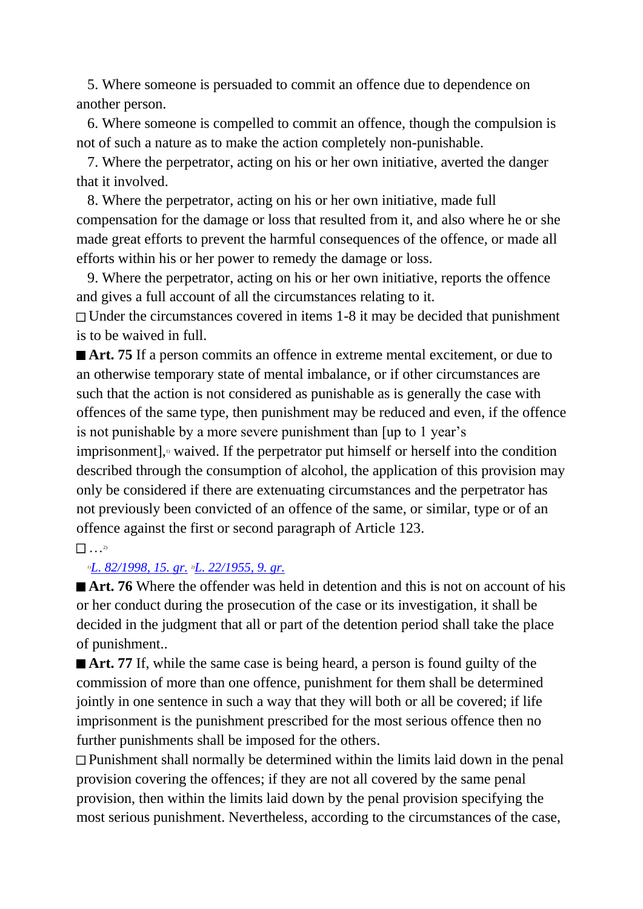5. Where someone is persuaded to commit an offence due to dependence on another person.

 6. Where someone is compelled to commit an offence, though the compulsion is not of such a nature as to make the action completely non-punishable.

 7. Where the perpetrator, acting on his or her own initiative, averted the danger that it involved.

 8. Where the perpetrator, acting on his or her own initiative, made full compensation for the damage or loss that resulted from it, and also where he or she made great efforts to prevent the harmful consequences of the offence, or made all efforts within his or her power to remedy the damage or loss.

 9. Where the perpetrator, acting on his or her own initiative, reports the offence and gives a full account of all the circumstances relating to it.

 $\Box$  Under the circumstances covered in items 1-8 it may be decided that punishment is to be waived in full.

■ **Art. 75** If a person commits an offence in extreme mental excitement, or due to an otherwise temporary state of mental imbalance, or if other circumstances are such that the action is not considered as punishable as is generally the case with offences of the same type, then punishment may be reduced and even, if the offence is not punishable by a more severe punishment than [up to 1 year's

imprisonment], $\alpha$  waived. If the perpetrator put himself or herself into the condition described through the consumption of alcohol, the application of this provision may only be considered if there are extenuating circumstances and the perpetrator has not previously been convicted of an offence of the same, or similar, type or of an offence against the first or second paragraph of Article 123.

#### $\cdots$ <sup>2)</sup>

#### *1)[L. 82/1998, 15. gr.](http://www.althingi.is/altext/stjt/1998.082.html) 2)[L. 22/1955, 9. gr.](http://www.althingi.is/altext/stjtnr.html#1955022?g9)*

■ **Art. 76** Where the offender was held in detention and this is not on account of his or her conduct during the prosecution of the case or its investigation, it shall be decided in the judgment that all or part of the detention period shall take the place of punishment..

Art. 77 If, while the same case is being heard, a person is found guilty of the commission of more than one offence, punishment for them shall be determined jointly in one sentence in such a way that they will both or all be covered; if life imprisonment is the punishment prescribed for the most serious offence then no further punishments shall be imposed for the others.

Punishment shall normally be determined within the limits laid down in the penal provision covering the offences; if they are not all covered by the same penal provision, then within the limits laid down by the penal provision specifying the most serious punishment. Nevertheless, according to the circumstances of the case,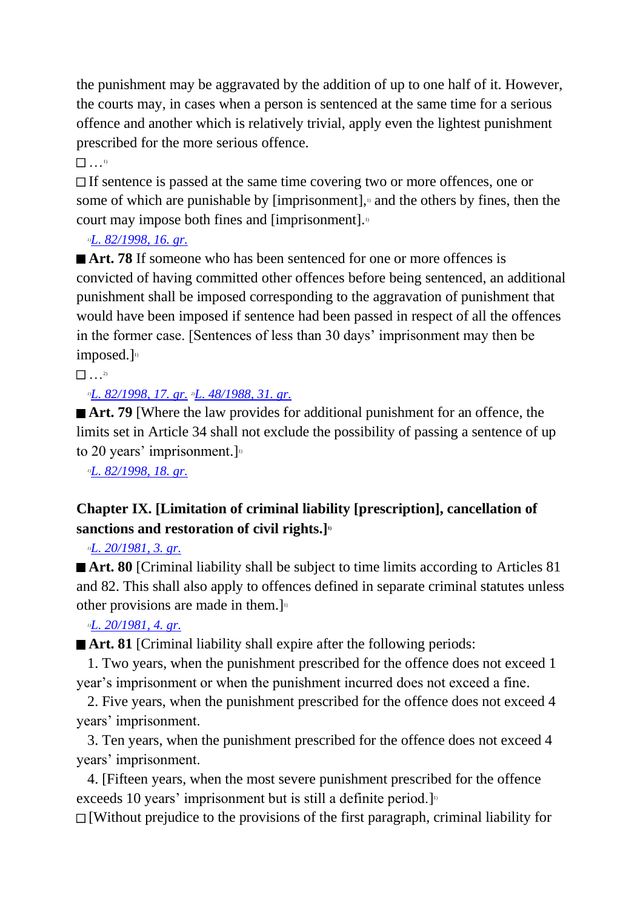the punishment may be aggravated by the addition of up to one half of it. However, the courts may, in cases when a person is sentenced at the same time for a serious offence and another which is relatively trivial, apply even the lightest punishment prescribed for the more serious offence.

 $\sim$  1)

If sentence is passed at the same time covering two or more offences, one or some of which are punishable by  $[imprisomment]$ , and the others by fines, then the court may impose both fines and [imprisonment].

*1)[L. 82/1998, 16. gr.](http://www.althingi.is/altext/stjt/1998.082.html)*

■ **Art. 78** If someone who has been sentenced for one or more offences is convicted of having committed other offences before being sentenced, an additional punishment shall be imposed corresponding to the aggravation of punishment that would have been imposed if sentence had been passed in respect of all the offences in the former case. [Sentences of less than 30 days' imprisonment may then be imposed. $]$ <sup>1)</sup>

 $\frac{1}{2}$  . . . 2)

*1)[L. 82/1998, 17. gr.](http://www.althingi.is/altext/stjt/1998.082.html) 2)[L. 48/1988, 31. gr.](http://www.althingi.is/altext/stjt/1988.048.html)*

■ **Art. 79** [Where the law provides for additional punishment for an offence, the limits set in Article 34 shall not exclude the possibility of passing a sentence of up to 20 years' imprisonment.]

*1)[L. 82/1998, 18. gr.](http://www.althingi.is/altext/stjt/1998.082.html)*

## **Chapter IX. [Limitation of criminal liability [prescription], cancellation of sanctions and restoration of civil rights.] 1)**

*1)[L. 20/1981, 3. gr.](http://www.althingi.is/altext/stjtnr.html#1981020?g3)*

**Art. 80** [Criminal liability shall be subject to time limits according to Articles 81 and 82. This shall also apply to offences defined in separate criminal statutes unless other provisions are made in them.]<sup>11</sup>

*1)[L. 20/1981, 4. gr.](http://www.althingi.is/altext/stjtnr.html#1981020?g4)*

■ **Art. 81** [Criminal liability shall expire after the following periods:

 1. Two years, when the punishment prescribed for the offence does not exceed 1 year's imprisonment or when the punishment incurred does not exceed a fine.

 2. Five years, when the punishment prescribed for the offence does not exceed 4 years' imprisonment.

 3. Ten years, when the punishment prescribed for the offence does not exceed 4 years' imprisonment.

 4. [Fifteen years, when the most severe punishment prescribed for the offence exceeds 10 years' imprisonment but is still a definite period.]<sup>10</sup>

 $\Box$  [Without prejudice to the provisions of the first paragraph, criminal liability for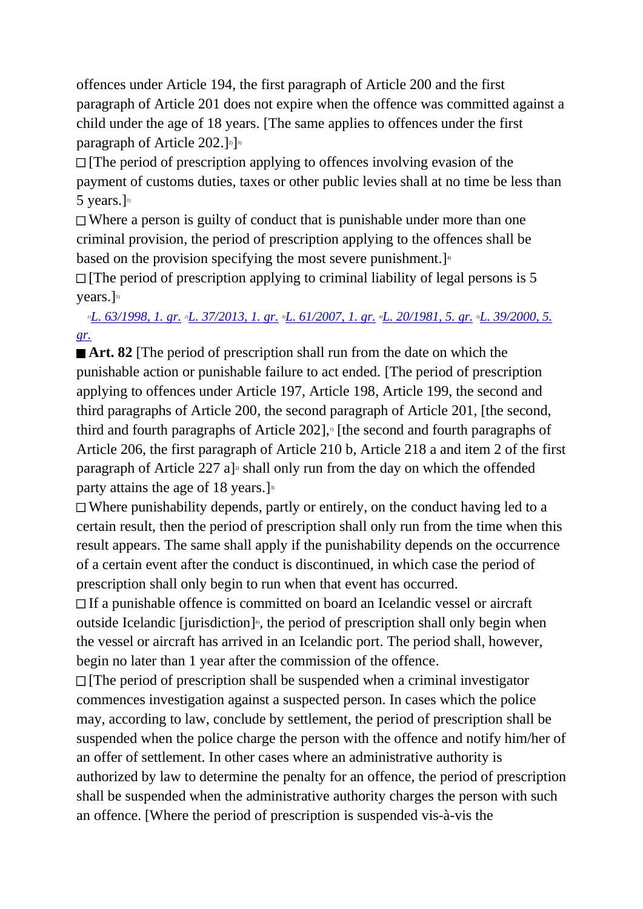offences under Article 194, the first paragraph of Article 200 and the first paragraph of Article 201 does not expire when the offence was committed against a child under the age of 18 years. [The same applies to offences under the first paragraph of Article 202.]<sup>2</sup>]<sup>3)</sup>

 $\Box$  [The period of prescription applying to offences involving evasion of the payment of customs duties, taxes or other public levies shall at no time be less than 5 years.] 1)

 $\Box$  Where a person is guilty of conduct that is punishable under more than one criminal provision, the period of prescription applying to the offences shall be based on the provision specifying the most severe punishment.]<sup>40</sup>

 $\Box$  [The period of prescription applying to criminal liability of legal persons is 5 years.] 5)

## *1)[L. 63/1998, 1. gr.](http://www.althingi.is/altext/stjt/1998.063.html) 2)[L. 37/2013, 1. gr.](http://www.althingi.is/altext/stjt/2013.037.html) 3)[L. 61/2007, 1. gr.](http://www.althingi.is/altext/stjt/2007.061.html) 4)[L. 20/1981, 5. gr.](http://www.althingi.is/altext/stjtnr.html#1981020?g5) 5)[L. 39/2000, 5.](http://www.althingi.is/altext/stjt/2000.039.html)  [gr.](http://www.althingi.is/altext/stjt/2000.039.html)*

**Art. 82** [The period of prescription shall run from the date on which the punishable action or punishable failure to act ended. [The period of prescription applying to offences under Article 197, Article 198, Article 199, the second and third paragraphs of Article 200, the second paragraph of Article 201, [the second, third and fourth paragraphs of Article 202], $\frac{1}{2}$  [the second and fourth paragraphs of Article 206, the first paragraph of Article 210 b, Article 218 a and item 2 of the first paragraph of Article 227 a]<sup> $2$ </sup> shall only run from the day on which the offended party attains the age of 18 years.]<sup>3</sup>

Where punishability depends, partly or entirely, on the conduct having led to a certain result, then the period of prescription shall only run from the time when this result appears. The same shall apply if the punishability depends on the occurrence of a certain event after the conduct is discontinued, in which case the period of prescription shall only begin to run when that event has occurred.

If a punishable offence is committed on board an Icelandic vessel or aircraft outside Icelandic [jurisdiction]<sup>®</sup>, the period of prescription shall only begin when the vessel or aircraft has arrived in an Icelandic port. The period shall, however, begin no later than 1 year after the commission of the offence.

 $\Box$  [The period of prescription shall be suspended when a criminal investigator commences investigation against a suspected person. In cases which the police may, according to law, conclude by settlement, the period of prescription shall be suspended when the police charge the person with the offence and notify him/her of an offer of settlement. In other cases where an administrative authority is authorized by law to determine the penalty for an offence, the period of prescription shall be suspended when the administrative authority charges the person with such an offence. [Where the period of prescription is suspended vis-à-vis the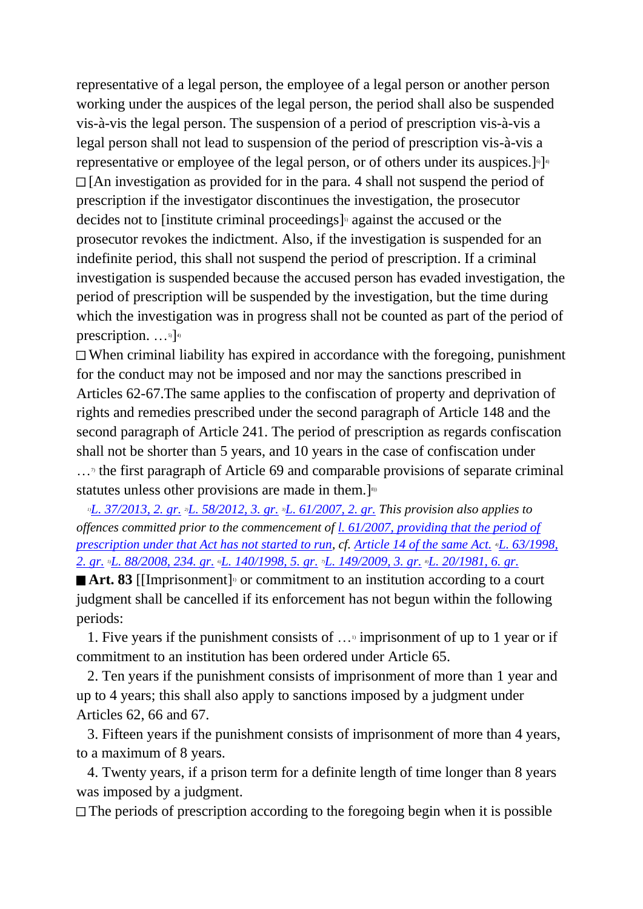representative of a legal person, the employee of a legal person or another person working under the auspices of the legal person, the period shall also be suspended vis-à-vis the legal person. The suspension of a period of prescription vis-à-vis a legal person shall not lead to suspension of the period of prescription vis-à-vis a representative or employee of the legal person, or of others under its auspices.]<sup>6</sup>]<sup>4</sup>  $\Box$  [An investigation as provided for in the para. 4 shall not suspend the period of prescription if the investigator discontinues the investigation, the prosecutor decides not to [institute criminal proceedings]<sup>3</sup> against the accused or the prosecutor revokes the indictment. Also, if the investigation is suspended for an indefinite period, this shall not suspend the period of prescription. If a criminal investigation is suspended because the accused person has evaded investigation, the period of prescription will be suspended by the investigation, but the time during which the investigation was in progress shall not be counted as part of the period of prescription.  $\ldots$ <sup>5</sup>]<sup>4)</sup>

 $\Box$  When criminal liability has expired in accordance with the foregoing, punishment for the conduct may not be imposed and nor may the sanctions prescribed in Articles 62-67.The same applies to the confiscation of property and deprivation of rights and remedies prescribed under the second paragraph of Article 148 and the second paragraph of Article 241. The period of prescription as regards confiscation shall not be shorter than 5 years, and 10 years in the case of confiscation under

 $\ldots$ <sup>n</sup> the first paragraph of Article 69 and comparable provisions of separate criminal statutes unless other provisions are made in them.]<sup>\$91</sup>

*1)[L. 37/2013, 2. gr.](http://www.althingi.is/altext/stjt/2013.037.html) 2)[L. 58/2012, 3. gr.](http://www.althingi.is/altext/stjt/2012.058.html) 3)[L. 61/2007, 2. gr.](http://www.althingi.is/altext/stjt/2007.061.html) This provision also applies to offences committed prior to the commencement of [l. 61/2007, providing that the period of](http://www.althingi.is/altext/stjt/2007.061.html)  [prescription under that Act has not started to run,](http://www.althingi.is/altext/stjt/2007.061.html) cf. [Article 14 of the same Act.](http://www.althingi.is/altext/stjt/2007.061.html) L. 63/1998, [2. gr.](http://www.althingi.is/altext/stjt/1998.063.html) 5)[L. 88/2008, 234. gr.](http://www.althingi.is/altext/stjt/2008.088.html#G234) 6)[L. 140/1998, 5. gr.](http://www.althingi.is/altext/stjt/1998.140.html) 7)[L. 149/2009, 3. gr.](http://www.althingi.is/altext/stjt/2009.149.html) 8)[L. 20/1981, 6. gr.](http://www.althingi.is/altext/stjtnr.html#1981020?g6)*

Art. 83 [[Imprisonment]<sup>1</sup> or commitment to an institution according to a court judgment shall be cancelled if its enforcement has not begun within the following periods:

 1. Five years if the punishment consists of …1) imprisonment of up to 1 year or if commitment to an institution has been ordered under Article 65.

 2. Ten years if the punishment consists of imprisonment of more than 1 year and up to 4 years; this shall also apply to sanctions imposed by a judgment under Articles 62, 66 and 67.

 3. Fifteen years if the punishment consists of imprisonment of more than 4 years, to a maximum of 8 years.

 4. Twenty years, if a prison term for a definite length of time longer than 8 years was imposed by a judgment.

 $\Box$  The periods of prescription according to the foregoing begin when it is possible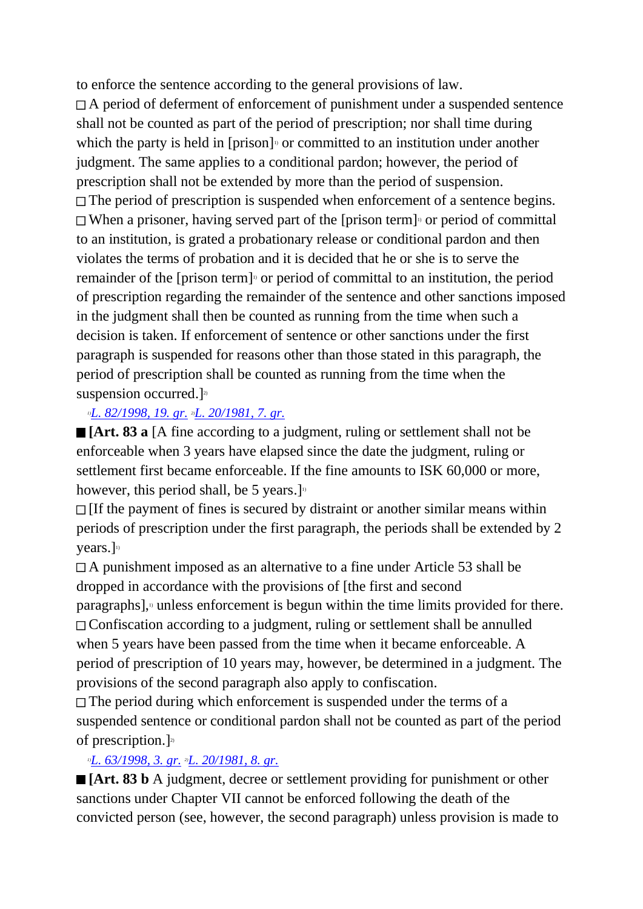to enforce the sentence according to the general provisions of law.

A period of deferment of enforcement of punishment under a suspended sentence shall not be counted as part of the period of prescription; nor shall time during which the party is held in  $[prison]$ <sup>0</sup> or committed to an institution under another judgment. The same applies to a conditional pardon; however, the period of prescription shall not be extended by more than the period of suspension.  $\Box$  The period of prescription is suspended when enforcement of a sentence begins. When a prisoner, having served part of the [prison term]<sup>3</sup> or period of committal to an institution, is grated a probationary release or conditional pardon and then violates the terms of probation and it is decided that he or she is to serve the remainder of the [prison term]<sup>1</sup> or period of committal to an institution, the period of prescription regarding the remainder of the sentence and other sanctions imposed in the judgment shall then be counted as running from the time when such a decision is taken. If enforcement of sentence or other sanctions under the first paragraph is suspended for reasons other than those stated in this paragraph, the period of prescription shall be counted as running from the time when the suspension occurred.] $2^{\circ}$ 

## *1)[L. 82/1998, 19. gr.](http://www.althingi.is/altext/stjt/1998.082.html) 2)[L. 20/1981, 7. gr.](http://www.althingi.is/altext/stjtnr.html#1981020?g7)*

**[Art. 83 a** [A fine according to a judgment, ruling or settlement shall not be enforceable when 3 years have elapsed since the date the judgment, ruling or settlement first became enforceable. If the fine amounts to ISK 60,000 or more, however, this period shall, be 5 years.]

 $\Box$  [If the payment of fines is secured by distraint or another similar means within periods of prescription under the first paragraph, the periods shall be extended by 2 years.]

A punishment imposed as an alternative to a fine under Article 53 shall be dropped in accordance with the provisions of [the first and second  $\beta$  paragraphs], $\beta$  unless enforcement is begun within the time limits provided for there. Confiscation according to a judgment, ruling or settlement shall be annulled when 5 years have been passed from the time when it became enforceable. A period of prescription of 10 years may, however, be determined in a judgment. The provisions of the second paragraph also apply to confiscation.

 $\Box$  The period during which enforcement is suspended under the terms of a suspended sentence or conditional pardon shall not be counted as part of the period of prescription.] 2)

## *1)[L. 63/1998, 3. gr.](http://www.althingi.is/altext/stjt/1998.063.html) 2)[L. 20/1981, 8. gr.](http://www.althingi.is/altext/stjtnr.html#1981020?g8)*

**[Art. 83 b** A judgment, decree or settlement providing for punishment or other sanctions under Chapter VII cannot be enforced following the death of the convicted person (see, however, the second paragraph) unless provision is made to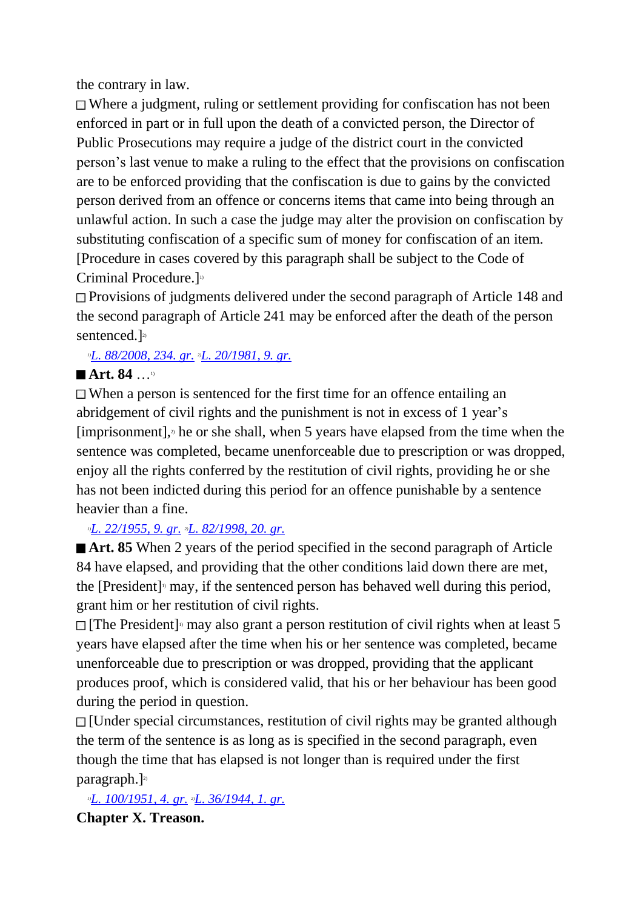the contrary in law.

Where a judgment, ruling or settlement providing for confiscation has not been enforced in part or in full upon the death of a convicted person, the Director of Public Prosecutions may require a judge of the district court in the convicted person's last venue to make a ruling to the effect that the provisions on confiscation are to be enforced providing that the confiscation is due to gains by the convicted person derived from an offence or concerns items that came into being through an unlawful action. In such a case the judge may alter the provision on confiscation by substituting confiscation of a specific sum of money for confiscation of an item. [Procedure in cases covered by this paragraph shall be subject to the Code of Criminal Procedure.<sup>]10</sup>

Provisions of judgments delivered under the second paragraph of Article 148 and the second paragraph of Article 241 may be enforced after the death of the person sentenced.]<sup>2)</sup>

*1)[L. 88/2008, 234. gr.](http://www.althingi.is/altext/stjt/2008.088.html#G234) 2)[L. 20/1981, 9. gr.](http://www.althingi.is/altext/stjtnr.html#1981020?g9)*

## ■ **Art. 84** …<sup>1)</sup>

When a person is sentenced for the first time for an offence entailing an abridgement of civil rights and the punishment is not in excess of 1 year's [imprisonment], $\alpha$  he or she shall, when 5 years have elapsed from the time when the sentence was completed, became unenforceable due to prescription or was dropped, enjoy all the rights conferred by the restitution of civil rights, providing he or she has not been indicted during this period for an offence punishable by a sentence heavier than a fine.

*1)[L. 22/1955, 9. gr.](http://www.althingi.is/altext/stjtnr.html#1955022?g9) 2)[L. 82/1998, 20. gr.](http://www.althingi.is/altext/stjt/1998.082.html)*

■ **Art. 85** When 2 years of the period specified in the second paragraph of Article 84 have elapsed, and providing that the other conditions laid down there are met, the [President]<sup> $\alpha$ </sup> may, if the sentenced person has behaved well during this period, grant him or her restitution of civil rights.

[The President]<sup>11</sup> may also grant a person restitution of civil rights when at least 5 years have elapsed after the time when his or her sentence was completed, became unenforceable due to prescription or was dropped, providing that the applicant produces proof, which is considered valid, that his or her behaviour has been good during the period in question.

[Under special circumstances, restitution of civil rights may be granted although the term of the sentence is as long as is specified in the second paragraph, even though the time that has elapsed is not longer than is required under the first paragraph.]<sup>2)</sup>

*1)[L. 100/1951, 4. gr.](http://www.althingi.is/altext/stjtnr.html#1951100?g4) 2)[L. 36/1944, 1. gr.](http://www.althingi.is/altext/stjtnr.html#1944036?g1)* **Chapter X. Treason.**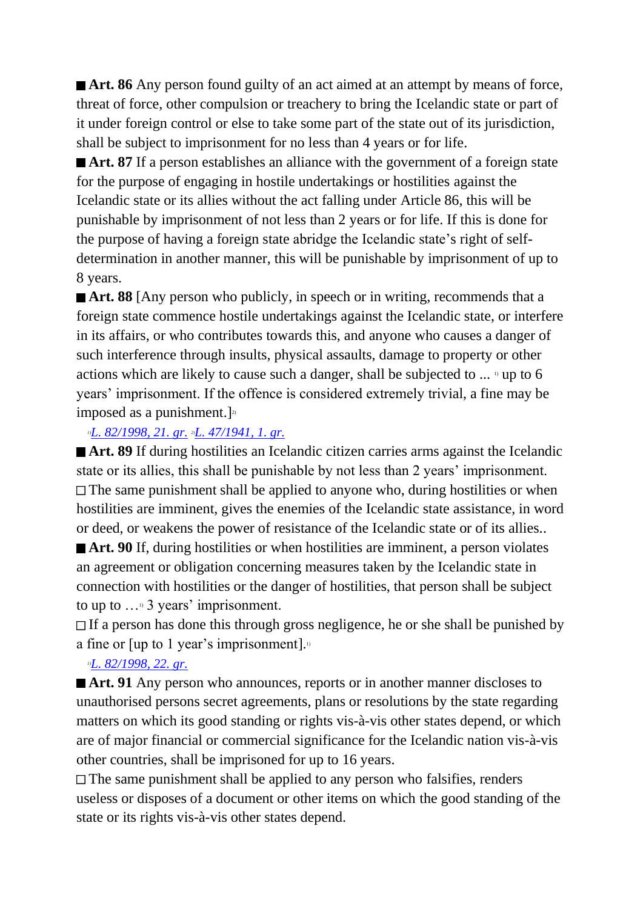■ **Art. 86** Any person found guilty of an act aimed at an attempt by means of force, threat of force, other compulsion or treachery to bring the Icelandic state or part of it under foreign control or else to take some part of the state out of its jurisdiction, shall be subject to imprisonment for no less than 4 years or for life.

■ **Art. 87** If a person establishes an alliance with the government of a foreign state for the purpose of engaging in hostile undertakings or hostilities against the Icelandic state or its allies without the act falling under Article 86, this will be punishable by imprisonment of not less than 2 years or for life. If this is done for the purpose of having a foreign state abridge the Icelandic state's right of selfdetermination in another manner, this will be punishable by imprisonment of up to 8 years.

**Art. 88** [Any person who publicly, in speech or in writing, recommends that a foreign state commence hostile undertakings against the Icelandic state, or interfere in its affairs, or who contributes towards this, and anyone who causes a danger of such interference through insults, physical assaults, damage to property or other actions which are likely to cause such a danger, shall be subjected to  $\ldots$  <sup>1</sup> up to 6 years' imprisonment. If the offence is considered extremely trivial, a fine may be imposed as a punishment.] $\frac{2}{3}$ 

#### *1)[L. 82/1998, 21. gr.](http://www.althingi.is/altext/stjt/1998.082.html) 2)[L. 47/1941, 1. gr.](http://www.althingi.is/altext/stjtnr.html#1941047?g1)*

■ **Art. 89** If during hostilities an Icelandic citizen carries arms against the Icelandic state or its allies, this shall be punishable by not less than 2 years' imprisonment.  $\Box$  The same punishment shall be applied to anyone who, during hostilities or when hostilities are imminent, gives the enemies of the Icelandic state assistance, in word or deed, or weakens the power of resistance of the Icelandic state or of its allies.. ■ **Art. 90** If, during hostilities or when hostilities are imminent, a person violates an agreement or obligation concerning measures taken by the Icelandic state in connection with hostilities or the danger of hostilities, that person shall be subject to up to  $\ldots$ <sup>10</sup> 3 years' imprisonment.

If a person has done this through gross negligence, he or she shall be punished by a fine or  $[up to 1 year's important].$ 

#### *1)[L. 82/1998, 22. gr.](http://www.althingi.is/altext/stjt/1998.082.html)*

■ **Art. 91** Any person who announces, reports or in another manner discloses to unauthorised persons secret agreements, plans or resolutions by the state regarding matters on which its good standing or rights vis-à-vis other states depend, or which are of major financial or commercial significance for the Icelandic nation vis-à-vis other countries, shall be imprisoned for up to 16 years.

 $\Box$  The same punishment shall be applied to any person who falsifies, renders useless or disposes of a document or other items on which the good standing of the state or its rights vis-à-vis other states depend.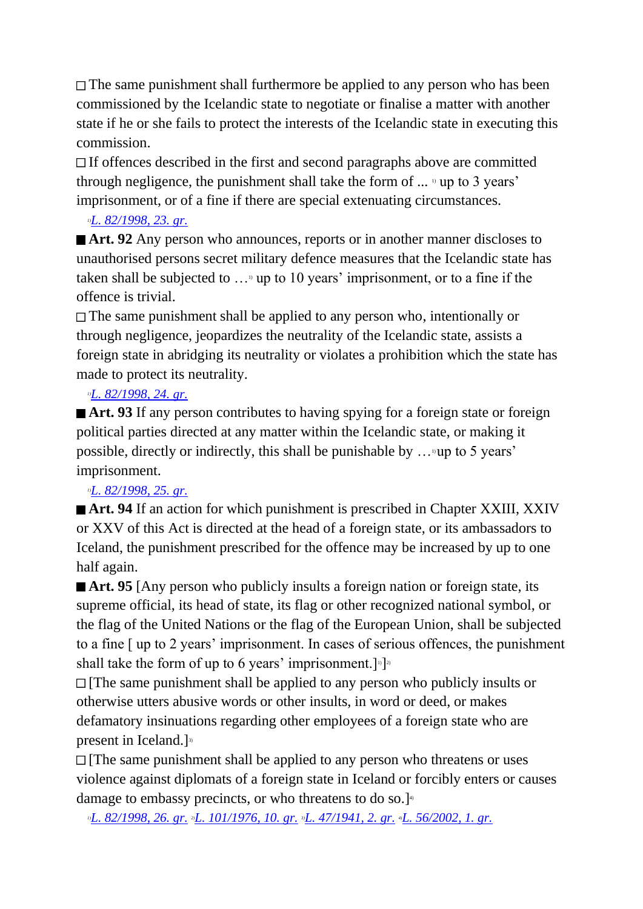The same punishment shall furthermore be applied to any person who has been commissioned by the Icelandic state to negotiate or finalise a matter with another state if he or she fails to protect the interests of the Icelandic state in executing this commission.

If offences described in the first and second paragraphs above are committed through negligence, the punishment shall take the form of  $\ldots$  " up to 3 years' imprisonment, or of a fine if there are special extenuating circumstances.

## *1)[L. 82/1998, 23. gr.](http://www.althingi.is/altext/stjt/1998.082.html)*

■ **Art. 92** Any person who announces, reports or in another manner discloses to unauthorised persons secret military defence measures that the Icelandic state has taken shall be subjected to  $\ldots$ <sup>1</sup> up to 10 years' imprisonment, or to a fine if the offence is trivial.

The same punishment shall be applied to any person who, intentionally or through negligence, jeopardizes the neutrality of the Icelandic state, assists a foreign state in abridging its neutrality or violates a prohibition which the state has made to protect its neutrality.

## *1)[L. 82/1998, 24. gr.](http://www.althingi.is/altext/stjt/1998.082.html)*

■ **Art. 93** If any person contributes to having spying for a foreign state or foreign political parties directed at any matter within the Icelandic state, or making it possible, directly or indirectly, this shall be punishable by  $\ldots$  up to 5 years' imprisonment.

## *1)[L. 82/1998, 25. gr.](http://www.althingi.is/altext/stjt/1998.082.html)*

■ **Art. 94** If an action for which punishment is prescribed in Chapter XXIII, XXIV or XXV of this Act is directed at the head of a foreign state, or its ambassadors to Iceland, the punishment prescribed for the offence may be increased by up to one half again.

■ **Art. 95** [Any person who publicly insults a foreign nation or foreign state, its supreme official, its head of state, its flag or other recognized national symbol, or the flag of the United Nations or the flag of the European Union, shall be subjected to a fine [ up to 2 years' imprisonment. In cases of serious offences, the punishment shall take the form of up to 6 years' imprisonment.  $]$ <sup>1</sup>

 $\Box$  [The same punishment shall be applied to any person who publicly insults or otherwise utters abusive words or other insults, in word or deed, or makes defamatory insinuations regarding other employees of a foreign state who are present in Iceland.]<sup>3)</sup>

 $\Box$  [The same punishment shall be applied to any person who threatens or uses violence against diplomats of a foreign state in Iceland or forcibly enters or causes damage to embassy precincts, or who threatens to do so.]<sup>4</sup>

*1)[L. 82/1998, 26. gr.](http://www.althingi.is/altext/stjt/1998.082.html) 2)[L. 101/1976, 10. gr.](http://www.althingi.is/altext/stjtnr.html#1976101?g10) 3)[L. 47/1941, 2. gr.](http://www.althingi.is/altext/stjtnr.html#1941047?g2) 4)[L. 56/2002, 1. gr.](http://www.althingi.is/altext/stjt/2002.056.html)*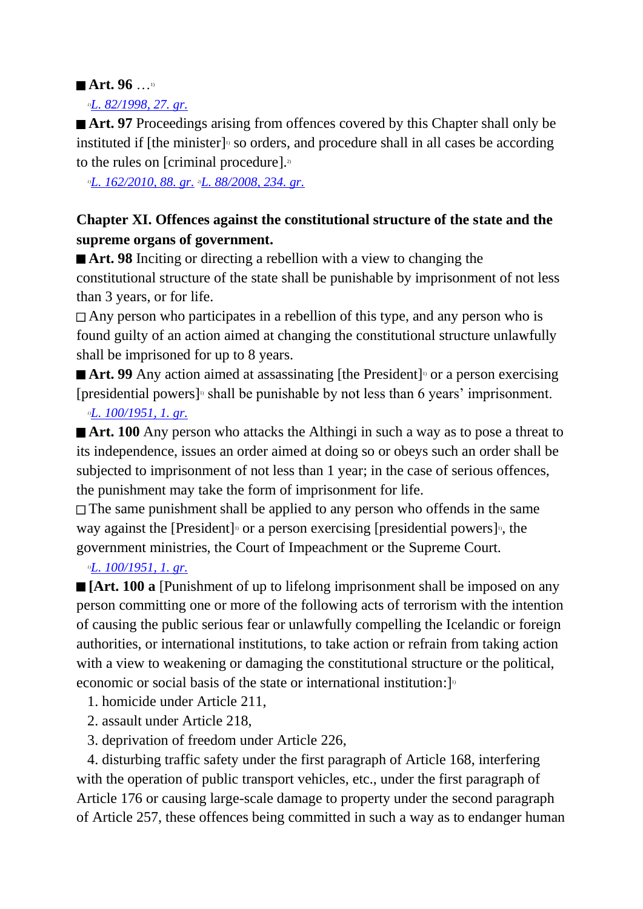## ■ Art. 96 …<sup>1)</sup>

#### *1)[L. 82/1998, 27. gr.](http://www.althingi.is/altext/stjt/1998.082.html)*

■ **Art. 97** Proceedings arising from offences covered by this Chapter shall only be instituted if [the minister]<sup>1</sup> so orders, and procedure shall in all cases be according to the rules on [criminal procedure]. $2$ 

*1)[L. 162/2010, 88. gr.](http://www.althingi.is/altext/stjt/2010.162.html) 2)[L. 88/2008, 234. gr.](http://www.althingi.is/altext/stjt/2008.088.html#G234)*

## **Chapter XI. Offences against the constitutional structure of the state and the supreme organs of government.**

■ **Art. 98** Inciting or directing a rebellion with a view to changing the constitutional structure of the state shall be punishable by imprisonment of not less than 3 years, or for life.

Any person who participates in a rebellion of this type, and any person who is found guilty of an action aimed at changing the constitutional structure unlawfully shall be imprisoned for up to 8 years.

**■ Art. 99** Any action aimed at assassinating [the President]<sup>10</sup> or a person exercising [presidential powers]<sup> $\alpha$ </sup> shall be punishable by not less than 6 years' imprisonment.

## *1)[L. 100/1951, 1. gr.](http://www.althingi.is/altext/stjtnr.html#1951100?g1)*

**Art. 100** Any person who attacks the Althingi in such a way as to pose a threat to its independence, issues an order aimed at doing so or obeys such an order shall be subjected to imprisonment of not less than 1 year; in the case of serious offences, the punishment may take the form of imprisonment for life.

 $\Box$  The same punishment shall be applied to any person who offends in the same way against the [President]<sup>10</sup> or a person exercising [presidential powers]<sup>10</sup>, the government ministries, the Court of Impeachment or the Supreme Court.

## *1)[L. 100/1951, 1. gr.](http://www.althingi.is/altext/stjtnr.html#1951100?g1)*

**[Art. 100 a** [Punishment of up to lifelong imprisonment shall be imposed on any person committing one or more of the following acts of terrorism with the intention of causing the public serious fear or unlawfully compelling the Icelandic or foreign authorities, or international institutions, to take action or refrain from taking action with a view to weakening or damaging the constitutional structure or the political, economic or social basis of the state or international institution:  $\mathbb{I}^{\mathbb{I}}$ 

- 1. homicide under Article 211,
- 2. assault under Article 218,
- 3. deprivation of freedom under Article 226,

 4. disturbing traffic safety under the first paragraph of Article 168, interfering with the operation of public transport vehicles, etc., under the first paragraph of Article 176 or causing large-scale damage to property under the second paragraph of Article 257, these offences being committed in such a way as to endanger human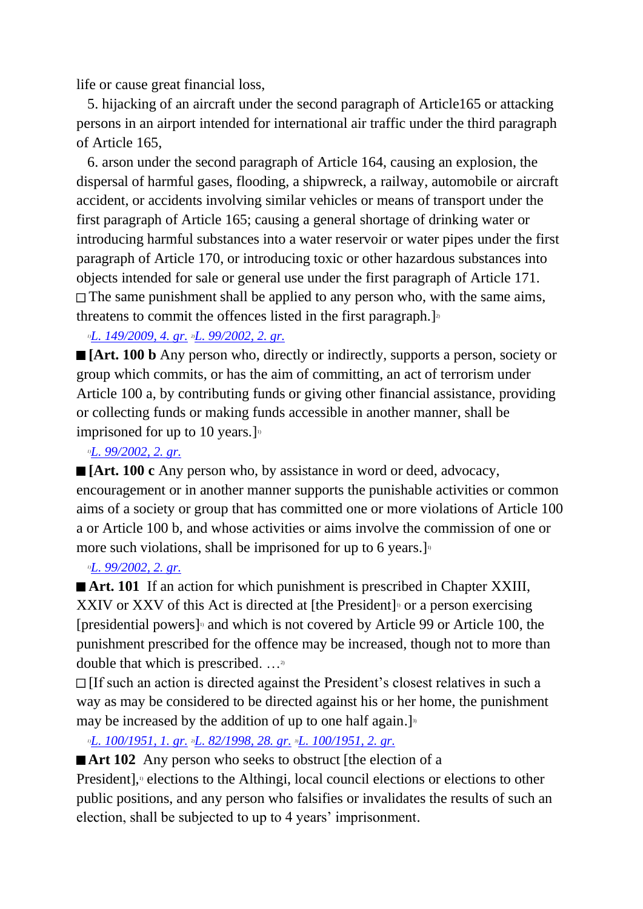life or cause great financial loss,

 5. hijacking of an aircraft under the second paragraph of Article165 or attacking persons in an airport intended for international air traffic under the third paragraph of Article 165,

 6. arson under the second paragraph of Article 164, causing an explosion, the dispersal of harmful gases, flooding, a shipwreck, a railway, automobile or aircraft accident, or accidents involving similar vehicles or means of transport under the first paragraph of Article 165; causing a general shortage of drinking water or introducing harmful substances into a water reservoir or water pipes under the first paragraph of Article 170, or introducing toxic or other hazardous substances into objects intended for sale or general use under the first paragraph of Article 171.  $\Box$  The same punishment shall be applied to any person who, with the same aims, threatens to commit the offences listed in the first paragraph.]<sup>2</sup>

*1)[L. 149/2009, 4. gr.](http://www.althingi.is/altext/stjt/2009.149.html) 2)[L. 99/2002, 2. gr.](http://www.althingi.is/altext/stjt/2002.099.html)*

**[Art. 100 b** Any person who, directly or indirectly, supports a person, society or group which commits, or has the aim of committing, an act of terrorism under Article 100 a, by contributing funds or giving other financial assistance, providing or collecting funds or making funds accessible in another manner, shall be imprisoned for up to 10 years.]

#### *1)[L. 99/2002, 2. gr.](http://www.althingi.is/altext/stjt/2002.099.html)*

**[Art. 100 c** Any person who, by assistance in word or deed, advocacy, encouragement or in another manner supports the punishable activities or common aims of a society or group that has committed one or more violations of Article 100 a or Article 100 b, and whose activities or aims involve the commission of one or more such violations, shall be imprisoned for up to 6 years.]<sup>11</sup>

## *1)[L. 99/2002, 2. gr.](http://www.althingi.is/altext/stjt/2002.099.html)*

**Art. 101** If an action for which punishment is prescribed in Chapter XXIII, XXIV or XXV of this Act is directed at [the President]<sup>11</sup> or a person exercising [presidential powers]<sup> $n$ </sup> and which is not covered by Article 99 or Article 100, the punishment prescribed for the offence may be increased, though not to more than double that which is prescribed. …2)

 $\Box$  [If such an action is directed against the President's closest relatives in such a way as may be considered to be directed against his or her home, the punishment may be increased by the addition of up to one half again.]<sup>3</sup>

*1)[L. 100/1951, 1. gr.](http://www.althingi.is/altext/stjtnr.html#1951100?g1) 2)[L. 82/1998, 28. gr.](http://www.althingi.is/altext/stjt/1998.082.html) 3)[L. 100/1951, 2. gr.](http://www.althingi.is/altext/stjtnr.html#1951100?g2)*

**Art 102** Any person who seeks to obstruct [the election of a

President],<sup>1</sup> elections to the Althingi, local council elections or elections to other public positions, and any person who falsifies or invalidates the results of such an election, shall be subjected to up to 4 years' imprisonment.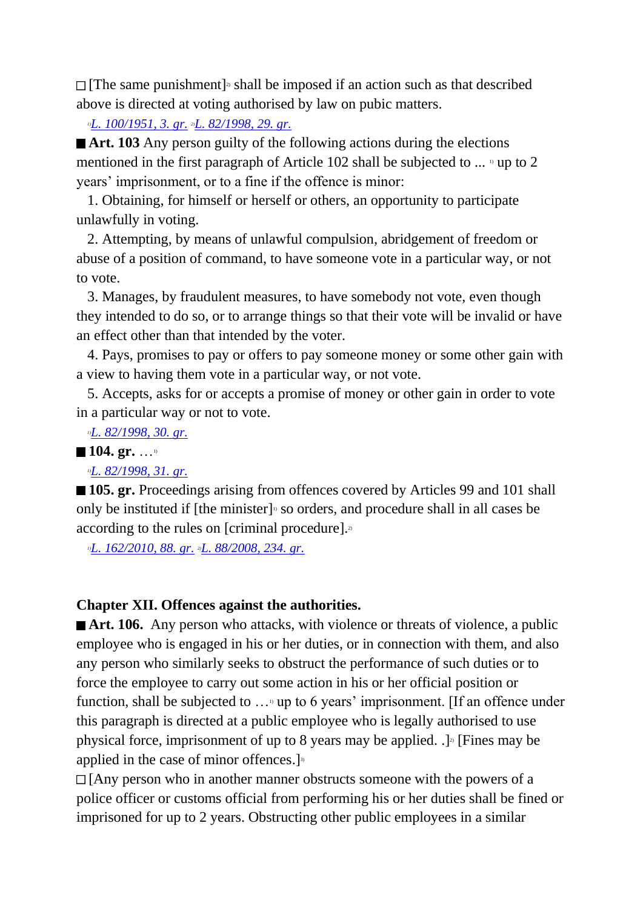[The same punishment] 2) shall be imposed if an action such as that described above is directed at voting authorised by law on pubic matters.

*1)[L. 100/1951, 3. gr.](http://www.althingi.is/altext/stjtnr.html#1951100?g3) 2)[L. 82/1998, 29. gr.](http://www.althingi.is/altext/stjt/1998.082.html)*

■ **Art. 103** Any person guilty of the following actions during the elections mentioned in the first paragraph of Article 102 shall be subjected to  $\ldots$  <sup>11</sup> up to 2 years' imprisonment, or to a fine if the offence is minor:

 1. Obtaining, for himself or herself or others, an opportunity to participate unlawfully in voting.

 2. Attempting, by means of unlawful compulsion, abridgement of freedom or abuse of a position of command, to have someone vote in a particular way, or not to vote.

 3. Manages, by fraudulent measures, to have somebody not vote, even though they intended to do so, or to arrange things so that their vote will be invalid or have an effect other than that intended by the voter.

 4. Pays, promises to pay or offers to pay someone money or some other gain with a view to having them vote in a particular way, or not vote.

 5. Accepts, asks for or accepts a promise of money or other gain in order to vote in a particular way or not to vote.

*1)[L. 82/1998, 30. gr.](http://www.althingi.is/altext/stjt/1998.082.html)*

■ 104. gr. …<sup>1)</sup>

*1)[L. 82/1998, 31. gr.](http://www.althingi.is/altext/stjt/1998.082.html)*

**105. gr.** Proceedings arising from offences covered by Articles 99 and 101 shall only be instituted if [the minister]<sup>1</sup> so orders, and procedure shall in all cases be according to the rules on [criminal procedure]. $\alpha$ 

*1)[L. 162/2010, 88. gr.](http://www.althingi.is/altext/stjt/2010.162.html) 2)[L. 88/2008, 234. gr.](http://www.althingi.is/altext/stjt/2008.088.html#G234)*

#### **Chapter XII. Offences against the authorities.**

■ **Art. 106.** Any person who attacks, with violence or threats of violence, a public employee who is engaged in his or her duties, or in connection with them, and also any person who similarly seeks to obstruct the performance of such duties or to force the employee to carry out some action in his or her official position or function, shall be subjected to ... up to 6 years' imprisonment. [If an offence under this paragraph is directed at a public employee who is legally authorised to use physical force, imprisonment of up to 8 years may be applied.  $\cdot$ ]<sup>2</sup> [Fines may be applied in the case of minor offences.]<sup>3)</sup>

 $\Box$  [Any person who in another manner obstructs someone with the powers of a police officer or customs official from performing his or her duties shall be fined or imprisoned for up to 2 years. Obstructing other public employees in a similar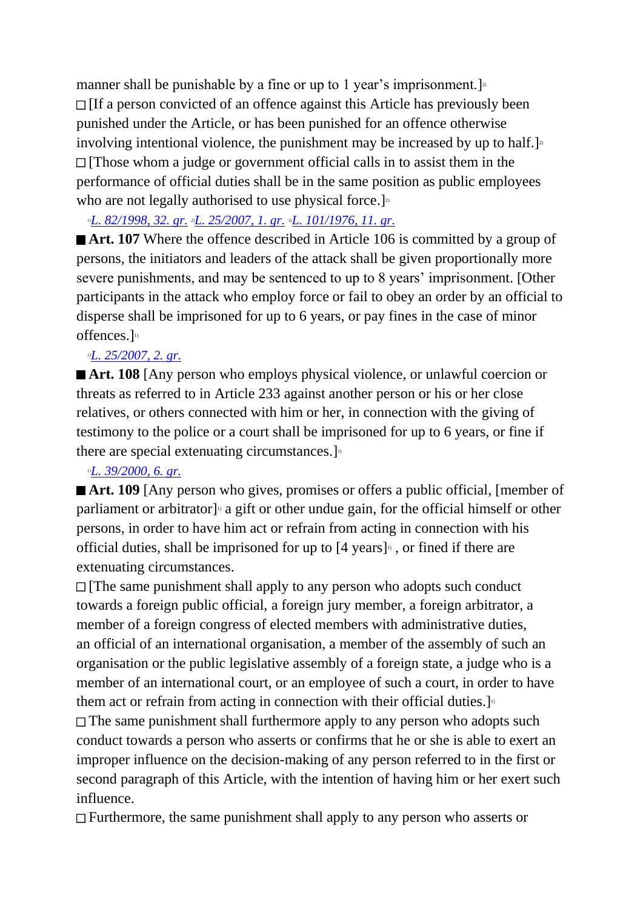manner shall be punishable by a fine or up to 1 year's imprisonment.  $]$ <sup>2</sup>  $\Box$  If a person convicted of an offence against this Article has previously been punished under the Article, or has been punished for an offence otherwise involving intentional violence, the punishment may be increased by up to half.  $]$ <sup>2</sup> [Those whom a judge or government official calls in to assist them in the performance of official duties shall be in the same position as public employees who are not legally authorised to use physical force.]<sup>2)</sup>

*1)[L. 82/1998, 32. gr.](http://www.althingi.is/altext/stjt/1998.082.html) 2)[L. 25/2007, 1. gr.](http://www.althingi.is/altext/stjt/2007.025.html) 3)[L. 101/1976, 11. gr.](http://www.althingi.is/altext/stjtnr.html#1976101?g11)*

■ **Art. 107** Where the offence described in Article 106 is committed by a group of persons, the initiators and leaders of the attack shall be given proportionally more severe punishments, and may be sentenced to up to 8 years' imprisonment. [Other participants in the attack who employ force or fail to obey an order by an official to disperse shall be imprisoned for up to 6 years, or pay fines in the case of minor offences.]<sup>1)</sup>

#### *1)[L. 25/2007, 2. gr.](http://www.althingi.is/altext/stjt/2007.025.html)*

■ **Art. 108** [Any person who employs physical violence, or unlawful coercion or threats as referred to in Article 233 against another person or his or her close relatives, or others connected with him or her, in connection with the giving of testimony to the police or a court shall be imprisoned for up to 6 years, or fine if there are special extenuating circumstances.  $]$ <sup>n</sup>

#### *1)[L. 39/2000, 6. gr.](http://www.althingi.is/altext/stjt/2000.039.html)*

■ **Art. 109** [Any person who gives, promises or offers a public official, [member of parliament or arbitrator]<sup>1</sup> a gift or other undue gain, for the official himself or other persons, in order to have him act or refrain from acting in connection with his official duties, shall be imprisoned for up to [4 years]<sup>11</sup>, or fined if there are extenuating circumstances.

 $\Box$  [The same punishment shall apply to any person who adopts such conduct towards a foreign public official, a foreign jury member, a foreign arbitrator, a member of a foreign congress of elected members with administrative duties, an official of an international organisation, a member of the assembly of such an organisation or the public legislative assembly of a foreign state, a judge who is a member of an international court, or an employee of such a court, in order to have them act or refrain from acting in connection with their official duties.]<sup>1)</sup>

The same punishment shall furthermore apply to any person who adopts such conduct towards a person who asserts or confirms that he or she is able to exert an improper influence on the decision-making of any person referred to in the first or second paragraph of this Article, with the intention of having him or her exert such influence.

 $\Box$  Furthermore, the same punishment shall apply to any person who asserts or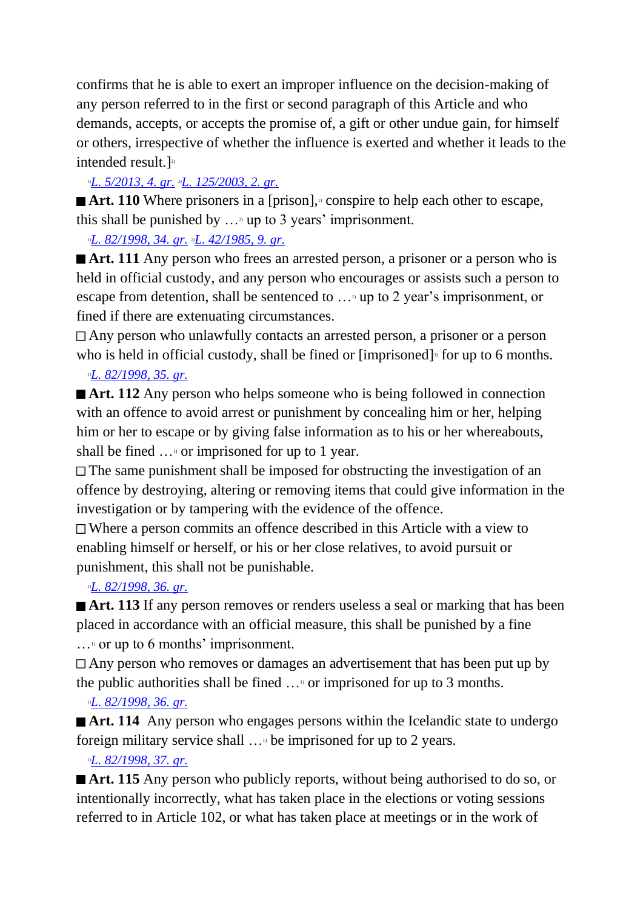confirms that he is able to exert an improper influence on the decision-making of any person referred to in the first or second paragraph of this Article and who demands, accepts, or accepts the promise of, a gift or other undue gain, for himself or others, irrespective of whether the influence is exerted and whether it leads to the intended result.] 2)

*1)[L. 5/2013, 4. gr.](http://www.althingi.is/altext/stjt/2013.005.html) 2)[L. 125/2003, 2. gr.](http://www.althingi.is/altext/stjt/2003.125.html)*

■ **Art.** 110 Where prisoners in a [prison],<sup>11</sup> conspire to help each other to escape, this shall be punished by  $\ldots$ <sup>2</sup> up to 3 years' imprisonment.

*1)[L. 82/1998, 34. gr.](http://www.althingi.is/altext/stjt/1998.082.html) 2)[L. 42/1985, 9. gr.](http://www.althingi.is/altext/stjtnr.html#1985042?g9)*

■ **Art. 111** Any person who frees an arrested person, a prisoner or a person who is held in official custody, and any person who encourages or assists such a person to escape from detention, shall be sentenced to …1) up to 2 year's imprisonment, or fined if there are extenuating circumstances.

Any person who unlawfully contacts an arrested person, a prisoner or a person who is held in official custody, shall be fined or  $[imprisoned]$ <sup> $\circ$ </sup> for up to 6 months.

## *1)[L. 82/1998, 35. gr.](http://www.althingi.is/altext/stjt/1998.082.html)*

■ **Art. 112** Any person who helps someone who is being followed in connection with an offence to avoid arrest or punishment by concealing him or her, helping him or her to escape or by giving false information as to his or her whereabouts, shall be fined  $\ldots$ <sup>1</sup> or imprisoned for up to 1 year.

The same punishment shall be imposed for obstructing the investigation of an offence by destroying, altering or removing items that could give information in the investigation or by tampering with the evidence of the offence.

Where a person commits an offence described in this Article with a view to enabling himself or herself, or his or her close relatives, to avoid pursuit or punishment, this shall not be punishable.

*1)[L. 82/1998, 36. gr.](http://www.althingi.is/altext/stjt/1998.082.html)*

**Art. 113** If any person removes or renders useless a seal or marking that has been placed in accordance with an official measure, this shall be punished by a fine  $\ldots$ <sup>1)</sup> or up to 6 months' imprisonment.

Any person who removes or damages an advertisement that has been put up by the public authorities shall be fined  $\dots$ <sup>0</sup> or imprisoned for up to 3 months.

*1)[L. 82/1998, 36. gr.](http://www.althingi.is/altext/stjt/1998.082.html)*

**Art. 114** Any person who engages persons within the Icelandic state to undergo foreign military service shall …1) be imprisoned for up to 2 years.

*1)[L. 82/1998, 37. gr.](http://www.althingi.is/altext/stjt/1998.082.html)*

■ **Art. 115** Any person who publicly reports, without being authorised to do so, or intentionally incorrectly, what has taken place in the elections or voting sessions referred to in Article 102, or what has taken place at meetings or in the work of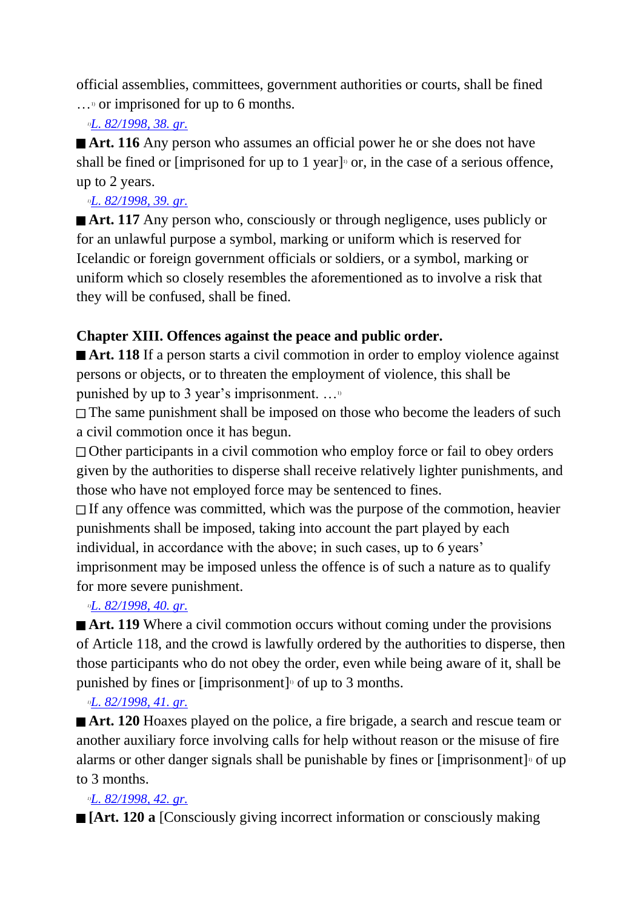official assemblies, committees, government authorities or courts, shall be fined  $\ldots$ <sup>1</sup> or imprisoned for up to 6 months.

### *1)[L. 82/1998, 38. gr.](http://www.althingi.is/altext/stjt/1998.082.html)*

**Art. 116** Any person who assumes an official power he or she does not have shall be fined or [imprisoned for up to 1 year]<sup> $\circ$ </sup> or, in the case of a serious offence, up to 2 years.

#### *1)[L. 82/1998, 39. gr.](http://www.althingi.is/altext/stjt/1998.082.html)*

■ **Art. 117** Any person who, consciously or through negligence, uses publicly or for an unlawful purpose a symbol, marking or uniform which is reserved for Icelandic or foreign government officials or soldiers, or a symbol, marking or uniform which so closely resembles the aforementioned as to involve a risk that they will be confused, shall be fined.

## **Chapter XIII. Offences against the peace and public order.**

■ **Art. 118** If a person starts a civil commotion in order to employ violence against persons or objects, or to threaten the employment of violence, this shall be punished by up to 3 year's imprisonment. …1)

The same punishment shall be imposed on those who become the leaders of such a civil commotion once it has begun.

Other participants in a civil commotion who employ force or fail to obey orders given by the authorities to disperse shall receive relatively lighter punishments, and those who have not employed force may be sentenced to fines.

If any offence was committed, which was the purpose of the commotion, heavier punishments shall be imposed, taking into account the part played by each individual, in accordance with the above; in such cases, up to 6 years'

imprisonment may be imposed unless the offence is of such a nature as to qualify for more severe punishment.

## *1)[L. 82/1998, 40. gr.](http://www.althingi.is/altext/stjt/1998.082.html)*

**■ Art. 119** Where a civil commotion occurs without coming under the provisions of Article 118, and the crowd is lawfully ordered by the authorities to disperse, then those participants who do not obey the order, even while being aware of it, shall be punished by fines or [imprisonment]<sup>0</sup> of up to 3 months.

## *1)[L. 82/1998, 41. gr.](http://www.althingi.is/altext/stjt/1998.082.html)*

■ **Art. 120** Hoaxes played on the police, a fire brigade, a search and rescue team or another auxiliary force involving calls for help without reason or the misuse of fire alarms or other danger signals shall be punishable by fines or [imprisonment]<sup>10</sup> of up to 3 months.

## *1)[L. 82/1998, 42. gr.](http://www.althingi.is/altext/stjt/1998.082.html)*

**[Art. 120 a** [Consciously giving incorrect information or consciously making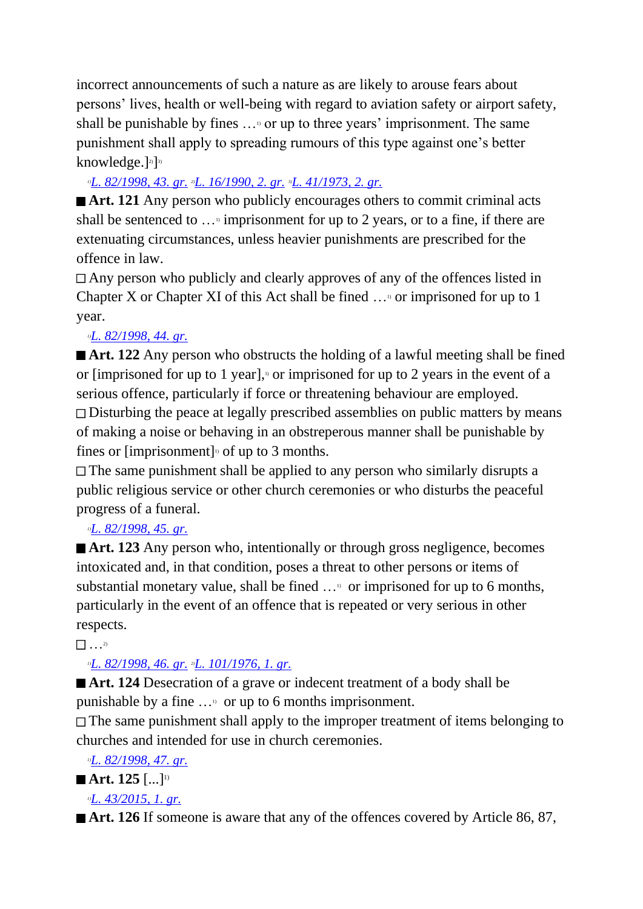incorrect announcements of such a nature as are likely to arouse fears about persons' lives, health or well-being with regard to aviation safety or airport safety, shall be punishable by fines  $\ldots$ <sup>0</sup> or up to three years' imprisonment. The same punishment shall apply to spreading rumours of this type against one's better knowledge.]<sup>2)</sup>]<sup>3)</sup>

## *1)[L. 82/1998, 43. gr.](http://www.althingi.is/altext/stjt/1998.082.html) 2)[L. 16/1990, 2. gr.](http://www.althingi.is/altext/stjt/1990.016.html) 3)[L. 41/1973, 2. gr.](http://www.althingi.is/altext/stjtnr.html#1973041?g2)*

■ **Art. 121** Any person who publicly encourages others to commit criminal acts shall be sentenced to  $\ldots$ <sup>1</sup> imprisonment for up to 2 years, or to a fine, if there are extenuating circumstances, unless heavier punishments are prescribed for the offence in law.

Any person who publicly and clearly approves of any of the offences listed in Chapter X or Chapter XI of this Act shall be fined  $\ldots$ <sup>0</sup> or imprisoned for up to 1 year.

## *1)[L. 82/1998, 44. gr.](http://www.althingi.is/altext/stjt/1998.082.html)*

■ **Art. 122** Any person who obstructs the holding of a lawful meeting shall be fined or [imprisoned for up to 1 year],<sup> $\beta$ </sup> or imprisoned for up to 2 years in the event of a serious offence, particularly if force or threatening behaviour are employed. **□** Disturbing the peace at legally prescribed assemblies on public matters by means of making a noise or behaving in an obstreperous manner shall be punishable by fines or  $\lim$ prisonment $\log$  of up to 3 months.

 $\Box$  The same punishment shall be applied to any person who similarly disrupts a public religious service or other church ceremonies or who disturbs the peaceful progress of a funeral.

## *1)[L. 82/1998, 45. gr.](http://www.althingi.is/altext/stjt/1998.082.html)*

■ **Art. 123** Any person who, intentionally or through gross negligence, becomes intoxicated and, in that condition, poses a threat to other persons or items of substantial monetary value, shall be fined  $\ldots$ <sup>9</sup> or imprisoned for up to 6 months, particularly in the event of an offence that is repeated or very serious in other respects.

## $\cdots$ <sup>2)</sup>

## *1)[L. 82/1998, 46. gr.](http://www.althingi.is/altext/stjt/1998.082.html) 2)[L. 101/1976, 1. gr.](http://www.althingi.is/altext/stjtnr.html#1976101?g1)*

■ **Art. 124** Desecration of a grave or indecent treatment of a body shall be punishable by a fine  $\dots$ <sup>9</sup> or up to 6 months imprisonment.

The same punishment shall apply to the improper treatment of items belonging to churches and intended for use in church ceremonies.

*1)[L. 82/1998, 47. gr.](http://www.althingi.is/altext/stjt/1998.082.html)*

## **Art.** 125  $[\dots]^{\text{D}}$

## *1)[L. 43/2015, 1. gr.](http://www.althingi.is/altext/stjt/1998.082.html)*

■ **Art. 126** If someone is aware that any of the offences covered by Article 86, 87,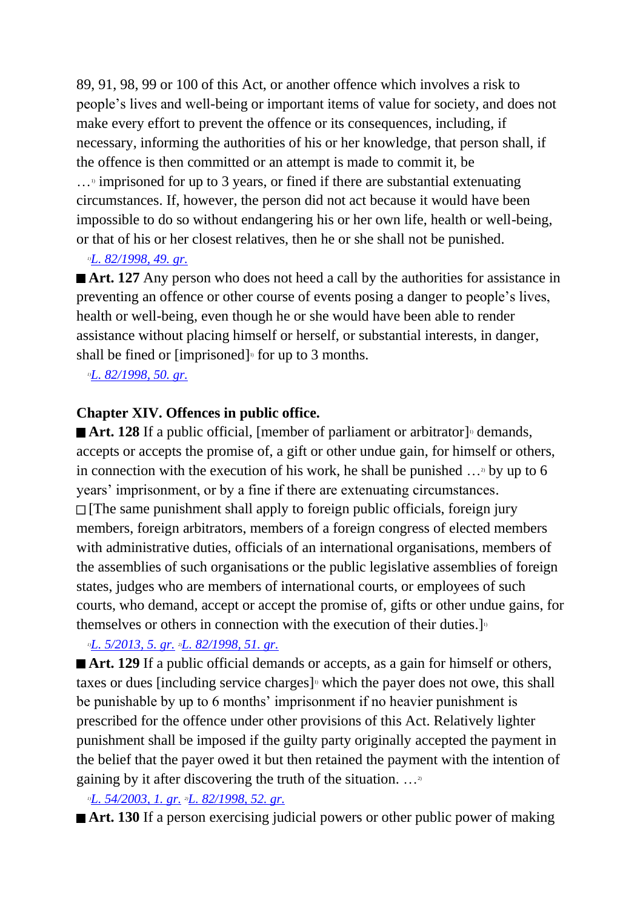89, 91, 98, 99 or 100 of this Act, or another offence which involves a risk to people's lives and well-being or important items of value for society, and does not make every effort to prevent the offence or its consequences, including, if necessary, informing the authorities of his or her knowledge, that person shall, if the offence is then committed or an attempt is made to commit it, be  $\ldots$ <sup>1</sup> imprisoned for up to 3 years, or fined if there are substantial extenuating circumstances. If, however, the person did not act because it would have been impossible to do so without endangering his or her own life, health or well-being, or that of his or her closest relatives, then he or she shall not be punished.

#### *1)[L. 82/1998, 49. gr.](http://www.althingi.is/altext/stjt/1998.082.html)*

■ **Art. 127** Any person who does not heed a call by the authorities for assistance in preventing an offence or other course of events posing a danger to people's lives, health or well-being, even though he or she would have been able to render assistance without placing himself or herself, or substantial interests, in danger, shall be fined or [imprisoned]<sup>1</sup> for up to 3 months.

*1)[L. 82/1998, 50. gr.](http://www.althingi.is/altext/stjt/1998.082.html)*

## **Chapter XIV. Offences in public office.**

Art. 128 If a public official, [member of parliament or arbitrator]<sup>1</sup> demands, accepts or accepts the promise of, a gift or other undue gain, for himself or others, in connection with the execution of his work, he shall be punished  $\ldots$ <sup>2</sup> by up to 6 years' imprisonment, or by a fine if there are extenuating circumstances.  $\Box$  [The same punishment shall apply to foreign public officials, foreign jury members, foreign arbitrators, members of a foreign congress of elected members with administrative duties, officials of an international organisations, members of the assemblies of such organisations or the public legislative assemblies of foreign states, judges who are members of international courts, or employees of such courts, who demand, accept or accept the promise of, gifts or other undue gains, for themselves or others in connection with the execution of their duties.]<sup>11</sup>

## *1)[L. 5/2013, 5. gr.](http://www.althingi.is/altext/stjt/2013.005.html) 2)[L. 82/1998, 51. gr.](http://www.althingi.is/altext/stjt/1998.082.html)*

■ **Art. 129** If a public official demands or accepts, as a gain for himself or others, taxes or dues [including service charges]<sup> $\alpha$ </sup> which the payer does not owe, this shall be punishable by up to 6 months' imprisonment if no heavier punishment is prescribed for the offence under other provisions of this Act. Relatively lighter punishment shall be imposed if the guilty party originally accepted the payment in the belief that the payer owed it but then retained the payment with the intention of gaining by it after discovering the truth of the situation.  $\ldots$ <sup>2</sup>

*1)[L. 54/2003, 1. gr.](http://www.althingi.is/altext/stjt/2003.054.html) 2)[L. 82/1998, 52. gr.](http://www.althingi.is/altext/stjt/1998.082.html)*

■ **Art. 130** If a person exercising judicial powers or other public power of making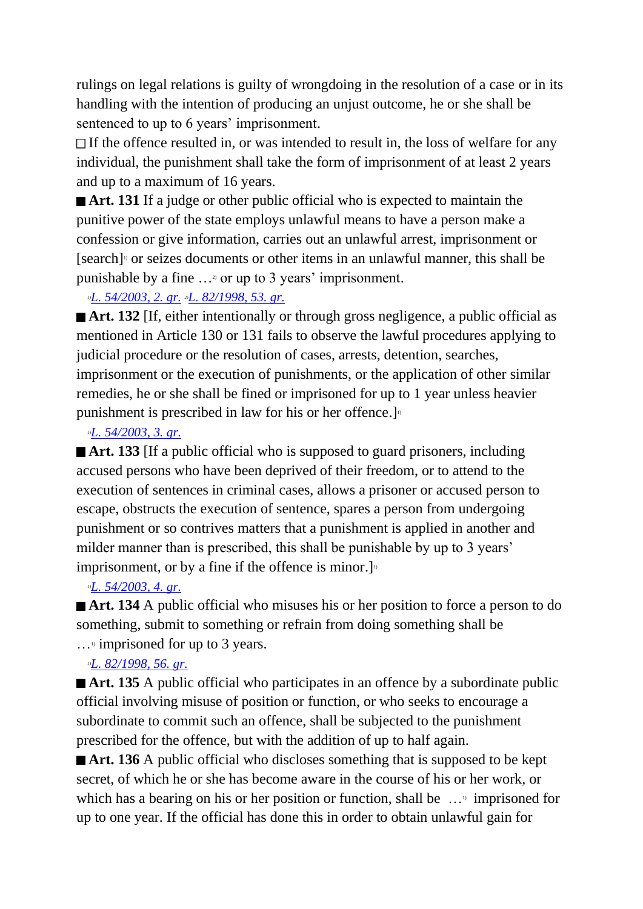rulings on legal relations is guilty of wrongdoing in the resolution of a case or in its handling with the intention of producing an unjust outcome, he or she shall be sentenced to up to 6 years' imprisonment.

 $\Box$  If the offence resulted in, or was intended to result in, the loss of welfare for any individual, the punishment shall take the form of imprisonment of at least 2 years and up to a maximum of 16 years.

■ **Art. 131** If a judge or other public official who is expected to maintain the punitive power of the state employs unlawful means to have a person make a confession or give information, carries out an unlawful arrest, imprisonment or [search] 1) or seizes documents or other items in an unlawful manner, this shall be punishable by a fine  $\ldots$ <sup>2</sup> or up to 3 years' imprisonment.

## *1)[L. 54/2003, 2. gr.](http://www.althingi.is/altext/stjt/2003.054.html) 2)[L. 82/1998, 53. gr.](http://www.althingi.is/altext/stjt/1998.082.html)*

**Art. 132** If, either intentionally or through gross negligence, a public official as mentioned in Article 130 or 131 fails to observe the lawful procedures applying to judicial procedure or the resolution of cases, arrests, detention, searches, imprisonment or the execution of punishments, or the application of other similar remedies, he or she shall be fined or imprisoned for up to 1 year unless heavier punishment is prescribed in law for his or her offence.]<sup>11</sup>

#### *1)[L. 54/2003, 3. gr.](http://www.althingi.is/altext/stjt/2003.054.html)*

■ **Art. 133** [If a public official who is supposed to guard prisoners, including accused persons who have been deprived of their freedom, or to attend to the execution of sentences in criminal cases, allows a prisoner or accused person to escape, obstructs the execution of sentence, spares a person from undergoing punishment or so contrives matters that a punishment is applied in another and milder manner than is prescribed, this shall be punishable by up to 3 years' imprisonment, or by a fine if the offence is minor.

## *1)[L. 54/2003, 4. gr.](http://www.althingi.is/altext/stjt/2003.054.html)*

■ **Art. 134** A public official who misuses his or her position to force a person to do something, submit to something or refrain from doing something shall be

 $\ldots$ <sup>1</sup> imprisoned for up to 3 years.

## *1)[L. 82/1998, 56. gr.](http://www.althingi.is/altext/stjt/1998.082.html)*

■ **Art. 135** A public official who participates in an offence by a subordinate public official involving misuse of position or function, or who seeks to encourage a subordinate to commit such an offence, shall be subjected to the punishment prescribed for the offence, but with the addition of up to half again.

■ **Art. 136** A public official who discloses something that is supposed to be kept secret, of which he or she has become aware in the course of his or her work, or which has a bearing on his or her position or function, shall be  $\ldots$ <sup>1</sup> imprisoned for up to one year. If the official has done this in order to obtain unlawful gain for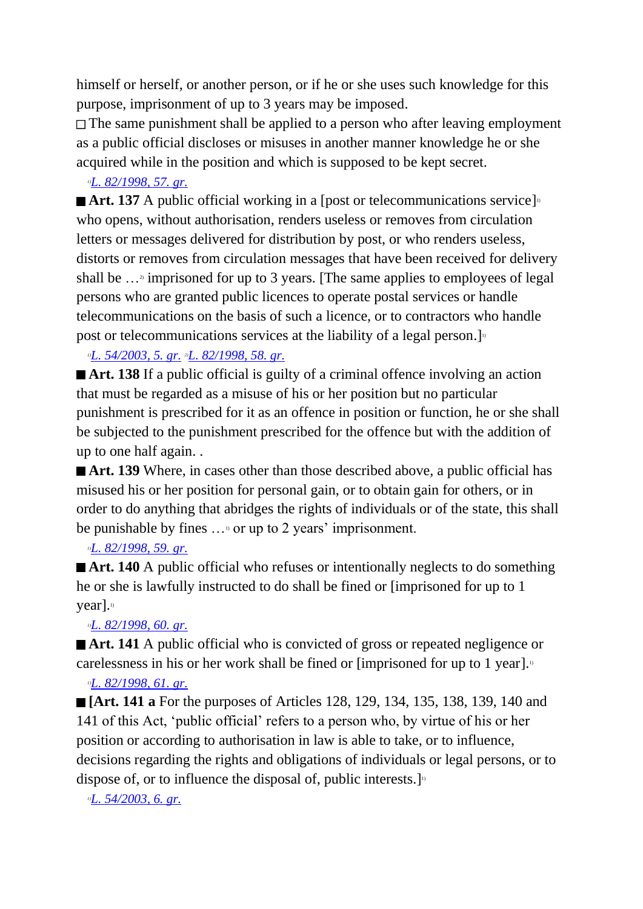himself or herself, or another person, or if he or she uses such knowledge for this purpose, imprisonment of up to 3 years may be imposed.

The same punishment shall be applied to a person who after leaving employment as a public official discloses or misuses in another manner knowledge he or she acquired while in the position and which is supposed to be kept secret.

## *1)[L. 82/1998, 57. gr.](http://www.althingi.is/altext/stjt/1998.082.html)*

Art. 137 A public official working in a [post or telecommunications service]<sup>1</sup> who opens, without authorisation, renders useless or removes from circulation letters or messages delivered for distribution by post, or who renders useless, distorts or removes from circulation messages that have been received for delivery shall be ...<sup>3</sup> imprisoned for up to 3 years. [The same applies to employees of legal persons who are granted public licences to operate postal services or handle telecommunications on the basis of such a licence, or to contractors who handle post or telecommunications services at the liability of a legal person. $\mathbf{I}^{\text{D}}$ 

*1)[L. 54/2003, 5. gr.](http://www.althingi.is/altext/stjt/2003.054.html) 2)[L. 82/1998, 58. gr.](http://www.althingi.is/altext/stjt/1998.082.html)*

■ **Art. 138** If a public official is guilty of a criminal offence involving an action that must be regarded as a misuse of his or her position but no particular punishment is prescribed for it as an offence in position or function, he or she shall be subjected to the punishment prescribed for the offence but with the addition of up to one half again. .

■ **Art. 139** Where, in cases other than those described above, a public official has misused his or her position for personal gain, or to obtain gain for others, or in order to do anything that abridges the rights of individuals or of the state, this shall be punishable by fines  $\ldots$ <sup>0</sup> or up to 2 years' imprisonment.

## *1)[L. 82/1998, 59. gr.](http://www.althingi.is/altext/stjt/1998.082.html)*

■ **Art. 140** A public official who refuses or intentionally neglects to do something he or she is lawfully instructed to do shall be fined or [imprisoned for up to 1  $\gamma$ ear].

## *1)[L. 82/1998, 60. gr.](http://www.althingi.is/altext/stjt/1998.082.html)*

■ **Art. 141** A public official who is convicted of gross or repeated negligence or carelessness in his or her work shall be fined or [imprisoned for up to 1 year].<sup>1</sup>

## *1)[L. 82/1998, 61. gr.](http://www.althingi.is/altext/stjt/1998.082.html)*

**[Art. 141 a** For the purposes of Articles 128, 129, 134, 135, 138, 139, 140 and 141 of this Act, 'public official' refers to a person who, by virtue of his or her position or according to authorisation in law is able to take, or to influence, decisions regarding the rights and obligations of individuals or legal persons, or to dispose of, or to influence the disposal of, public interests.  $]$ <sup>n</sup>

*1)[L. 54/2003, 6. gr.](http://www.althingi.is/altext/stjt/2003.054.html)*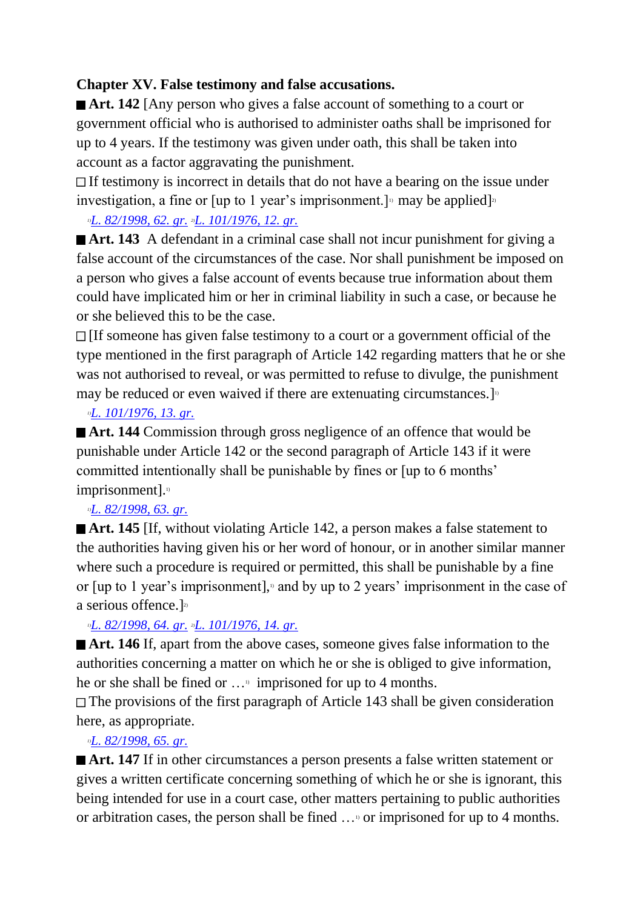## **Chapter XV. False testimony and false accusations.**

**Art. 142** [Any person who gives a false account of something to a court or government official who is authorised to administer oaths shall be imprisoned for up to 4 years. If the testimony was given under oath, this shall be taken into account as a factor aggravating the punishment.

 $\Box$  If testimony is incorrect in details that do not have a bearing on the issue under investigation, a fine or [up to 1 year's imprisonment.]<sup>1</sup> may be applied]<sup>2</sup>

## *1)[L. 82/1998, 62. gr.](http://www.althingi.is/altext/stjt/1998.082.html) 2)[L. 101/1976, 12. gr.](http://www.althingi.is/altext/stjtnr.html#1976101?g12)*

■ **Art. 143** A defendant in a criminal case shall not incur punishment for giving a false account of the circumstances of the case. Nor shall punishment be imposed on a person who gives a false account of events because true information about them could have implicated him or her in criminal liability in such a case, or because he or she believed this to be the case.

 $\Box$  [If someone has given false testimony to a court or a government official of the type mentioned in the first paragraph of Article 142 regarding matters that he or she was not authorised to reveal, or was permitted to refuse to divulge, the punishment may be reduced or even waived if there are extenuating circumstances.  $]$ <sup>n</sup>

## *1)[L. 101/1976, 13. gr.](http://www.althingi.is/altext/stjtnr.html#1976101?g13)*

■ **Art. 144** Commission through gross negligence of an offence that would be punishable under Article 142 or the second paragraph of Article 143 if it were committed intentionally shall be punishable by fines or [up to 6 months' imprisonment].<sup>1</sup>

## *1)[L. 82/1998, 63. gr.](http://www.althingi.is/altext/stjt/1998.082.html)*

**Art. 145** If, without violating Article 142, a person makes a false statement to the authorities having given his or her word of honour, or in another similar manner where such a procedure is required or permitted, this shall be punishable by a fine or  $\lceil$ up to 1 year's imprisonment $\lceil$ , and by up to 2 years' imprisonment in the case of a serious offence.]<sup>21</sup>

## *1)[L. 82/1998, 64. gr.](http://www.althingi.is/altext/stjt/1998.082.html) 2)[L. 101/1976, 14. gr.](http://www.althingi.is/altext/stjtnr.html#1976101?g14)*

■ **Art. 146** If, apart from the above cases, someone gives false information to the authorities concerning a matter on which he or she is obliged to give information, he or she shall be fined or  $\dots$ <sup>1</sup> imprisoned for up to 4 months.

The provisions of the first paragraph of Article 143 shall be given consideration here, as appropriate.

## *1)[L. 82/1998, 65. gr.](http://www.althingi.is/altext/stjt/1998.082.html)*

■ **Art. 147** If in other circumstances a person presents a false written statement or gives a written certificate concerning something of which he or she is ignorant, this being intended for use in a court case, other matters pertaining to public authorities or arbitration cases, the person shall be fined …1) or imprisoned for up to 4 months.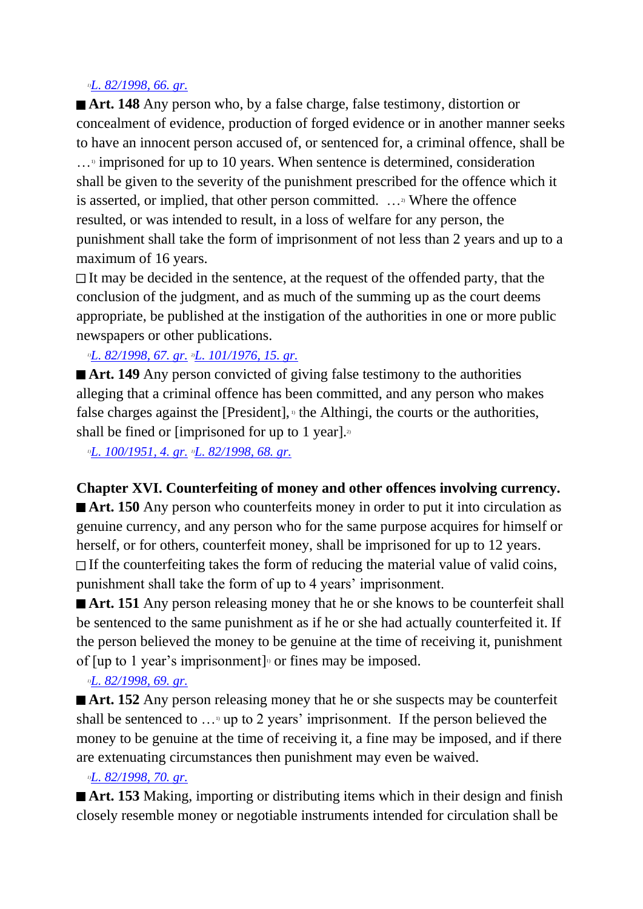#### *1)[L. 82/1998, 66. gr.](http://www.althingi.is/altext/stjt/1998.082.html)*

**Art. 148** Any person who, by a false charge, false testimony, distortion or concealment of evidence, production of forged evidence or in another manner seeks to have an innocent person accused of, or sentenced for, a criminal offence, shall be  $\ldots$ <sup>3</sup> imprisoned for up to 10 years. When sentence is determined, consideration shall be given to the severity of the punishment prescribed for the offence which it is asserted, or implied, that other person committed. ...<sup>2</sup> Where the offence resulted, or was intended to result, in a loss of welfare for any person, the punishment shall take the form of imprisonment of not less than 2 years and up to a maximum of 16 years.

 $\Box$  It may be decided in the sentence, at the request of the offended party, that the conclusion of the judgment, and as much of the summing up as the court deems appropriate, be published at the instigation of the authorities in one or more public newspapers or other publications.

*1)[L. 82/1998, 67. gr.](http://www.althingi.is/altext/stjt/1998.082.html) 2)[L. 101/1976, 15. gr.](http://www.althingi.is/altext/stjtnr.html#1976101?g15)*

■ **Art. 149** Any person convicted of giving false testimony to the authorities alleging that a criminal offence has been committed, and any person who makes false charges against the [President], $\theta$  the Althingi, the courts or the authorities, shall be fined or [imprisoned for up to 1 year].

*1)[L. 100/1951, 4. gr.](http://www.althingi.is/altext/stjtnr.html#1951100?g4) 1)[L. 82/1998, 68. gr.](http://www.althingi.is/altext/stjt/1998.082.html)*

**Chapter XVI. Counterfeiting of money and other offences involving currency.**

■ **Art. 150** Any person who counterfeits money in order to put it into circulation as genuine currency, and any person who for the same purpose acquires for himself or herself, or for others, counterfeit money, shall be imprisoned for up to 12 years.  $\Box$  If the counterfeiting takes the form of reducing the material value of valid coins, punishment shall take the form of up to 4 years' imprisonment.

■ **Art. 151** Any person releasing money that he or she knows to be counterfeit shall be sentenced to the same punishment as if he or she had actually counterfeited it. If the person believed the money to be genuine at the time of receiving it, punishment of [up to 1 year's imprisonment]<sup> $\alpha$ </sup> or fines may be imposed.

#### *1)[L. 82/1998, 69. gr.](http://www.althingi.is/altext/stjt/1998.082.html)*

■ **Art. 152** Any person releasing money that he or she suspects may be counterfeit shall be sentenced to  $\ldots$ <sup>9</sup> up to 2 years' imprisonment. If the person believed the money to be genuine at the time of receiving it, a fine may be imposed, and if there are extenuating circumstances then punishment may even be waived.

#### *1)[L. 82/1998, 70. gr.](http://www.althingi.is/altext/stjt/1998.082.html)*

■ **Art. 153** Making, importing or distributing items which in their design and finish closely resemble money or negotiable instruments intended for circulation shall be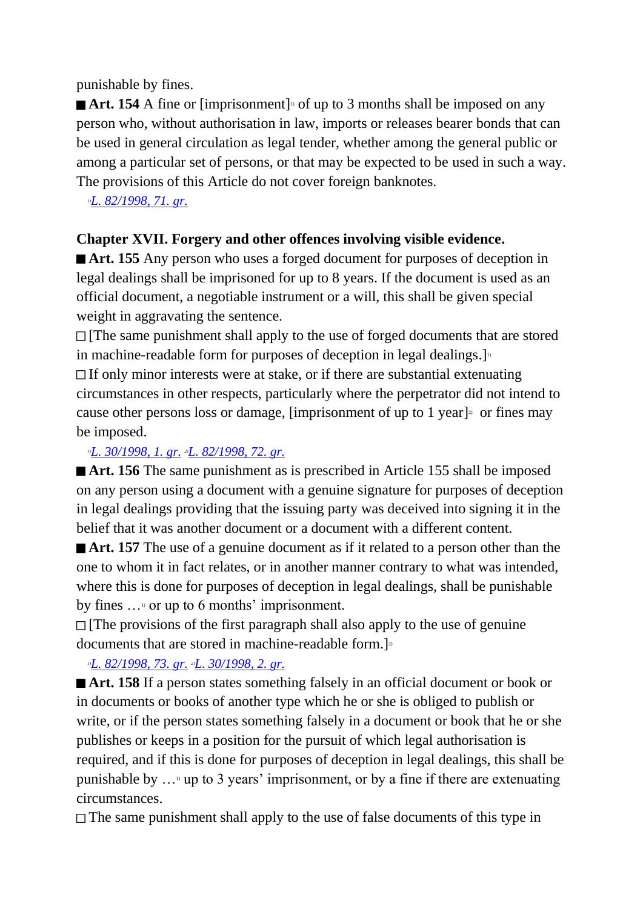punishable by fines.

Art. 154 A fine or [imprisonment]<sup>1</sup> of up to 3 months shall be imposed on any person who, without authorisation in law, imports or releases bearer bonds that can be used in general circulation as legal tender, whether among the general public or among a particular set of persons, or that may be expected to be used in such a way. The provisions of this Article do not cover foreign banknotes.

*1)[L. 82/1998, 71. gr.](http://www.althingi.is/altext/stjt/1998.082.html)*

## **Chapter XVII. Forgery and other offences involving visible evidence.**

■ **Art. 155** Any person who uses a forged document for purposes of deception in legal dealings shall be imprisoned for up to 8 years. If the document is used as an official document, a negotiable instrument or a will, this shall be given special weight in aggravating the sentence.

 $\Box$  [The same punishment shall apply to the use of forged documents that are stored in machine-readable form for purposes of deception in legal dealings. $]$ <sup>11</sup> If only minor interests were at stake, or if there are substantial extenuating circumstances in other respects, particularly where the perpetrator did not intend to cause other persons loss or damage, [imprisonment of up to 1 year]<sup>3</sup> or fines may be imposed.

## *1)[L. 30/1998, 1. gr.](http://www.althingi.is/altext/stjt/1998.030.html) 2)[L. 82/1998, 72. gr.](http://www.althingi.is/altext/stjt/1998.082.html)*

■ **Art. 156** The same punishment as is prescribed in Article 155 shall be imposed on any person using a document with a genuine signature for purposes of deception in legal dealings providing that the issuing party was deceived into signing it in the belief that it was another document or a document with a different content.

**Art. 157** The use of a genuine document as if it related to a person other than the one to whom it in fact relates, or in another manner contrary to what was intended, where this is done for purposes of deception in legal dealings, shall be punishable by fines …1) or up to 6 months' imprisonment.

[The provisions of the first paragraph shall also apply to the use of genuine documents that are stored in machine-readable form.]<sup>2</sup>

## *1)[L. 82/1998, 73. gr.](http://www.althingi.is/altext/stjt/1998.082.html) 2)[L. 30/1998, 2. gr.](http://www.althingi.is/altext/stjt/1998.030.html)*

■ **Art. 158** If a person states something falsely in an official document or book or in documents or books of another type which he or she is obliged to publish or write, or if the person states something falsely in a document or book that he or she publishes or keeps in a position for the pursuit of which legal authorisation is required, and if this is done for purposes of deception in legal dealings, this shall be punishable by  $\ldots$  up to 3 years' imprisonment, or by a fine if there are extenuating circumstances.

 $\Box$  The same punishment shall apply to the use of false documents of this type in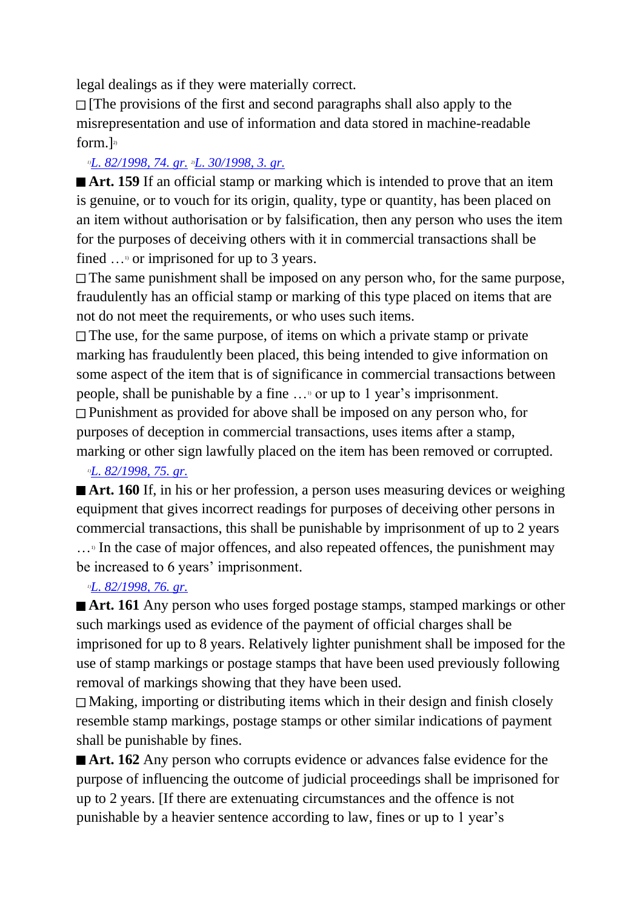legal dealings as if they were materially correct.

 $\Box$  [The provisions of the first and second paragraphs shall also apply to the misrepresentation and use of information and data stored in machine-readable form. $]$ <sup>2)</sup>

## *1)[L. 82/1998, 74. gr.](http://www.althingi.is/altext/stjt/1998.082.html) 2)[L. 30/1998, 3. gr.](http://www.althingi.is/altext/stjt/1998.030.html)*

■ **Art. 159** If an official stamp or marking which is intended to prove that an item is genuine, or to vouch for its origin, quality, type or quantity, has been placed on an item without authorisation or by falsification, then any person who uses the item for the purposes of deceiving others with it in commercial transactions shall be fined  $\ldots$ <sup>1</sup> or imprisoned for up to 3 years.

 $\Box$  The same punishment shall be imposed on any person who, for the same purpose, fraudulently has an official stamp or marking of this type placed on items that are not do not meet the requirements, or who uses such items.

 $\Box$  The use, for the same purpose, of items on which a private stamp or private marking has fraudulently been placed, this being intended to give information on some aspect of the item that is of significance in commercial transactions between people, shall be punishable by a fine …1) or up to 1 year's imprisonment.

Punishment as provided for above shall be imposed on any person who, for purposes of deception in commercial transactions, uses items after a stamp, marking or other sign lawfully placed on the item has been removed or corrupted.

*1)[L. 82/1998, 75. gr.](http://www.althingi.is/altext/stjt/1998.082.html)*

■ **Art. 160** If, in his or her profession, a person uses measuring devices or weighing equipment that gives incorrect readings for purposes of deceiving other persons in commercial transactions, this shall be punishable by imprisonment of up to 2 years  $\ldots$ <sup>1</sup> In the case of major offences, and also repeated offences, the punishment may be increased to 6 years' imprisonment.

*1)[L. 82/1998, 76. gr.](http://www.althingi.is/altext/stjt/1998.082.html)*

■ **Art. 161** Any person who uses forged postage stamps, stamped markings or other such markings used as evidence of the payment of official charges shall be imprisoned for up to 8 years. Relatively lighter punishment shall be imposed for the use of stamp markings or postage stamps that have been used previously following removal of markings showing that they have been used.

Making, importing or distributing items which in their design and finish closely resemble stamp markings, postage stamps or other similar indications of payment shall be punishable by fines.

■ **Art. 162** Any person who corrupts evidence or advances false evidence for the purpose of influencing the outcome of judicial proceedings shall be imprisoned for up to 2 years. [If there are extenuating circumstances and the offence is not punishable by a heavier sentence according to law, fines or up to 1 year's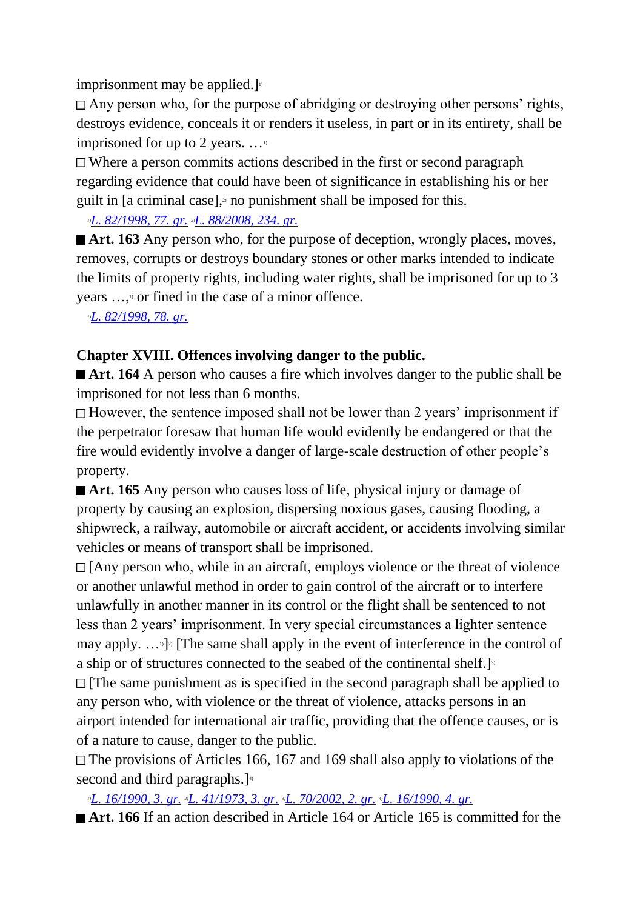imprisonment may be applied.]

Any person who, for the purpose of abridging or destroying other persons' rights, destroys evidence, conceals it or renders it useless, in part or in its entirety, shall be imprisoned for up to 2 years.  $\dots$ <sup>10</sup>

Where a person commits actions described in the first or second paragraph regarding evidence that could have been of significance in establishing his or her guilt in [a criminal case],<sup> $\alpha$ </sup> no punishment shall be imposed for this.

*1)[L. 82/1998, 77. gr.](http://www.althingi.is/altext/stjt/1998.082.html) 2)[L. 88/2008, 234. gr.](http://www.althingi.is/altext/stjt/2008.088.html#G234)*

■ **Art. 163** Any person who, for the purpose of deception, wrongly places, moves, removes, corrupts or destroys boundary stones or other marks intended to indicate the limits of property rights, including water rights, shall be imprisoned for up to 3 years ...,<sup>1</sup> or fined in the case of a minor offence.

*1)[L. 82/1998, 78. gr.](http://www.althingi.is/altext/stjt/1998.082.html)*

## **Chapter XVIII. Offences involving danger to the public.**

■ **Art. 164** A person who causes a fire which involves danger to the public shall be imprisoned for not less than 6 months.

However, the sentence imposed shall not be lower than 2 years' imprisonment if the perpetrator foresaw that human life would evidently be endangered or that the fire would evidently involve a danger of large-scale destruction of other people's property.

■ **Art. 165** Any person who causes loss of life, physical injury or damage of property by causing an explosion, dispersing noxious gases, causing flooding, a shipwreck, a railway, automobile or aircraft accident, or accidents involving similar vehicles or means of transport shall be imprisoned.

 $\Box$  [Any person who, while in an aircraft, employs violence or the threat of violence or another unlawful method in order to gain control of the aircraft or to interfere unlawfully in another manner in its control or the flight shall be sentenced to not less than 2 years' imprisonment. In very special circumstances a lighter sentence may apply.  $\dots$ <sup>[2]</sup> [The same shall apply in the event of interference in the control of a ship or of structures connected to the seabed of the continental shelf.]<sup>3</sup>  $\Box$  [The same punishment as is specified in the second paragraph shall be applied to any person who, with violence or the threat of violence, attacks persons in an

airport intended for international air traffic, providing that the offence causes, or is of a nature to cause, danger to the public.

The provisions of Articles 166, 167 and 169 shall also apply to violations of the second and third paragraphs.]<sup>4</sup>

*1)[L. 16/1990, 3. gr.](http://www.althingi.is/altext/stjt/1990.016.html) 2)[L. 41/1973, 3. gr.](http://www.althingi.is/altext/stjtnr.html#1973041?g3) 3)[L. 70/2002, 2. gr.](http://www.althingi.is/altext/stjt/2002.070.html) 4)[L. 16/1990, 4. gr.](http://www.althingi.is/altext/stjt/1990.016.html)*

■ **Art. 166** If an action described in Article 164 or Article 165 is committed for the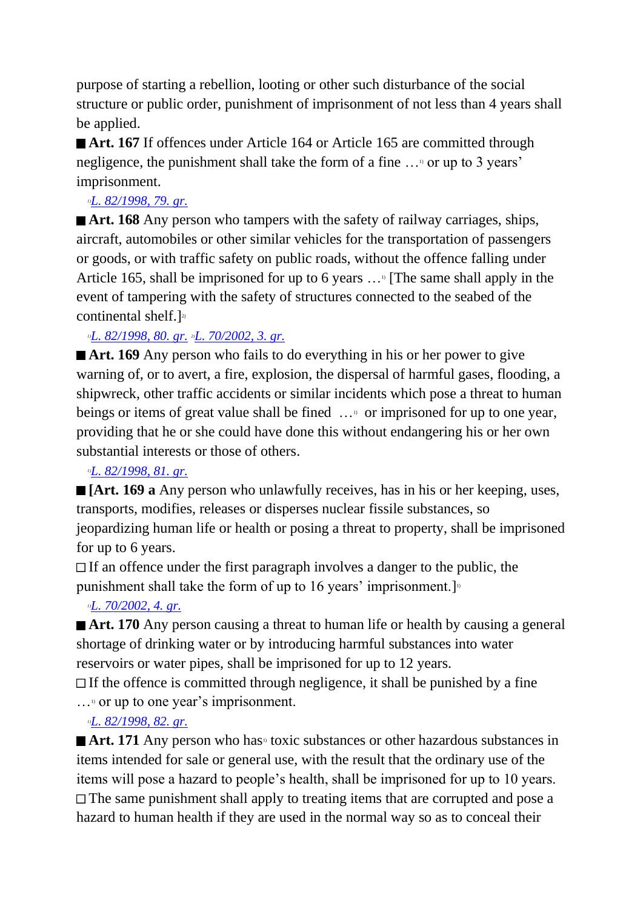purpose of starting a rebellion, looting or other such disturbance of the social structure or public order, punishment of imprisonment of not less than 4 years shall be applied.

■ **Art. 167** If offences under Article 164 or Article 165 are committed through negligence, the punishment shall take the form of a fine …1) or up to 3 years' imprisonment.

### *1)[L. 82/1998, 79. gr.](http://www.althingi.is/altext/stjt/1998.082.html)*

**Art. 168** Any person who tampers with the safety of railway carriages, ships, aircraft, automobiles or other similar vehicles for the transportation of passengers or goods, or with traffic safety on public roads, without the offence falling under Article 165, shall be imprisoned for up to 6 years  $\ldots$ <sup>1</sup> [The same shall apply in the event of tampering with the safety of structures connected to the seabed of the continental shelf.] $^{2}$ 

*1)[L. 82/1998, 80. gr.](http://www.althingi.is/altext/stjt/1998.082.html) 2)[L. 70/2002, 3. gr.](http://www.althingi.is/altext/stjt/2002.070.html)*

■ **Art. 169** Any person who fails to do everything in his or her power to give warning of, or to avert, a fire, explosion, the dispersal of harmful gases, flooding, a shipwreck, other traffic accidents or similar incidents which pose a threat to human beings or items of great value shall be fined ...  $\circ$  or imprisoned for up to one year, providing that he or she could have done this without endangering his or her own substantial interests or those of others.

## *1)[L. 82/1998, 81. gr.](http://www.althingi.is/altext/stjt/1998.082.html)*

**[Art. 169 a** Any person who unlawfully receives, has in his or her keeping, uses, transports, modifies, releases or disperses nuclear fissile substances, so jeopardizing human life or health or posing a threat to property, shall be imprisoned for up to 6 years.

 $\Box$  If an offence under the first paragraph involves a danger to the public, the punishment shall take the form of up to 16 years' imprisonment.  $]$ 

## *1)[L. 70/2002, 4. gr.](http://www.althingi.is/altext/stjt/2002.070.html)*

■ **Art. 170** Any person causing a threat to human life or health by causing a general shortage of drinking water or by introducing harmful substances into water reservoirs or water pipes, shall be imprisoned for up to 12 years.

 $\Box$  If the offence is committed through negligence, it shall be punished by a fine  $\ldots$ <sup>1</sup> or up to one year's imprisonment.

## *1)[L. 82/1998, 82. gr.](http://www.althingi.is/altext/stjt/1998.082.html)*

■ **Art. 171** Any person who has<sup>11</sup> toxic substances or other hazardous substances in items intended for sale or general use, with the result that the ordinary use of the items will pose a hazard to people's health, shall be imprisoned for up to 10 years. The same punishment shall apply to treating items that are corrupted and pose a hazard to human health if they are used in the normal way so as to conceal their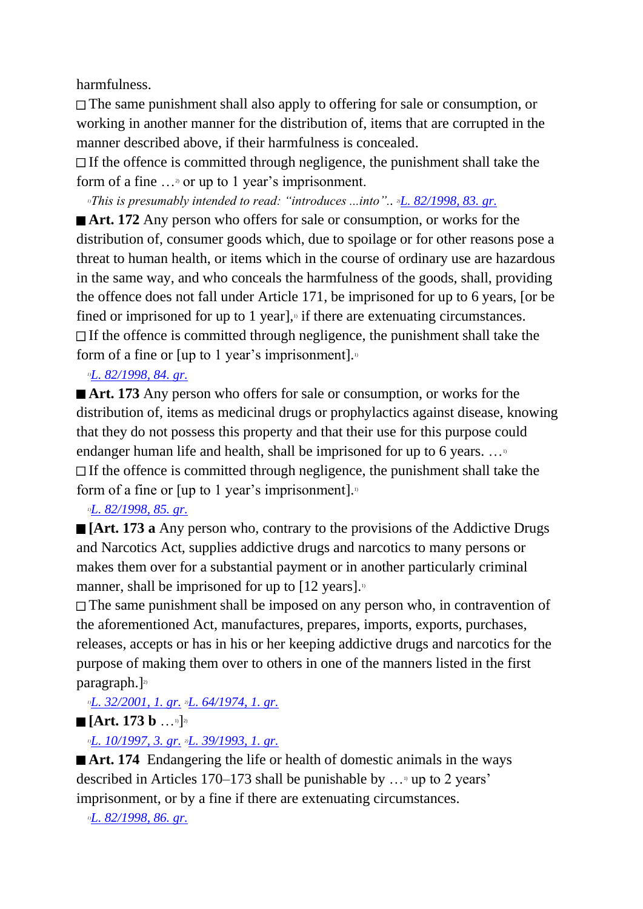harmfulness.

The same punishment shall also apply to offering for sale or consumption, or working in another manner for the distribution of, items that are corrupted in the manner described above, if their harmfulness is concealed.

 $\Box$  If the offence is committed through negligence, the punishment shall take the form of a fine  $\ldots$ <sup>2</sup> or up to 1 year's imprisonment.

*1)This is presumably intended to read: "introduces ...into".. 2)[L. 82/1998, 83. gr.](http://www.althingi.is/altext/stjt/1998.082.html)*

**Art. 172** Any person who offers for sale or consumption, or works for the distribution of, consumer goods which, due to spoilage or for other reasons pose a threat to human health, or items which in the course of ordinary use are hazardous in the same way, and who conceals the harmfulness of the goods, shall, providing the offence does not fall under Article 171, be imprisoned for up to 6 years, [or be fined or imprisoned for up to 1 year], $\theta$  if there are extenuating circumstances.  $\Box$  If the offence is committed through negligence, the punishment shall take the form of a fine or [up to 1 year's imprisonment].

*1)[L. 82/1998, 84. gr.](http://www.althingi.is/altext/stjt/1998.082.html)*

■ **Art. 173** Any person who offers for sale or consumption, or works for the distribution of, items as medicinal drugs or prophylactics against disease, knowing that they do not possess this property and that their use for this purpose could endanger human life and health, shall be imprisoned for up to 6 years.  $\dots$ <sup>1</sup>  $\Box$  If the offence is committed through negligence, the punishment shall take the form of a fine or [up to 1 year's imprisonment]. $\frac{1}{1}$ 

*1)[L. 82/1998, 85. gr.](http://www.althingi.is/altext/stjt/1998.082.html)*

**[Art. 173 a** Any person who, contrary to the provisions of the Addictive Drugs and Narcotics Act, supplies addictive drugs and narcotics to many persons or makes them over for a substantial payment or in another particularly criminal manner, shall be imprisoned for up to  $[12 \text{ years}]$ .

The same punishment shall be imposed on any person who, in contravention of the aforementioned Act, manufactures, prepares, imports, exports, purchases, releases, accepts or has in his or her keeping addictive drugs and narcotics for the purpose of making them over to others in one of the manners listed in the first paragraph.]<sup>2)</sup>

*1)[L. 32/2001, 1. gr.](http://www.althingi.is/altext/stjt/2001.032.html) 2)[L. 64/1974, 1. gr.](http://www.althingi.is/altext/stjtnr.html#1974064?g1)*

**[Art. 173 b** …1)] 2)

*1)[L. 10/1997, 3. gr.](http://www.althingi.is/altext/stjt/1997.010.html) 2)[L. 39/1993, 1. gr.](http://www.althingi.is/altext/stjt/1993.039.html)*

■ **Art. 174** Endangering the life or health of domestic animals in the ways described in Articles 170–173 shall be punishable by  $\dots$  up to 2 years' imprisonment, or by a fine if there are extenuating circumstances.

*1)[L. 82/1998, 86. gr.](http://www.althingi.is/altext/stjt/1998.082.html)*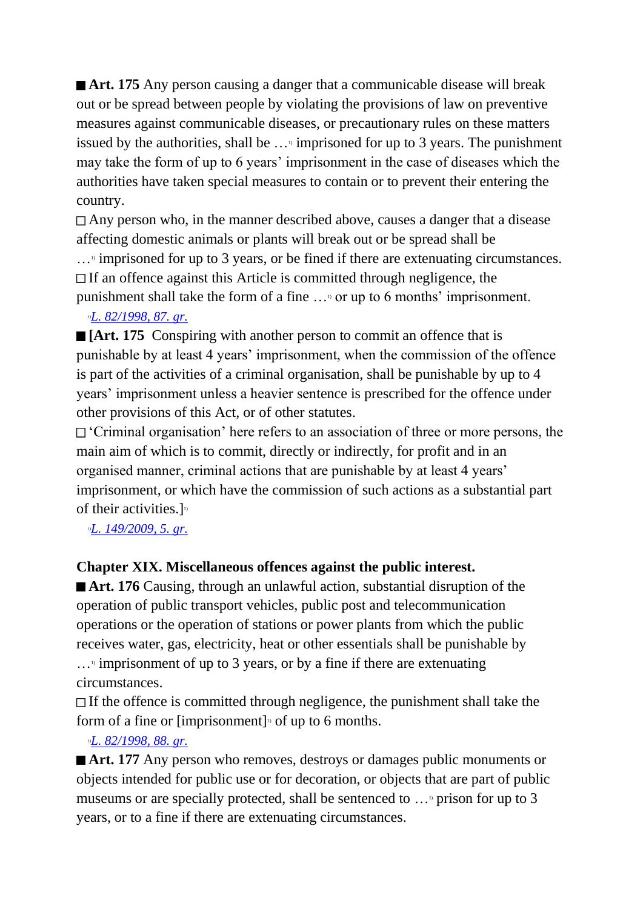■ **Art. 175** Any person causing a danger that a communicable disease will break out or be spread between people by violating the provisions of law on preventive measures against communicable diseases, or precautionary rules on these matters issued by the authorities, shall be  $\ldots$ <sup>1</sup> imprisoned for up to 3 years. The punishment may take the form of up to 6 years' imprisonment in the case of diseases which the authorities have taken special measures to contain or to prevent their entering the country.

Any person who, in the manner described above, causes a danger that a disease affecting domestic animals or plants will break out or be spread shall be

 $\ldots$ <sup>3</sup> imprisoned for up to 3 years, or be fined if there are extenuating circumstances.  $\Box$  If an offence against this Article is committed through negligence, the punishment shall take the form of a fine …1) or up to 6 months' imprisonment.

#### *1)[L. 82/1998, 87. gr.](http://www.althingi.is/altext/stjt/1998.082.html)*

**[Art. 175** Conspiring with another person to commit an offence that is punishable by at least 4 years' imprisonment, when the commission of the offence is part of the activities of a criminal organisation, shall be punishable by up to 4 years' imprisonment unless a heavier sentence is prescribed for the offence under other provisions of this Act, or of other statutes.

'Criminal organisation' here refers to an association of three or more persons, the main aim of which is to commit, directly or indirectly, for profit and in an organised manner, criminal actions that are punishable by at least 4 years' imprisonment, or which have the commission of such actions as a substantial part of their activities.] $\frac{1}{10}$ 

*1)[L. 149/2009, 5. gr.](http://www.althingi.is/altext/stjt/2009.149.html)*

## **Chapter XIX. Miscellaneous offences against the public interest.**

■ **Art. 176** Causing, through an unlawful action, substantial disruption of the operation of public transport vehicles, public post and telecommunication operations or the operation of stations or power plants from which the public receives water, gas, electricity, heat or other essentials shall be punishable by  $\ldots$ <sup>3</sup> imprisonment of up to 3 years, or by a fine if there are extenuating circumstances.

 $\Box$  If the offence is committed through negligence, the punishment shall take the form of a fine or [imprisonment]<sup> $\alpha$ </sup> of up to 6 months.

## *1)[L. 82/1998, 88. gr.](http://www.althingi.is/altext/stjt/1998.082.html)*

**Art. 177** Any person who removes, destroys or damages public monuments or objects intended for public use or for decoration, or objects that are part of public museums or are specially protected, shall be sentenced to  $\ldots$ <sup>9</sup> prison for up to 3 years, or to a fine if there are extenuating circumstances.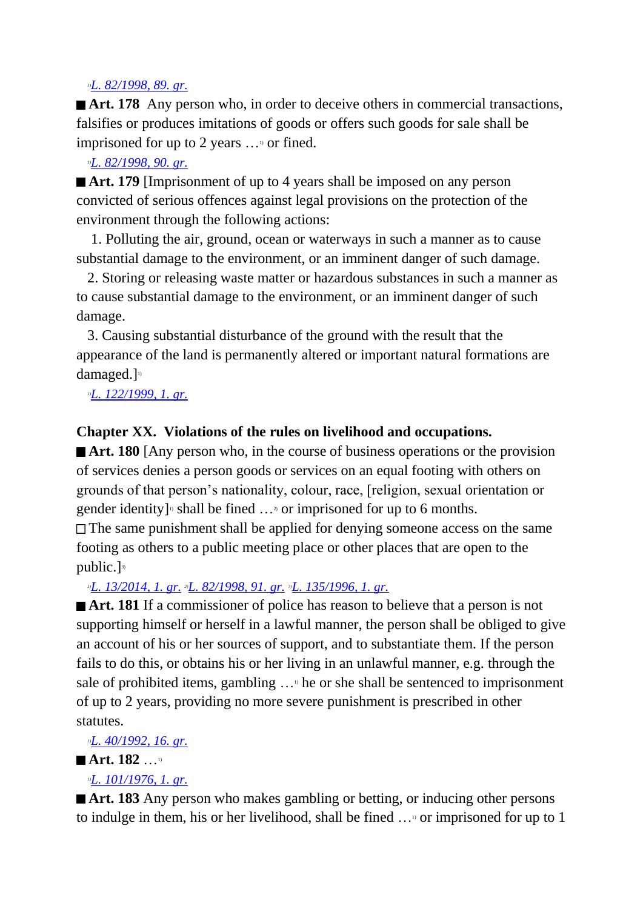#### *1)[L. 82/1998, 89. gr.](http://www.althingi.is/altext/stjt/1998.082.html)*

**Art. 178** Any person who, in order to deceive others in commercial transactions, falsifies or produces imitations of goods or offers such goods for sale shall be imprisoned for up to 2 years ...<sup>1</sup> or fined.

#### *1)[L. 82/1998, 90. gr.](http://www.althingi.is/altext/stjt/1998.082.html)*

■ **Art. 179** [Imprisonment of up to 4 years shall be imposed on any person convicted of serious offences against legal provisions on the protection of the environment through the following actions:

 1. Polluting the air, ground, ocean or waterways in such a manner as to cause substantial damage to the environment, or an imminent danger of such damage.

 2. Storing or releasing waste matter or hazardous substances in such a manner as to cause substantial damage to the environment, or an imminent danger of such damage.

 3. Causing substantial disturbance of the ground with the result that the appearance of the land is permanently altered or important natural formations are damaged.] 1)

*1)[L. 122/1999, 1. gr.](http://www.althingi.is/altext/stjt/1999.122.html)*

## **Chapter XX. Violations of the rules on livelihood and occupations.**

**Art. 180** [Any person who, in the course of business operations or the provision of services denies a person goods or services on an equal footing with others on grounds of that person's nationality, colour, race, [religion, sexual orientation or gender identity]<sup>1</sup> shall be fined  $\ldots$ <sup>2</sup> or imprisoned for up to 6 months. The same punishment shall be applied for denying someone access on the same footing as others to a public meeting place or other places that are open to the public.]<sup>3)</sup>

*1)[L. 13/2014, 1. gr.](http://www.althingi.is/altext/stjt/2014.013.html) 2)[L. 82/1998, 91. gr.](http://www.althingi.is/altext/stjt/1998.082.html) 3)[L. 135/1996, 1. gr.](http://www.althingi.is/altext/stjt/1996.135.html)*

■ **Art. 181** If a commissioner of police has reason to believe that a person is not supporting himself or herself in a lawful manner, the person shall be obliged to give an account of his or her sources of support, and to substantiate them. If the person fails to do this, or obtains his or her living in an unlawful manner, e.g. through the sale of prohibited items, gambling  $\ldots$ <sup>1</sup> he or she shall be sentenced to imprisonment of up to 2 years, providing no more severe punishment is prescribed in other statutes.

*1)[L. 40/1992, 16. gr.](http://www.althingi.is/altext/stjt/1992.040.html)*

## **Art. 182** …1)

## *1)[L. 101/1976, 1. gr.](http://www.althingi.is/altext/stjtnr.html#1976101?g1)*

■ **Art. 183** Any person who makes gambling or betting, or inducing other persons to indulge in them, his or her livelihood, shall be fined  $\ldots$ <sup>0</sup> or imprisoned for up to 1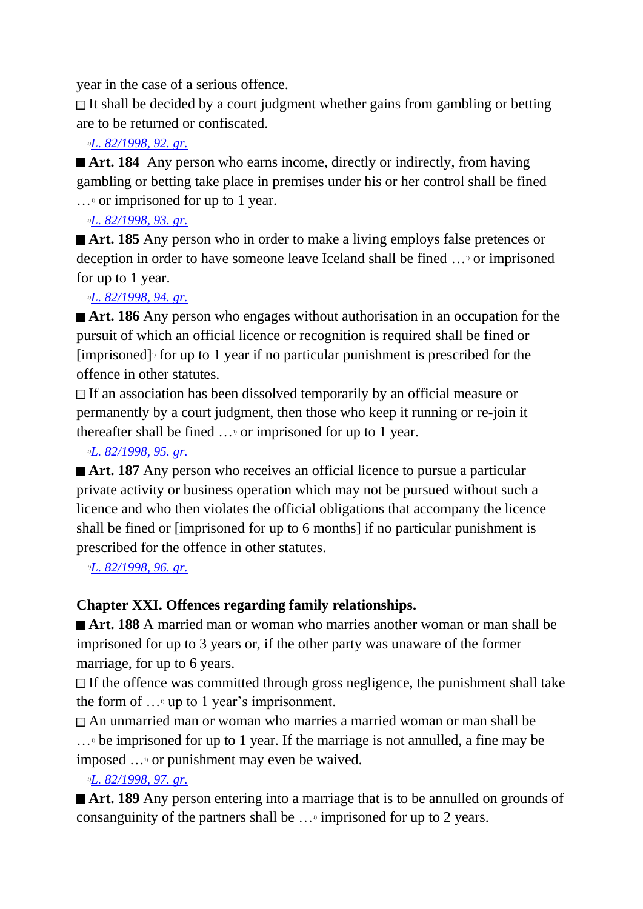year in the case of a serious offence.

 $\Box$  It shall be decided by a court judgment whether gains from gambling or betting are to be returned or confiscated.

## *1)[L. 82/1998, 92. gr.](http://www.althingi.is/altext/stjt/1998.082.html)*

■ **Art. 184** Any person who earns income, directly or indirectly, from having gambling or betting take place in premises under his or her control shall be fined  $\ldots$ <sup>1</sup> or imprisoned for up to 1 year.

## *1)[L. 82/1998, 93. gr.](http://www.althingi.is/altext/stjt/1998.082.html)*

**Art. 185** Any person who in order to make a living employs false pretences or deception in order to have someone leave Iceland shall be fined …1) or imprisoned for up to 1 year.

## *1)[L. 82/1998, 94. gr.](http://www.althingi.is/altext/stjt/1998.082.html)*

**Art. 186** Any person who engages without authorisation in an occupation for the pursuit of which an official licence or recognition is required shall be fined or  $[imprisoned]$ <sup>1</sup> for up to 1 year if no particular punishment is prescribed for the offence in other statutes.

If an association has been dissolved temporarily by an official measure or permanently by a court judgment, then those who keep it running or re-join it thereafter shall be fined  $\ldots$ <sup>0</sup> or imprisoned for up to 1 year.

## *1)[L. 82/1998, 95. gr.](http://www.althingi.is/altext/stjt/1998.082.html)*

■ **Art. 187** Any person who receives an official licence to pursue a particular private activity or business operation which may not be pursued without such a licence and who then violates the official obligations that accompany the licence shall be fined or [imprisoned for up to 6 months] if no particular punishment is prescribed for the offence in other statutes.

*1)[L. 82/1998, 96. gr.](http://www.althingi.is/altext/stjt/1998.082.html)*

## **Chapter XXI. Offences regarding family relationships.**

**Art. 188** A married man or woman who marries another woman or man shall be imprisoned for up to 3 years or, if the other party was unaware of the former marriage, for up to 6 years.

 $\Box$  If the offence was committed through gross negligence, the punishment shall take the form of  $\ldots$ <sup>1</sup> up to 1 year's imprisonment.

An unmarried man or woman who marries a married woman or man shall be  $\ldots$ <sup>b</sup> be imprisoned for up to 1 year. If the marriage is not annulled, a fine may be imposed ...<sup>1</sup> or punishment may even be waived.

## *1)[L. 82/1998, 97. gr.](http://www.althingi.is/altext/stjt/1998.082.html)*

■ **Art. 189** Any person entering into a marriage that is to be annulled on grounds of consanguinity of the partners shall be  $\ldots$ <sup>1</sup> imprisoned for up to 2 years.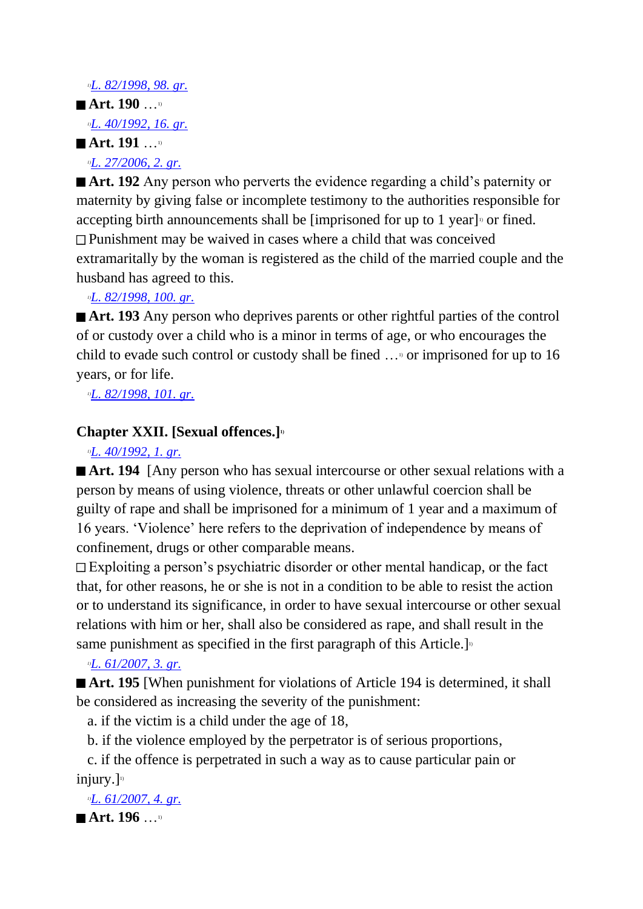#### *1)[L. 82/1998, 98. gr.](http://www.althingi.is/altext/stjt/1998.082.html)*

## ■ Art. 190 …<sup>1)</sup> *1)[L. 40/1992, 16. gr.](http://www.althingi.is/altext/stjt/1992.040.html)* **Art. 191** …1)

*1)[L. 27/2006, 2. gr.](http://www.althingi.is/altext/stjt/2006.027.html)*

**Art. 192** Any person who perverts the evidence regarding a child's paternity or maternity by giving false or incomplete testimony to the authorities responsible for accepting birth announcements shall be [imprisoned for up to 1 year]<sup> $\circ$ </sup> or fined. Punishment may be waived in cases where a child that was conceived extramaritally by the woman is registered as the child of the married couple and the husband has agreed to this.

*1)[L. 82/1998, 100. gr.](http://www.althingi.is/altext/stjt/1998.082.html)*

■ **Art. 193** Any person who deprives parents or other rightful parties of the control of or custody over a child who is a minor in terms of age, or who encourages the child to evade such control or custody shall be fined  $\ldots$ <sup>0</sup> or imprisoned for up to 16 years, or for life.

*1)[L. 82/1998, 101. gr.](http://www.althingi.is/altext/stjt/1998.082.html)*

## **Chapter XXII. [Sexual offences.]1)**

*1)[L. 40/1992, 1. gr.](http://www.althingi.is/altext/stjt/1992.040.html)*

**Art. 194** [Any person who has sexual intercourse or other sexual relations with a person by means of using violence, threats or other unlawful coercion shall be guilty of rape and shall be imprisoned for a minimum of 1 year and a maximum of 16 years. 'Violence' here refers to the deprivation of independence by means of confinement, drugs or other comparable means.

Exploiting a person's psychiatric disorder or other mental handicap, or the fact that, for other reasons, he or she is not in a condition to be able to resist the action or to understand its significance, in order to have sexual intercourse or other sexual relations with him or her, shall also be considered as rape, and shall result in the same punishment as specified in the first paragraph of this Article.]<sup>10</sup>

## *1)[L. 61/2007, 3. gr.](http://www.althingi.is/altext/stjt/2007.061.html)*

■ **Art. 195** [When punishment for violations of Article 194 is determined, it shall be considered as increasing the severity of the punishment:

a. if the victim is a child under the age of 18,

b. if the violence employed by the perpetrator is of serious proportions,

 c. if the offence is perpetrated in such a way as to cause particular pain or injury.] $\mathbb{D}$ 

*1)[L. 61/2007, 4. gr.](http://www.althingi.is/altext/stjt/2007.061.html)*

■ Art. 196 …<sup>1)</sup>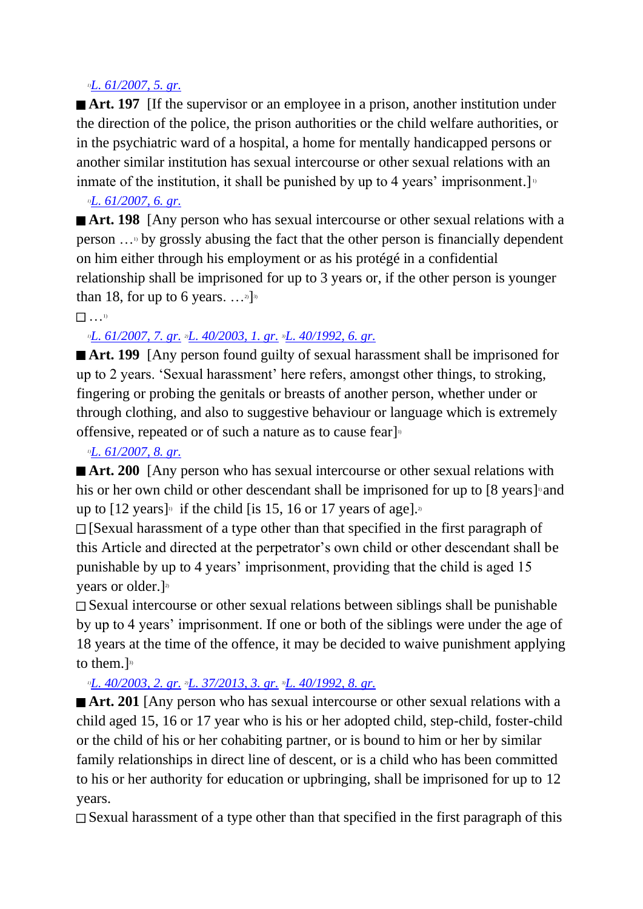#### *1)[L. 61/2007, 5. gr.](http://www.althingi.is/altext/stjt/2007.061.html)*

**Art. 197** If the supervisor or an employee in a prison, another institution under the direction of the police, the prison authorities or the child welfare authorities, or in the psychiatric ward of a hospital, a home for mentally handicapped persons or another similar institution has sexual intercourse or other sexual relations with an inmate of the institution, it shall be punished by up to 4 years' imprisonment.

### *1)[L. 61/2007, 6. gr.](http://www.althingi.is/altext/stjt/2007.061.html)*

**Art. 198** [Any person who has sexual intercourse or other sexual relations with a person …1) by grossly abusing the fact that the other person is financially dependent on him either through his employment or as his protégé in a confidential relationship shall be imprisoned for up to 3 years or, if the other person is younger than 18, for up to 6 years.  $\dots$ <sup>2</sup>]<sup>3)</sup>

#### $\begin{pmatrix} 1 \\ 1 \end{pmatrix}$

## *1)[L. 61/2007, 7. gr.](http://www.althingi.is/altext/stjt/2007.061.html) 2)[L. 40/2003, 1. gr.](http://www.althingi.is/altext/stjt/2003.040.html) 3)[L. 40/1992, 6. gr.](http://www.althingi.is/altext/stjt/1992.040.html)*

■ Art. 199 **[Any person found guilty of sexual harassment shall be imprisoned for** up to 2 years. 'Sexual harassment' here refers, amongst other things, to stroking, fingering or probing the genitals or breasts of another person, whether under or through clothing, and also to suggestive behaviour or language which is extremely offensive, repeated or of such a nature as to cause fearl<sup>11</sup>

### *1)[L. 61/2007, 8. gr.](http://www.althingi.is/altext/stjt/2007.061.html)*

**Art. 200** [Any person who has sexual intercourse or other sexual relations with his or her own child or other descendant shall be imprisoned for up to [8 years] and up to  $[12 \text{ years}]$ <sup>1</sup> if the child [is 15, 16 or 17 years of age].<sup>2</sup>

 $\Box$  [Sexual harassment of a type other than that specified in the first paragraph of this Article and directed at the perpetrator's own child or other descendant shall be punishable by up to 4 years' imprisonment, providing that the child is aged 15 years or older.] 2)

Sexual intercourse or other sexual relations between siblings shall be punishable by up to 4 years' imprisonment. If one or both of the siblings were under the age of 18 years at the time of the offence, it may be decided to waive punishment applying to them.]<sup>3)</sup>

## *1)[L. 40/2003, 2. gr.](http://www.althingi.is/altext/stjt/2003.040.html) 2)[L. 37/2013, 3. gr.](http://www.althingi.is/altext/stjt/2013.037.html) 3)[L. 40/1992, 8. gr.](http://www.althingi.is/altext/stjt/1992.040.html)*

**Art. 201** [Any person who has sexual intercourse or other sexual relations with a child aged 15, 16 or 17 year who is his or her adopted child, step-child, foster-child or the child of his or her cohabiting partner, or is bound to him or her by similar family relationships in direct line of descent, or is a child who has been committed to his or her authority for education or upbringing, shall be imprisoned for up to 12 years.

 $\Box$  Sexual harassment of a type other than that specified in the first paragraph of this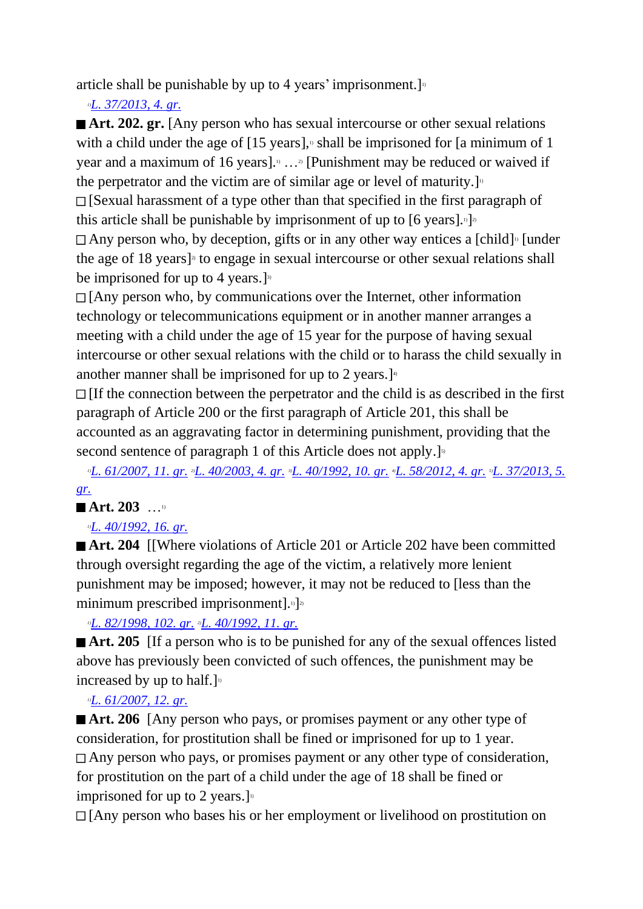article shall be punishable by up to 4 years' imprisonment.

*1)[L. 37/2013, 4. gr.](http://www.althingi.is/altext/stjt/2013.037.html)*

**Art. 202. gr.** [Any person who has sexual intercourse or other sexual relations with a child under the age of  $[15 \text{ years}]$ , shall be imprisoned for [a minimum of 1] year and a maximum of 16 years].1) …2) [Punishment may be reduced or waived if the perpetrator and the victim are of similar age or level of maturity.

 $\Box$  [Sexual harassment of a type other than that specified in the first paragraph of this article shall be punishable by imprisonment of up to  $[6 \text{ years}]$ .  $\frac{1}{2}$ 

Any person who, by deception, gifts or in any other way entices a [child]<sup> $\alpha$ </sup> [under the age of 18 years] 2) to engage in sexual intercourse or other sexual relations shall be imprisoned for up to 4 years.]<sup>33</sup>

 $\Box$  [Any person who, by communications over the Internet, other information technology or telecommunications equipment or in another manner arranges a meeting with a child under the age of 15 year for the purpose of having sexual intercourse or other sexual relations with the child or to harass the child sexually in another manner shall be imprisoned for up to 2 years.] $\cdot$ 

 $\Box$  [If the connection between the perpetrator and the child is as described in the first paragraph of Article 200 or the first paragraph of Article 201, this shall be accounted as an aggravating factor in determining punishment, providing that the second sentence of paragraph 1 of this Article does not apply.<sup>[5]</sup>

*1)[L. 61/2007, 11. gr.](http://www.althingi.is/altext/stjt/2007.061.html) 2)[L. 40/2003, 4. gr.](http://www.althingi.is/altext/stjt/2003.040.html) 3)[L. 40/1992, 10. gr.](http://www.althingi.is/altext/stjt/1992.040.html) 4)[L. 58/2012, 4. gr.](http://www.althingi.is/altext/stjt/2012.058.html) 5)[L. 37/2013, 5.](http://www.althingi.is/altext/stjt/2013.037.html)  [gr.](http://www.althingi.is/altext/stjt/2013.037.html)*

## ■ Art. 203 …<sup>1)</sup>

## *1)[L. 40/1992, 16. gr.](http://www.althingi.is/altext/stjt/1992.040.html)*

**Art. 204 [Where violations of Article 201 or Article 202 have been committed** through oversight regarding the age of the victim, a relatively more lenient punishment may be imposed; however, it may not be reduced to [less than the minimum prescribed imprisonment].<sup>1</sup>]<sup>2</sup>

*1)[L. 82/1998, 102. gr.](http://www.althingi.is/altext/stjt/1998.082.html) 2)[L. 40/1992, 11. gr.](http://www.althingi.is/altext/stjt/1992.040.html)*

■ **Art. 205 IIf a person who is to be punished for any of the sexual offences listed** above has previously been convicted of such offences, the punishment may be increased by up to half.]<sup>1</sup>

## *1)[L. 61/2007, 12. gr.](http://www.althingi.is/altext/stjt/2007.061.html)*

**Art. 206** [Any person who pays, or promises payment or any other type of consideration, for prostitution shall be fined or imprisoned for up to 1 year. Any person who pays, or promises payment or any other type of consideration, for prostitution on the part of a child under the age of 18 shall be fined or imprisoned for up to 2 years.

[Any person who bases his or her employment or livelihood on prostitution on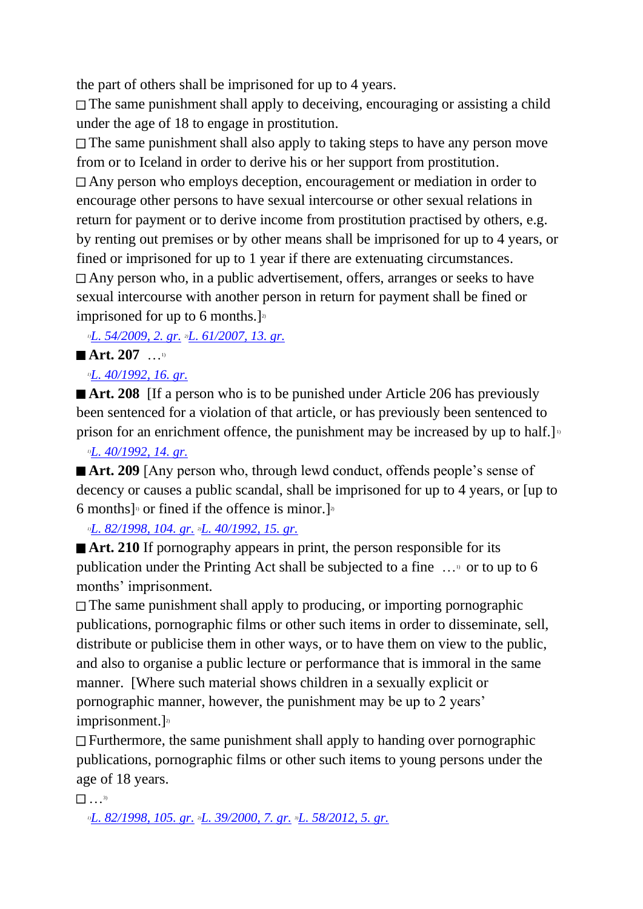the part of others shall be imprisoned for up to 4 years.

The same punishment shall apply to deceiving, encouraging or assisting a child under the age of 18 to engage in prostitution.

 $\Box$  The same punishment shall also apply to taking steps to have any person move from or to Iceland in order to derive his or her support from prostitution.

Any person who employs deception, encouragement or mediation in order to encourage other persons to have sexual intercourse or other sexual relations in return for payment or to derive income from prostitution practised by others, e.g. by renting out premises or by other means shall be imprisoned for up to 4 years, or fined or imprisoned for up to 1 year if there are extenuating circumstances. Any person who, in a public advertisement, offers, arranges or seeks to have sexual intercourse with another person in return for payment shall be fined or imprisoned for up to 6 months.  $\mathbb{R}^2$ 

*1)[L. 54/2009, 2. gr.](http://www.althingi.is/altext/stjt/2009.054.html) 2)[L. 61/2007, 13. gr.](http://www.althingi.is/altext/stjt/2007.061.html)*

## ■ Art.  $207$  …<sup>1)</sup>

## *1)[L. 40/1992, 16. gr.](http://www.althingi.is/altext/stjt/1992.040.html)*

■ **Art. 208** If a person who is to be punished under Article 206 has previously been sentenced for a violation of that article, or has previously been sentenced to prison for an enrichment offence, the punishment may be increased by up to half.]

## *1)[L. 40/1992, 14. gr.](http://www.althingi.is/altext/stjt/1992.040.html)*

■ **Art. 209** [Any person who, through lewd conduct, offends people's sense of decency or causes a public scandal, shall be imprisoned for up to 4 years, or [up to 6 months]<sup>0</sup> or fined if the offence is minor.]<sup>2</sup>

*1)[L. 82/1998, 104. gr.](http://www.althingi.is/altext/stjt/1998.082.html) 2)[L. 40/1992, 15. gr.](http://www.althingi.is/altext/stjt/1992.040.html)*

■ **Art. 210** If pornography appears in print, the person responsible for its publication under the Printing Act shall be subjected to a fine …1) or to up to 6 months' imprisonment.

The same punishment shall apply to producing, or importing pornographic publications, pornographic films or other such items in order to disseminate, sell, distribute or publicise them in other ways, or to have them on view to the public, and also to organise a public lecture or performance that is immoral in the same manner. [Where such material shows children in a sexually explicit or pornographic manner, however, the punishment may be up to 2 years'  $imprisonment.$ ]<sup>2)</sup>

 $\Box$  Furthermore, the same punishment shall apply to handing over pornographic publications, pornographic films or other such items to young persons under the age of 18 years.

 $\frac{3}{2}$  . . . 3)

*1)[L. 82/1998, 105. gr.](http://www.althingi.is/altext/stjt/1998.082.html) 2)[L. 39/2000, 7. gr.](http://www.althingi.is/altext/stjt/2000.039.html) 3)[L. 58/2012, 5. gr.](http://www.althingi.is/altext/stjt/2012.058.html)*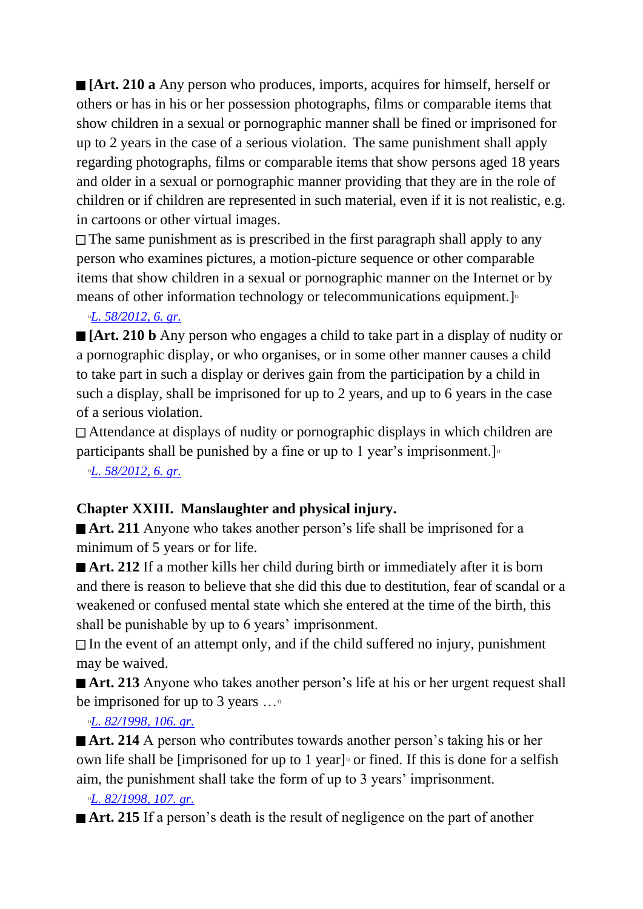**[Art. 210 a** Any person who produces, imports, acquires for himself, herself or others or has in his or her possession photographs, films or comparable items that show children in a sexual or pornographic manner shall be fined or imprisoned for up to 2 years in the case of a serious violation. The same punishment shall apply regarding photographs, films or comparable items that show persons aged 18 years and older in a sexual or pornographic manner providing that they are in the role of children or if children are represented in such material, even if it is not realistic, e.g. in cartoons or other virtual images.

 $\Box$  The same punishment as is prescribed in the first paragraph shall apply to any person who examines pictures, a motion-picture sequence or other comparable items that show children in a sexual or pornographic manner on the Internet or by means of other information technology or telecommunications equipment.]

## *1)[L. 58/2012, 6. gr.](http://www.althingi.is/altext/stjt/2012.058.html)*

**[Art. 210 b** Any person who engages a child to take part in a display of nudity or a pornographic display, or who organises, or in some other manner causes a child to take part in such a display or derives gain from the participation by a child in such a display, shall be imprisoned for up to 2 years, and up to 6 years in the case of a serious violation.

Attendance at displays of nudity or pornographic displays in which children are participants shall be punished by a fine or up to 1 year's imprisonment.

*1)[L. 58/2012, 6. gr.](http://www.althingi.is/altext/stjt/2012.058.html)*

## **Chapter XXIII. Manslaughter and physical injury.**

■ **Art. 211** Anyone who takes another person's life shall be imprisoned for a minimum of 5 years or for life.

■ **Art. 212** If a mother kills her child during birth or immediately after it is born and there is reason to believe that she did this due to destitution, fear of scandal or a weakened or confused mental state which she entered at the time of the birth, this shall be punishable by up to 6 years' imprisonment.

 $\Box$  In the event of an attempt only, and if the child suffered no injury, punishment may be waived.

■ **Art. 213** Anyone who takes another person's life at his or her urgent request shall be imprisoned for up to 3 years  $\dots$ <sup>10</sup>

## *1)[L. 82/1998, 106. gr.](http://www.althingi.is/altext/stjt/1998.082.html)*

■ **Art. 214** A person who contributes towards another person's taking his or her own life shall be [imprisoned for up to 1 year]<sup>10</sup> or fined. If this is done for a selfish aim, the punishment shall take the form of up to 3 years' imprisonment.

## *1)[L. 82/1998, 107. gr.](http://www.althingi.is/altext/stjt/1998.082.html)*

**Art. 215** If a person's death is the result of negligence on the part of another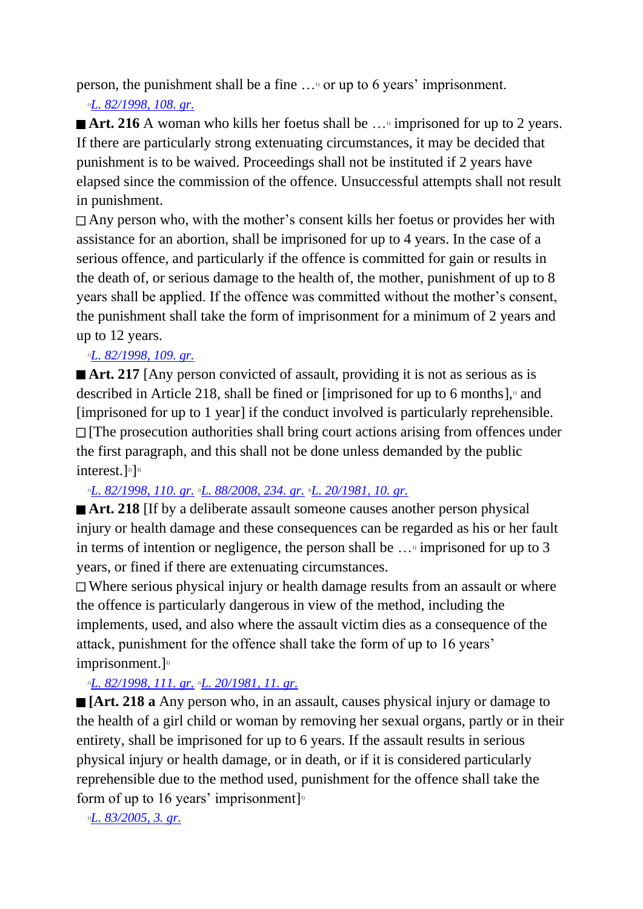person, the punishment shall be a fine …1) or up to 6 years' imprisonment.

## *1)[L. 82/1998, 108. gr.](http://www.althingi.is/altext/stjt/1998.082.html)*

■ **Art. 216** A woman who kills her foetus shall be …<sup>9</sup> imprisoned for up to 2 years. If there are particularly strong extenuating circumstances, it may be decided that punishment is to be waived. Proceedings shall not be instituted if 2 years have elapsed since the commission of the offence. Unsuccessful attempts shall not result in punishment.

Any person who, with the mother's consent kills her foetus or provides her with assistance for an abortion, shall be imprisoned for up to 4 years. In the case of a serious offence, and particularly if the offence is committed for gain or results in the death of, or serious damage to the health of, the mother, punishment of up to 8 years shall be applied. If the offence was committed without the mother's consent, the punishment shall take the form of imprisonment for a minimum of 2 years and up to 12 years.

## *1)[L. 82/1998, 109. gr.](http://www.althingi.is/altext/stjt/1998.082.html)*

■ **Art. 217** [Any person convicted of assault, providing it is not as serious as is described in Article 218, shall be fined or [imprisoned for up to 6 months], $\alpha$  and [imprisoned for up to 1 year] if the conduct involved is particularly reprehensible.  $\Box$  [The prosecution authorities shall bring court actions arising from offences under the first paragraph, and this shall not be done unless demanded by the public interest.]<sup>2)</sup>]<sup>3)</sup>

## *1)[L. 82/1998, 110. gr.](http://www.althingi.is/altext/stjt/1998.082.html) 2)[L. 88/2008, 234. gr.](http://www.althingi.is/altext/stjt/2008.088.html#G234) 3)[L. 20/1981, 10. gr.](http://www.althingi.is/altext/stjtnr.html#1981020?g10)*

**Art. 218** If by a deliberate assault someone causes another person physical injury or health damage and these consequences can be regarded as his or her fault in terms of intention or negligence, the person shall be  $\dots$ <sup>1</sup> imprisoned for up to 3 years, or fined if there are extenuating circumstances.

Where serious physical injury or health damage results from an assault or where the offence is particularly dangerous in view of the method, including the implements, used, and also where the assault victim dies as a consequence of the attack, punishment for the offence shall take the form of up to 16 years'  $imprisonment.$ ]<sup>2)</sup>

## *1)[L. 82/1998, 111. gr.](http://www.althingi.is/altext/stjt/1998.082.html) 2)[L. 20/1981, 11. gr.](http://www.althingi.is/altext/stjtnr.html#1981020?g11)*

**[Art. 218 a** Any person who, in an assault, causes physical injury or damage to the health of a girl child or woman by removing her sexual organs, partly or in their entirety, shall be imprisoned for up to 6 years. If the assault results in serious physical injury or health damage, or in death, or if it is considered particularly reprehensible due to the method used, punishment for the offence shall take the form of up to 16 years' imprisonment]<sup>11</sup>

*1)[L. 83/2005, 3. gr.](http://www.althingi.is/altext/stjt/2005.083.html)*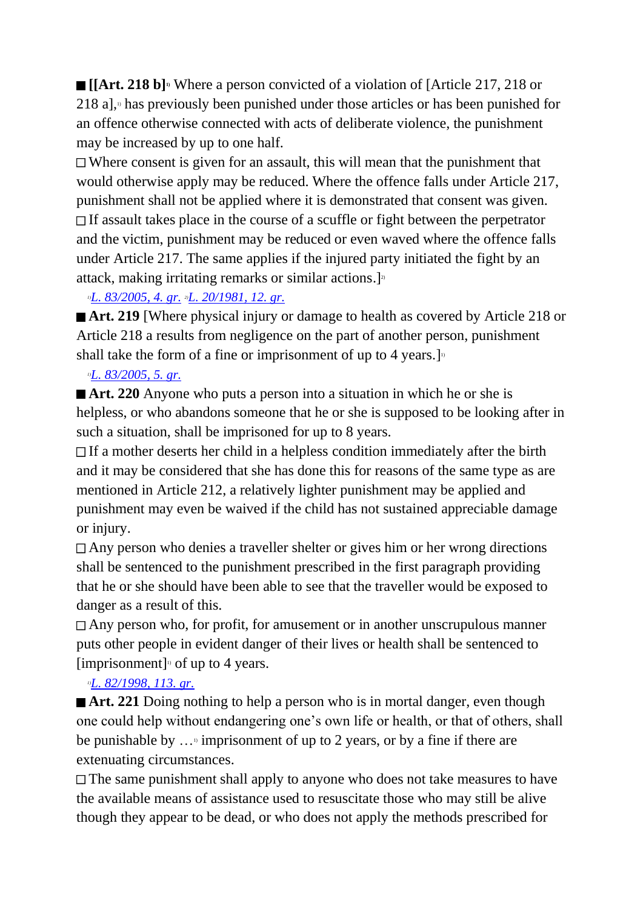**[[Art. 218 b]1)** Where a person convicted of a violation of [Article 217, 218 or 218 a], $\alpha$  has previously been punished under those articles or has been punished for an offence otherwise connected with acts of deliberate violence, the punishment may be increased by up to one half.

Where consent is given for an assault, this will mean that the punishment that would otherwise apply may be reduced. Where the offence falls under Article 217, punishment shall not be applied where it is demonstrated that consent was given.  $\Box$  If assault takes place in the course of a scuffle or fight between the perpetrator and the victim, punishment may be reduced or even waved where the offence falls under Article 217. The same applies if the injured party initiated the fight by an attack, making irritating remarks or similar actions.]<sup>2)</sup>

## *1)[L. 83/2005, 4. gr.](http://www.althingi.is/altext/stjt/2005.083.html) 2)[L. 20/1981, 12. gr.](http://www.althingi.is/altext/stjtnr.html#1981020?g12)*

■ **Art. 219** [Where physical injury or damage to health as covered by Article 218 or Article 218 a results from negligence on the part of another person, punishment shall take the form of a fine or imprisonment of up to 4 years.  $J<sup>D</sup>$ 

## *1)[L. 83/2005, 5. gr.](http://www.althingi.is/altext/stjt/2005.083.html)*

■ **Art. 220** Anyone who puts a person into a situation in which he or she is helpless, or who abandons someone that he or she is supposed to be looking after in such a situation, shall be imprisoned for up to 8 years.

If a mother deserts her child in a helpless condition immediately after the birth and it may be considered that she has done this for reasons of the same type as are mentioned in Article 212, a relatively lighter punishment may be applied and punishment may even be waived if the child has not sustained appreciable damage or injury.

Any person who denies a traveller shelter or gives him or her wrong directions shall be sentenced to the punishment prescribed in the first paragraph providing that he or she should have been able to see that the traveller would be exposed to danger as a result of this.

Any person who, for profit, for amusement or in another unscrupulous manner puts other people in evident danger of their lives or health shall be sentenced to [imprisonment] 1) of up to 4 years.

## *1)[L. 82/1998, 113. gr.](http://www.althingi.is/altext/stjt/1998.082.html)*

■ **Art. 221** Doing nothing to help a person who is in mortal danger, even though one could help without endangering one's own life or health, or that of others, shall be punishable by  $\ldots$ <sup>3</sup> imprisonment of up to 2 years, or by a fine if there are extenuating circumstances.

The same punishment shall apply to anyone who does not take measures to have the available means of assistance used to resuscitate those who may still be alive though they appear to be dead, or who does not apply the methods prescribed for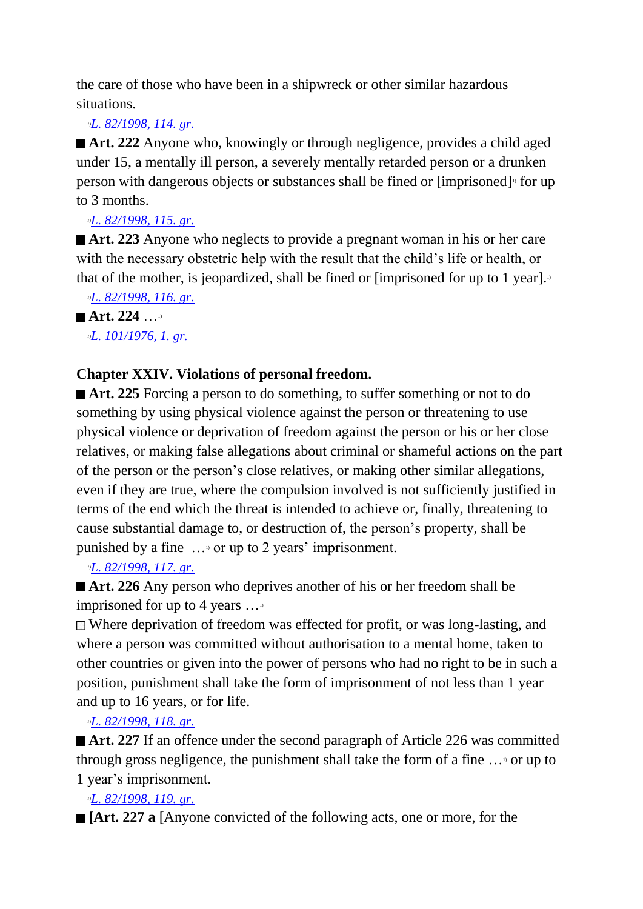the care of those who have been in a shipwreck or other similar hazardous situations.

## *1)[L. 82/1998, 114. gr.](http://www.althingi.is/altext/stjt/1998.082.html)*

■ **Art. 222** Anyone who, knowingly or through negligence, provides a child aged under 15, a mentally ill person, a severely mentally retarded person or a drunken person with dangerous objects or substances shall be fined or [imprisoned]<sup>1</sup> for up to 3 months.

## *1)[L. 82/1998, 115. gr.](http://www.althingi.is/altext/stjt/1998.082.html)*

■ **Art. 223** Anyone who neglects to provide a pregnant woman in his or her care with the necessary obstetric help with the result that the child's life or health, or that of the mother, is jeopardized, shall be fined or [imprisoned for up to 1 year]. $\frac{1}{2}$ 

```
1)L. 82/1998, 116. gr.
```
# ■ Art. 224 …<sup>1)</sup>

## *1)[L. 101/1976, 1. gr.](http://www.althingi.is/altext/stjtnr.html#1976101?g1)*

## **Chapter XXIV. Violations of personal freedom.**

■ **Art. 225** Forcing a person to do something, to suffer something or not to do something by using physical violence against the person or threatening to use physical violence or deprivation of freedom against the person or his or her close relatives, or making false allegations about criminal or shameful actions on the part of the person or the person's close relatives, or making other similar allegations, even if they are true, where the compulsion involved is not sufficiently justified in terms of the end which the threat is intended to achieve or, finally, threatening to cause substantial damage to, or destruction of, the person's property, shall be punished by a fine  $\ldots$ <sup>0</sup> or up to 2 years' imprisonment.

## *1)[L. 82/1998, 117. gr.](http://www.althingi.is/altext/stjt/1998.082.html)*

■ **Art. 226** Any person who deprives another of his or her freedom shall be imprisoned for up to 4 years  $\dots$ <sup>10</sup>

Where deprivation of freedom was effected for profit, or was long-lasting, and where a person was committed without authorisation to a mental home, taken to other countries or given into the power of persons who had no right to be in such a position, punishment shall take the form of imprisonment of not less than 1 year and up to 16 years, or for life.

## *1)[L. 82/1998, 118. gr.](http://www.althingi.is/altext/stjt/1998.082.html)*

■ **Art. 227** If an offence under the second paragraph of Article 226 was committed through gross negligence, the punishment shall take the form of a fine  $\ldots$ <sup>0</sup> or up to 1 year's imprisonment.

## *1)[L. 82/1998, 119. gr.](http://www.althingi.is/altext/stjt/1998.082.html)*

**[Art. 227 a** [Anyone convicted of the following acts, one or more, for the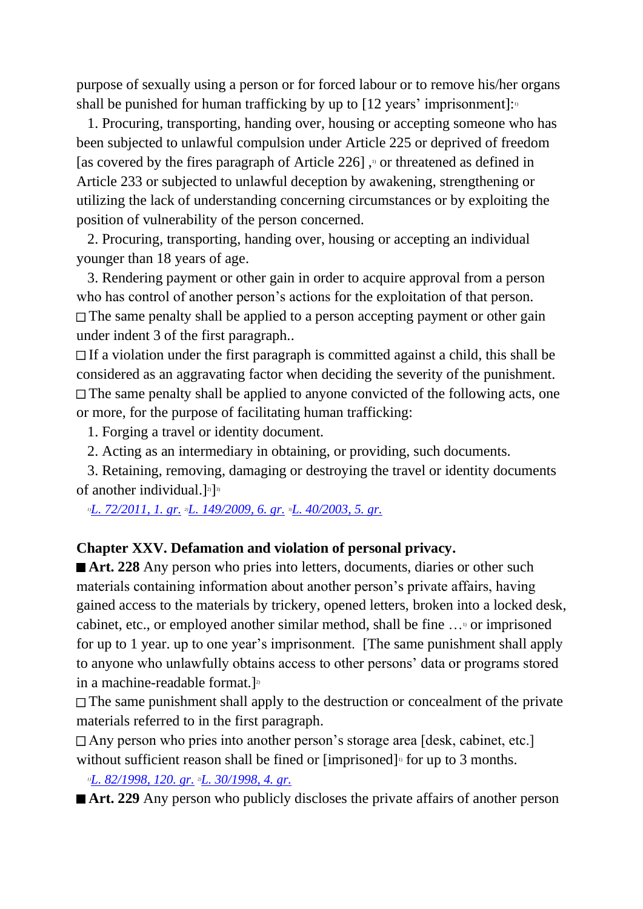purpose of sexually using a person or for forced labour or to remove his/her organs shall be punished for human trafficking by up to  $[12 \text{ years'}$  imprisonment]:<sup>1</sup>

 1. Procuring, transporting, handing over, housing or accepting someone who has been subjected to unlawful compulsion under Article 225 or deprived of freedom [as covered by the fires paragraph of Article  $226$ ],  $\degree$  or threatened as defined in Article 233 or subjected to unlawful deception by awakening, strengthening or utilizing the lack of understanding concerning circumstances or by exploiting the position of vulnerability of the person concerned.

 2. Procuring, transporting, handing over, housing or accepting an individual younger than 18 years of age.

 3. Rendering payment or other gain in order to acquire approval from a person who has control of another person's actions for the exploitation of that person. The same penalty shall be applied to a person accepting payment or other gain under indent 3 of the first paragraph..

 $\Box$  If a violation under the first paragraph is committed against a child, this shall be considered as an aggravating factor when deciding the severity of the punishment.  $\Box$  The same penalty shall be applied to anyone convicted of the following acts, one or more, for the purpose of facilitating human trafficking:

1. Forging a travel or identity document.

2. Acting as an intermediary in obtaining, or providing, such documents.

 3. Retaining, removing, damaging or destroying the travel or identity documents of another individual.]<sup>2)</sup>]<sup>3)</sup>

*1)[L. 72/2011, 1. gr.](http://www.althingi.is/altext/stjt/2011.072.html) 2)[L. 149/2009, 6. gr.](http://www.althingi.is/altext/stjt/2009.149.html) 3)[L. 40/2003, 5. gr.](http://www.althingi.is/altext/stjt/2003.040.html)*

#### **Chapter XXV. Defamation and violation of personal privacy.**

■ **Art. 228** Any person who pries into letters, documents, diaries or other such materials containing information about another person's private affairs, having gained access to the materials by trickery, opened letters, broken into a locked desk, cabinet, etc., or employed another similar method, shall be fine …1) or imprisoned for up to 1 year. up to one year's imprisonment. [The same punishment shall apply to anyone who unlawfully obtains access to other persons' data or programs stored in a machine-readable format.]<sup>2)</sup>

The same punishment shall apply to the destruction or concealment of the private materials referred to in the first paragraph.

Any person who pries into another person's storage area [desk, cabinet, etc.] without sufficient reason shall be fined or [imprisoned]<sup> $\alpha$ </sup> for up to 3 months.

*1)[L. 82/1998, 120. gr.](http://www.althingi.is/altext/stjt/1998.082.html) 2)[L. 30/1998, 4. gr.](http://www.althingi.is/altext/stjt/1998.030.html)*

■ **Art. 229** Any person who publicly discloses the private affairs of another person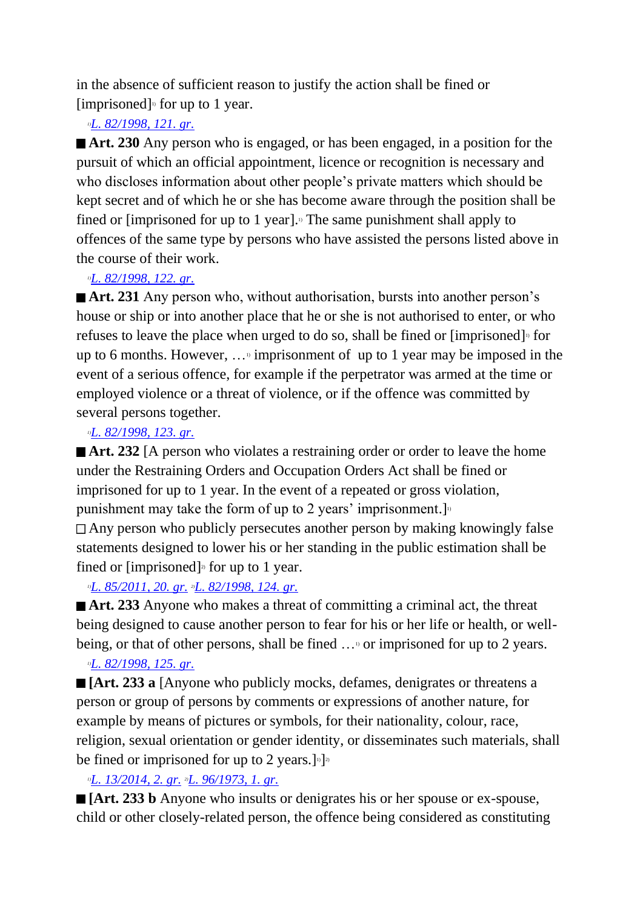in the absence of sufficient reason to justify the action shall be fined or [imprisoned] 1) for up to 1 year.

#### *1)[L. 82/1998, 121. gr.](http://www.althingi.is/altext/stjt/1998.082.html)*

■ **Art. 230** Any person who is engaged, or has been engaged, in a position for the pursuit of which an official appointment, licence or recognition is necessary and who discloses information about other people's private matters which should be kept secret and of which he or she has become aware through the position shall be fined or [imprisoned for up to 1 year].<sup>1</sup> The same punishment shall apply to offences of the same type by persons who have assisted the persons listed above in the course of their work.

#### *1)[L. 82/1998, 122. gr.](http://www.althingi.is/altext/stjt/1998.082.html)*

■ **Art. 231** Any person who, without authorisation, bursts into another person's house or ship or into another place that he or she is not authorised to enter, or who refuses to leave the place when urged to do so, shall be fined or [imprisoned]<sup>10</sup> for up to 6 months. However,  $\ldots$ <sup>1</sup> imprisonment of up to 1 year may be imposed in the event of a serious offence, for example if the perpetrator was armed at the time or employed violence or a threat of violence, or if the offence was committed by several persons together.

#### *1)[L. 82/1998, 123. gr.](http://www.althingi.is/altext/stjt/1998.082.html)*

■ **Art. 232** [A person who violates a restraining order or order to leave the home under the Restraining Orders and Occupation Orders Act shall be fined or imprisoned for up to 1 year. In the event of a repeated or gross violation, punishment may take the form of up to 2 years' imprisonment.]<sup>11</sup> Any person who publicly persecutes another person by making knowingly false statements designed to lower his or her standing in the public estimation shall be

fined or [imprisoned]<sup> $\alpha$ </sup> for up to 1 year.

## *1)[L. 85/2011, 20. gr.](http://www.althingi.is/altext/stjt/2011.085.html#G20) 2)[L. 82/1998, 124. gr.](http://www.althingi.is/altext/stjt/1998.082.html)*

■ **Art. 233** Anyone who makes a threat of committing a criminal act, the threat being designed to cause another person to fear for his or her life or health, or wellbeing, or that of other persons, shall be fined ... " or imprisoned for up to 2 years.

## *1)[L. 82/1998, 125. gr.](http://www.althingi.is/altext/stjt/1998.082.html)*

**[Art. 233 a** [Anyone who publicly mocks, defames, denigrates or threatens a person or group of persons by comments or expressions of another nature, for example by means of pictures or symbols, for their nationality, colour, race, religion, sexual orientation or gender identity, or disseminates such materials, shall be fined or imprisoned for up to 2 years.]<sup>[1]</sup>

## *1)[L. 13/2014, 2. gr.](http://www.althingi.is/altext/stjt/2014.013.html) 2)[L. 96/1973, 1. gr.](http://www.althingi.is/altext/stjtnr.html#1973096?g1)*

**[Art. 233 b** Anyone who insults or denigrates his or her spouse or ex-spouse, child or other closely-related person, the offence being considered as constituting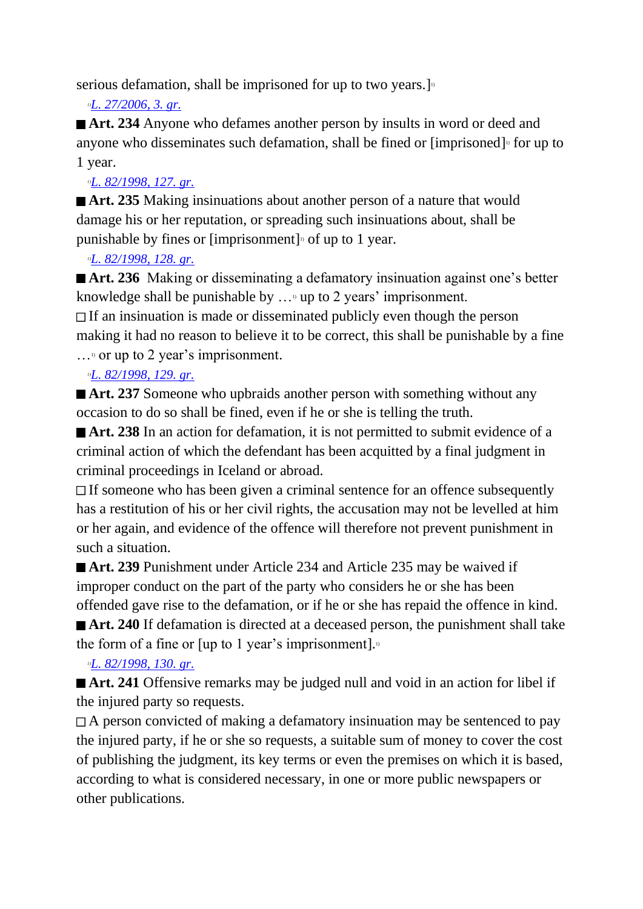serious defamation, shall be imprisoned for up to two years.]<sup>1</sup>

*1)[L. 27/2006, 3. gr.](http://www.althingi.is/altext/stjt/2006.027.html)*

■ **Art. 234** Anyone who defames another person by insults in word or deed and anyone who disseminates such defamation, shall be fined or [imprisoned]<sup>1</sup> for up to 1 year.

## *1)[L. 82/1998, 127. gr.](http://www.althingi.is/altext/stjt/1998.082.html)*

**Art. 235** Making insinuations about another person of a nature that would damage his or her reputation, or spreading such insinuations about, shall be punishable by fines or [imprisonment]<sup>1</sup> of up to 1 year.

## *1)[L. 82/1998, 128. gr.](http://www.althingi.is/altext/stjt/1998.082.html)*

■ **Art. 236** Making or disseminating a defamatory insinuation against one's better knowledge shall be punishable by  $\ldots$ <sup>0</sup> up to 2 years' imprisonment.

 $\Box$  If an insinuation is made or disseminated publicly even though the person making it had no reason to believe it to be correct, this shall be punishable by a fine  $\ldots$ <sup>1</sup> or up to 2 year's imprisonment.

## *1)[L. 82/1998, 129. gr.](http://www.althingi.is/altext/stjt/1998.082.html)*

■ **Art. 237** Someone who upbraids another person with something without any occasion to do so shall be fined, even if he or she is telling the truth.

■ **Art. 238** In an action for defamation, it is not permitted to submit evidence of a criminal action of which the defendant has been acquitted by a final judgment in criminal proceedings in Iceland or abroad.

 $\Box$  If someone who has been given a criminal sentence for an offence subsequently has a restitution of his or her civil rights, the accusation may not be levelled at him or her again, and evidence of the offence will therefore not prevent punishment in such a situation.

■ **Art. 239** Punishment under Article 234 and Article 235 may be waived if improper conduct on the part of the party who considers he or she has been offended gave rise to the defamation, or if he or she has repaid the offence in kind. ■ **Art. 240** If defamation is directed at a deceased person, the punishment shall take the form of a fine or  $[\text{up to 1 year's improvement}]$ .

## *1)[L. 82/1998, 130. gr.](http://www.althingi.is/altext/stjt/1998.082.html)*

■ **Art. 241** Offensive remarks may be judged null and void in an action for libel if the injured party so requests.

 $\Box$  A person convicted of making a defamatory insinuation may be sentenced to pay the injured party, if he or she so requests, a suitable sum of money to cover the cost of publishing the judgment, its key terms or even the premises on which it is based, according to what is considered necessary, in one or more public newspapers or other publications.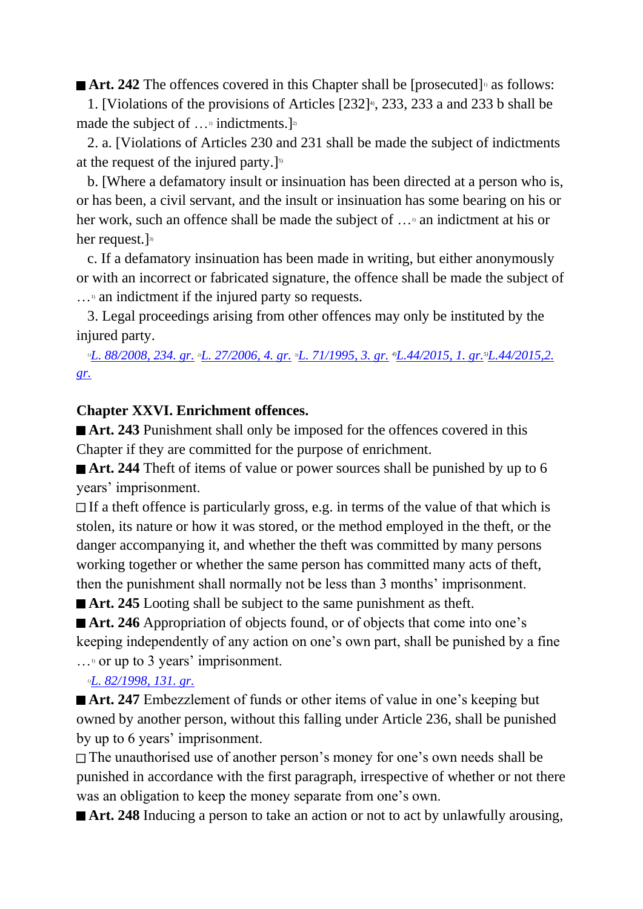**■ Art. 242** The offences covered in this Chapter shall be [prosecuted]<sup>10</sup> as follows:

1. [Violations of the provisions of Articles  $[232]$ <sup>4</sup>, 233, 233 a and 233 b shall be made the subject of  $\ldots$ <sup>1</sup> indictments.]<sup>2</sup>

 2. a. [Violations of Articles 230 and 231 shall be made the subject of indictments at the request of the injured party.]<sup>5)</sup>

 b. [Where a defamatory insult or insinuation has been directed at a person who is, or has been, a civil servant, and the insult or insinuation has some bearing on his or her work, such an offence shall be made the subject of  $\ldots$ <sup>3</sup> an indictment at his or her request.] 3)

 c. If a defamatory insinuation has been made in writing, but either anonymously or with an incorrect or fabricated signature, the offence shall be made the subject of  $\ldots$ <sup>1</sup> an indictment if the injured party so requests.

 3. Legal proceedings arising from other offences may only be instituted by the injured party.

*1)[L. 88/2008, 234. gr.](http://www.althingi.is/altext/stjt/2008.088.html#G234) 2)[L. 27/2006, 4. gr.](http://www.althingi.is/altext/stjt/2006.027.html) 3)[L. 71/1995, 3. gr.](http://www.althingi.is/altext/stjt/1995.071.html) 4)L.44/2015, 1. gr.5)L.44/2015,2. gr.*

## **Chapter XXVI. Enrichment offences.**

■ **Art. 243** Punishment shall only be imposed for the offences covered in this Chapter if they are committed for the purpose of enrichment.

■ **Art. 244** Theft of items of value or power sources shall be punished by up to 6 years' imprisonment.

 $\Box$  If a theft offence is particularly gross, e.g. in terms of the value of that which is stolen, its nature or how it was stored, or the method employed in the theft, or the danger accompanying it, and whether the theft was committed by many persons working together or whether the same person has committed many acts of theft, then the punishment shall normally not be less than 3 months' imprisonment.

■ **Art. 245** Looting shall be subject to the same punishment as the ft.

■ **Art. 246** Appropriation of objects found, or of objects that come into one's keeping independently of any action on one's own part, shall be punished by a fine  $\ldots$ <sup>1</sup> or up to 3 years' imprisonment.

*1)[L. 82/1998, 131. gr.](http://www.althingi.is/altext/stjt/1998.082.html)*

■ **Art. 247** Embezzlement of funds or other items of value in one's keeping but owned by another person, without this falling under Article 236, shall be punished by up to 6 years' imprisonment.

The unauthorised use of another person's money for one's own needs shall be punished in accordance with the first paragraph, irrespective of whether or not there was an obligation to keep the money separate from one's own.

■ **Art. 248** Inducing a person to take an action or not to act by unlawfully arousing,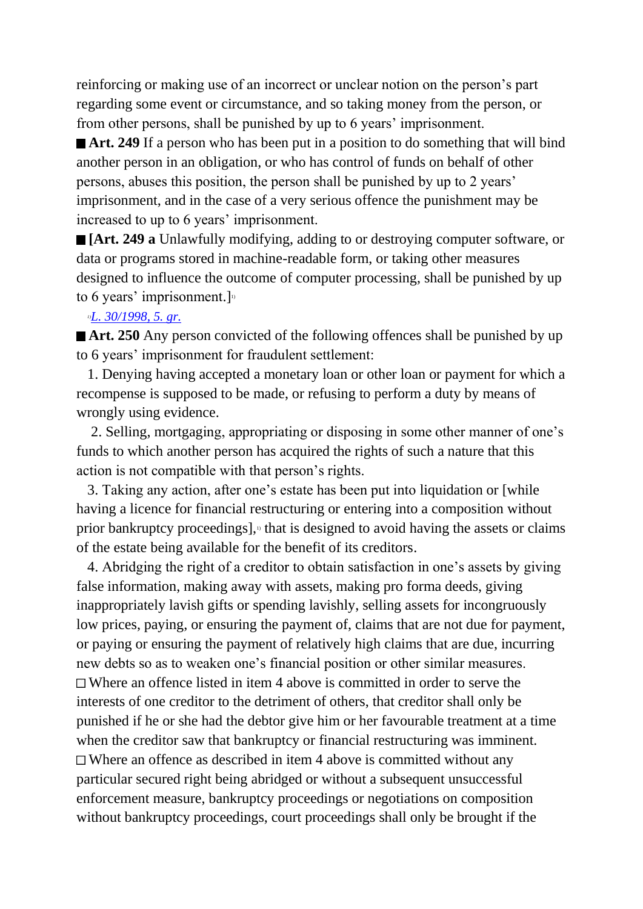reinforcing or making use of an incorrect or unclear notion on the person's part regarding some event or circumstance, and so taking money from the person, or from other persons, shall be punished by up to 6 years' imprisonment.

■ **Art. 249** If a person who has been put in a position to do something that will bind another person in an obligation, or who has control of funds on behalf of other persons, abuses this position, the person shall be punished by up to 2 years' imprisonment, and in the case of a very serious offence the punishment may be increased to up to 6 years' imprisonment.

**[Art. 249 a** Unlawfully modifying, adding to or destroying computer software, or data or programs stored in machine-readable form, or taking other measures designed to influence the outcome of computer processing, shall be punished by up to 6 years' imprisonment.]

#### *1)[L. 30/1998, 5. gr.](http://www.althingi.is/altext/stjt/1998.030.html)*

■ **Art. 250** Any person convicted of the following offences shall be punished by up to 6 years' imprisonment for fraudulent settlement:

 1. Denying having accepted a monetary loan or other loan or payment for which a recompense is supposed to be made, or refusing to perform a duty by means of wrongly using evidence.

 2. Selling, mortgaging, appropriating or disposing in some other manner of one's funds to which another person has acquired the rights of such a nature that this action is not compatible with that person's rights.

 3. Taking any action, after one's estate has been put into liquidation or [while having a licence for financial restructuring or entering into a composition without prior bankruptcy proceedings], $\frac{1}{2}$  that is designed to avoid having the assets or claims of the estate being available for the benefit of its creditors.

 4. Abridging the right of a creditor to obtain satisfaction in one's assets by giving false information, making away with assets, making pro forma deeds, giving inappropriately lavish gifts or spending lavishly, selling assets for incongruously low prices, paying, or ensuring the payment of, claims that are not due for payment, or paying or ensuring the payment of relatively high claims that are due, incurring new debts so as to weaken one's financial position or other similar measures. Where an offence listed in item 4 above is committed in order to serve the interests of one creditor to the detriment of others, that creditor shall only be punished if he or she had the debtor give him or her favourable treatment at a time when the creditor saw that bankruptcy or financial restructuring was imminent.  $\Box$  Where an offence as described in item 4 above is committed without any particular secured right being abridged or without a subsequent unsuccessful enforcement measure, bankruptcy proceedings or negotiations on composition without bankruptcy proceedings, court proceedings shall only be brought if the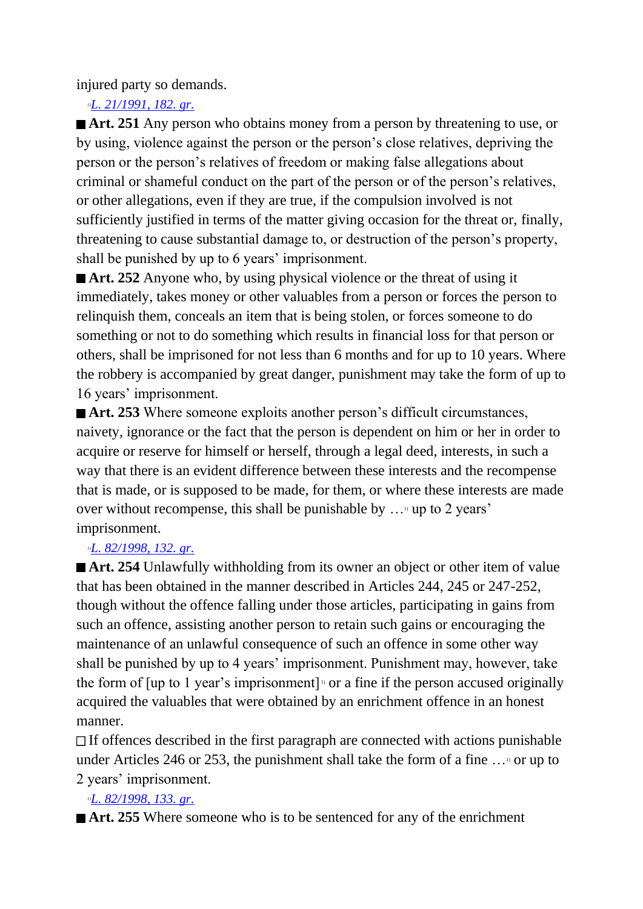injured party so demands.

*1)[L. 21/1991, 182. gr.](http://www.althingi.is/altext/stjt/1991.021.html#G182)*

■ **Art. 251** Any person who obtains money from a person by threatening to use, or by using, violence against the person or the person's close relatives, depriving the person or the person's relatives of freedom or making false allegations about criminal or shameful conduct on the part of the person or of the person's relatives, or other allegations, even if they are true, if the compulsion involved is not sufficiently justified in terms of the matter giving occasion for the threat or, finally, threatening to cause substantial damage to, or destruction of the person's property, shall be punished by up to 6 years' imprisonment.

**Art. 252** Anyone who, by using physical violence or the threat of using it immediately, takes money or other valuables from a person or forces the person to relinquish them, conceals an item that is being stolen, or forces someone to do something or not to do something which results in financial loss for that person or others, shall be imprisoned for not less than 6 months and for up to 10 years. Where the robbery is accompanied by great danger, punishment may take the form of up to 16 years' imprisonment.

■ **Art. 253** Where someone exploits another person's difficult circumstances, naivety, ignorance or the fact that the person is dependent on him or her in order to acquire or reserve for himself or herself, through a legal deed, interests, in such a way that there is an evident difference between these interests and the recompense that is made, or is supposed to be made, for them, or where these interests are made over without recompense, this shall be punishable by  $\ldots$  up to 2 years' imprisonment.

## *1)[L. 82/1998, 132. gr.](http://www.althingi.is/altext/stjt/1998.082.html)*

■ **Art. 254** Unlawfully withholding from its owner an object or other item of value that has been obtained in the manner described in Articles 244, 245 or 247-252, though without the offence falling under those articles, participating in gains from such an offence, assisting another person to retain such gains or encouraging the maintenance of an unlawful consequence of such an offence in some other way shall be punished by up to 4 years' imprisonment. Punishment may, however, take the form of  $[\psi]$  to 1 year's imprisonment]  $\psi$  or a fine if the person accused originally acquired the valuables that were obtained by an enrichment offence in an honest manner.

If offences described in the first paragraph are connected with actions punishable under Articles 246 or 253, the punishment shall take the form of a fine  $\ldots$ <sup>0</sup> or up to 2 years' imprisonment.

## *1)[L. 82/1998, 133. gr.](http://www.althingi.is/altext/stjt/1998.082.html)*

■ **Art. 255** Where someone who is to be sentenced for any of the enrichment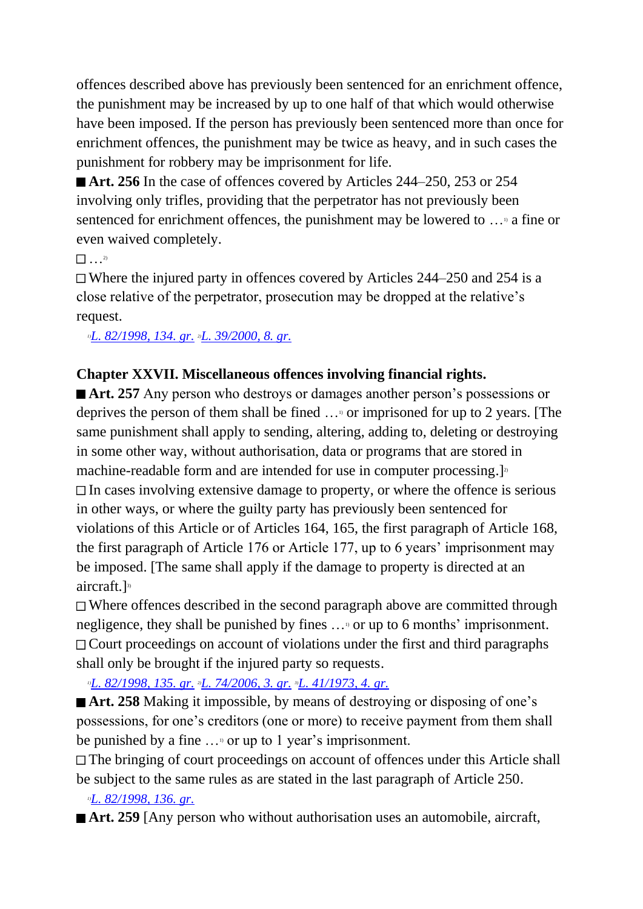offences described above has previously been sentenced for an enrichment offence, the punishment may be increased by up to one half of that which would otherwise have been imposed. If the person has previously been sentenced more than once for enrichment offences, the punishment may be twice as heavy, and in such cases the punishment for robbery may be imprisonment for life.

■ **Art. 256** In the case of offences covered by Articles 244–250, 253 or 254 involving only trifles, providing that the perpetrator has not previously been sentenced for enrichment offences, the punishment may be lowered to  $\ldots$ <sup>3</sup> a fine or even waived completely.

…2)

 $\Box$  Where the injured party in offences covered by Articles 244–250 and 254 is a close relative of the perpetrator, prosecution may be dropped at the relative's request.

*1)[L. 82/1998, 134. gr.](http://www.althingi.is/altext/stjt/1998.082.html) 2)[L. 39/2000, 8. gr.](http://www.althingi.is/altext/stjt/2000.039.html)*

## **Chapter XXVII. Miscellaneous offences involving financial rights.**

■ **Art. 257** Any person who destroys or damages another person's possessions or deprives the person of them shall be fined …1) or imprisoned for up to 2 years. [The same punishment shall apply to sending, altering, adding to, deleting or destroying in some other way, without authorisation, data or programs that are stored in machine-readable form and are intended for use in computer processing. $]$ <sup>2</sup>  $\Box$  In cases involving extensive damage to property, or where the offence is serious in other ways, or where the guilty party has previously been sentenced for violations of this Article or of Articles 164, 165, the first paragraph of Article 168, the first paragraph of Article 176 or Article 177, up to 6 years' imprisonment may be imposed. [The same shall apply if the damage to property is directed at an aircraft.]<sup>3)</sup>

Where offences described in the second paragraph above are committed through negligence, they shall be punished by fines ... or up to 6 months' imprisonment. Court proceedings on account of violations under the first and third paragraphs shall only be brought if the injured party so requests.

## *1)[L. 82/1998, 135. gr.](http://www.althingi.is/altext/stjt/1998.082.html) 2)[L. 74/2006, 3. gr.](http://www.althingi.is/altext/stjt/2006.074.html) 3)[L. 41/1973, 4. gr.](http://www.althingi.is/altext/stjtnr.html#1973041?g4)*

■ **Art. 258** Making it impossible, by means of destroying or disposing of one's possessions, for one's creditors (one or more) to receive payment from them shall be punished by a fine  $\ldots$ <sup>0</sup> or up to 1 year's imprisonment.

The bringing of court proceedings on account of offences under this Article shall be subject to the same rules as are stated in the last paragraph of Article 250.

## *1)[L. 82/1998, 136. gr.](http://www.althingi.is/altext/stjt/1998.082.html)*

■ **Art. 259** [Any person who without authorisation uses an automobile, aircraft,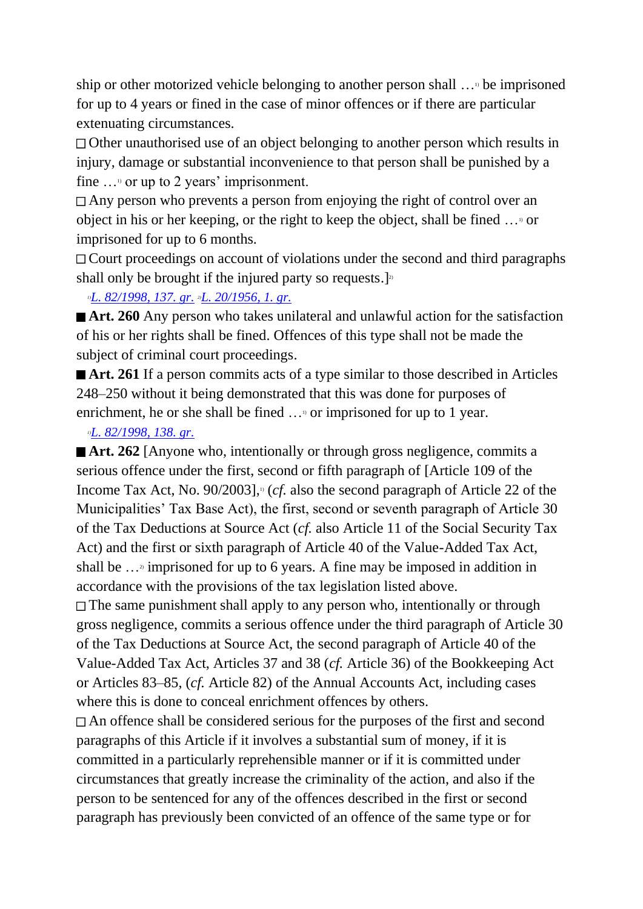ship or other motorized vehicle belonging to another person shall  $\ldots$ <sup>b</sup> be imprisoned for up to 4 years or fined in the case of minor offences or if there are particular extenuating circumstances.

Other unauthorised use of an object belonging to another person which results in injury, damage or substantial inconvenience to that person shall be punished by a fine  $\ldots$ <sup>0</sup> or up to 2 years' imprisonment.

Any person who prevents a person from enjoying the right of control over an object in his or her keeping, or the right to keep the object, shall be fined …1) or imprisoned for up to 6 months.

Court proceedings on account of violations under the second and third paragraphs shall only be brought if the injured party so requests.]<sup>2</sup>

#### *1)[L. 82/1998, 137. gr.](http://www.althingi.is/altext/stjt/1998.082.html) 2)[L. 20/1956, 1. gr.](http://www.althingi.is/altext/stjtnr.html#1956020?g1)*

**Art. 260** Any person who takes unilateral and unlawful action for the satisfaction of his or her rights shall be fined. Offences of this type shall not be made the subject of criminal court proceedings.

■ **Art. 261** If a person commits acts of a type similar to those described in Articles 248–250 without it being demonstrated that this was done for purposes of enrichment, he or she shall be fined ... or imprisoned for up to 1 year.

#### *1)[L. 82/1998, 138. gr.](http://www.althingi.is/altext/stjt/1998.082.html)*

■ **Art. 262** [Anyone who, intentionally or through gross negligence, commits a serious offence under the first, second or fifth paragraph of [Article 109 of the Income Tax Act, No. 90/2003],<sup>11</sup> (*cf.* also the second paragraph of Article 22 of the Municipalities' Tax Base Act), the first, second or seventh paragraph of Article 30 of the Tax Deductions at Source Act (*cf.* also Article 11 of the Social Security Tax Act) and the first or sixth paragraph of Article 40 of the Value-Added Tax Act, shall be  $\ldots$ <sup>2</sup> imprisoned for up to 6 years. A fine may be imposed in addition in accordance with the provisions of the tax legislation listed above.

The same punishment shall apply to any person who, intentionally or through gross negligence, commits a serious offence under the third paragraph of Article 30 of the Tax Deductions at Source Act, the second paragraph of Article 40 of the Value-Added Tax Act, Articles 37 and 38 (*cf.* Article 36) of the Bookkeeping Act or Articles 83–85, (*cf.* Article 82) of the Annual Accounts Act, including cases where this is done to conceal enrichment offences by others.

An offence shall be considered serious for the purposes of the first and second paragraphs of this Article if it involves a substantial sum of money, if it is committed in a particularly reprehensible manner or if it is committed under circumstances that greatly increase the criminality of the action, and also if the person to be sentenced for any of the offences described in the first or second paragraph has previously been convicted of an offence of the same type or for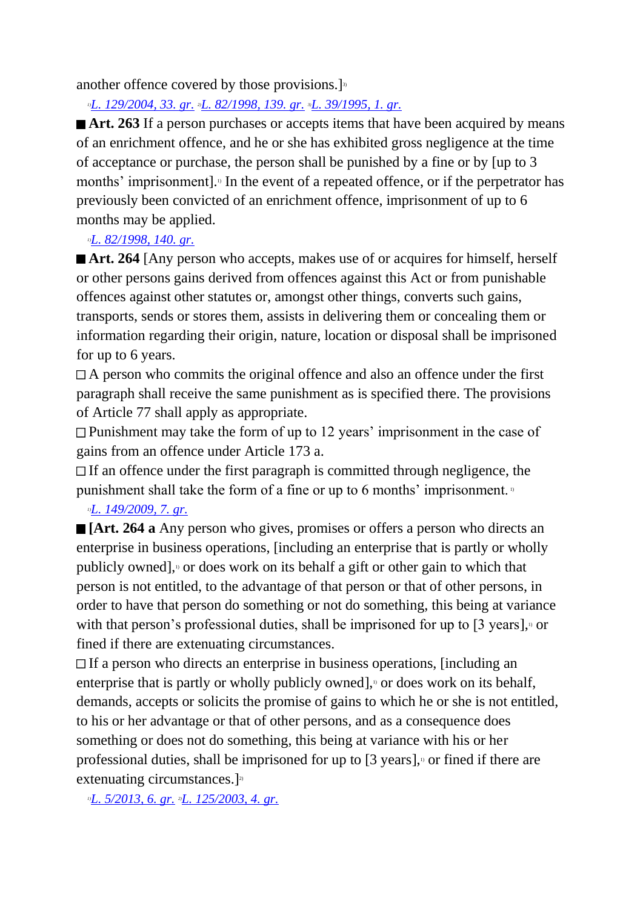another offence covered by those provisions. $]$ <sup>3)</sup>

*1)[L. 129/2004, 33. gr.](http://www.althingi.is/altext/stjt/2004.129.html) 2)[L. 82/1998, 139. gr.](http://www.althingi.is/altext/stjt/1998.082.html) 3)[L. 39/1995, 1. gr.](http://www.althingi.is/altext/stjt/1995.039.html)*

■ **Art. 263** If a person purchases or accepts items that have been acquired by means of an enrichment offence, and he or she has exhibited gross negligence at the time of acceptance or purchase, the person shall be punished by a fine or by [up to 3 months' imprisonment].<sup>1</sup> In the event of a repeated offence, or if the perpetrator has previously been convicted of an enrichment offence, imprisonment of up to 6 months may be applied.

## *1)[L. 82/1998, 140. gr.](http://www.althingi.is/altext/stjt/1998.082.html)*

■ **Art. 264** [Any person who accepts, makes use of or acquires for himself, herself or other persons gains derived from offences against this Act or from punishable offences against other statutes or, amongst other things, converts such gains, transports, sends or stores them, assists in delivering them or concealing them or information regarding their origin, nature, location or disposal shall be imprisoned for up to 6 years.

A person who commits the original offence and also an offence under the first paragraph shall receive the same punishment as is specified there. The provisions of Article 77 shall apply as appropriate.

 $\Box$  Punishment may take the form of up to 12 years' imprisonment in the case of gains from an offence under Article 173 a.

 $\Box$  If an offence under the first paragraph is committed through negligence, the punishment shall take the form of a fine or up to 6 months' imprisonment. 1)

## *1)[L. 149/2009, 7. gr.](http://www.althingi.is/altext/stjt/2009.149.html)*

**[Art. 264 a** Any person who gives, promises or offers a person who directs an enterprise in business operations, [including an enterprise that is partly or wholly publicly owned],1) or does work on its behalf a gift or other gain to which that person is not entitled, to the advantage of that person or that of other persons, in order to have that person do something or not do something, this being at variance with that person's professional duties, shall be imprisoned for up to  $[3 \text{ years}]$ , or fined if there are extenuating circumstances.

If a person who directs an enterprise in business operations, [including an enterprise that is partly or wholly publicly owned], $\alpha$  or does work on its behalf, demands, accepts or solicits the promise of gains to which he or she is not entitled, to his or her advantage or that of other persons, and as a consequence does something or does not do something, this being at variance with his or her professional duties, shall be imprisoned for up to  $[3 \text{ years}]$ , or fined if there are extenuating circumstances. $]$ <sup>2)</sup>

*1)[L. 5/2013, 6. gr.](http://www.althingi.is/altext/stjt/2013.005.html) 2)[L. 125/2003, 4. gr.](http://www.althingi.is/altext/stjt/2003.125.html)*